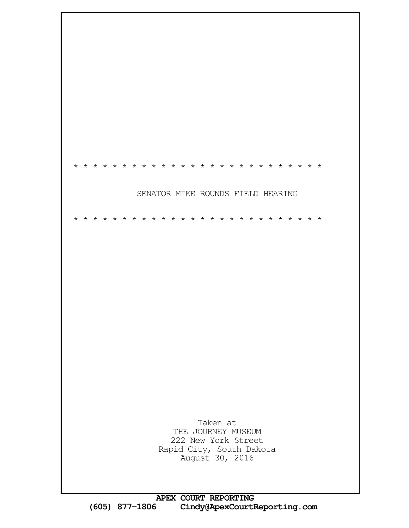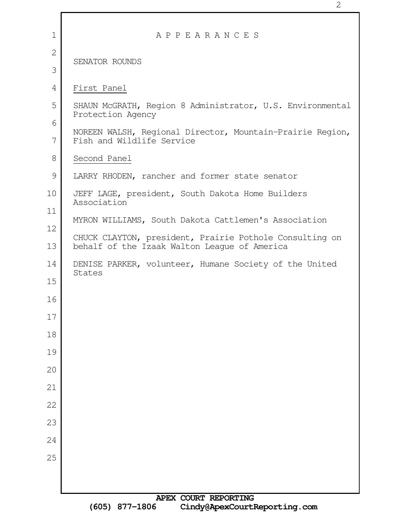| $\mathbf 1$  | APPEARANCES                                                                            |
|--------------|----------------------------------------------------------------------------------------|
| $\mathbf{2}$ | SENATOR ROUNDS                                                                         |
| 3            |                                                                                        |
| 4            | First Panel                                                                            |
| 5            | SHAUN McGRATH, Region 8 Administrator, U.S. Environmental                              |
| 6            | Protection Agency                                                                      |
| 7            | NOREEN WALSH, Regional Director, Mountain-Prairie Region,<br>Fish and Wildlife Service |
| 8            | Second Panel                                                                           |
| 9            | LARRY RHODEN, rancher and former state senator                                         |
| 10           | JEFF LAGE, president, South Dakota Home Builders<br>Association                        |
| 11           | MYRON WILLIAMS, South Dakota Cattlemen's Association                                   |
| 12           | CHUCK CLAYTON, president, Prairie Pothole Consulting on                                |
| 13           | behalf of the Izaak Walton League of America                                           |
| 14           | DENISE PARKER, volunteer, Humane Society of the United<br>States                       |
| 15           |                                                                                        |
| 16           |                                                                                        |
| $17$         |                                                                                        |
| 18           |                                                                                        |
| 19           |                                                                                        |
| 20           |                                                                                        |
| 21           |                                                                                        |
| 22           |                                                                                        |
| 23           |                                                                                        |
| 24           |                                                                                        |
| 25           |                                                                                        |
|              |                                                                                        |
|              | <b>NOTY COIDE PROOFTNC</b>                                                             |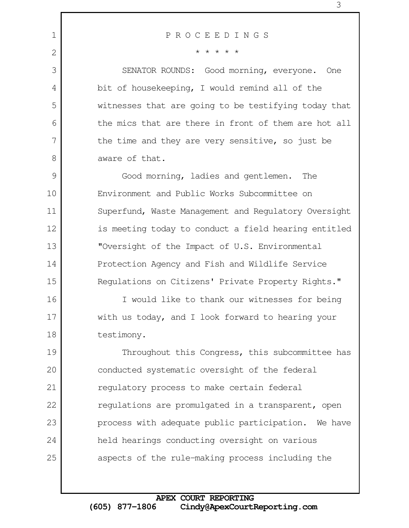1

2

3

4

5

6

7

8

## P R O C E E D I N G S

\* \* \* \* \*

SENATOR ROUNDS: Good morning, everyone. One bit of housekeeping, I would remind all of the witnesses that are going to be testifying today that the mics that are there in front of them are hot all the time and they are very sensitive, so just be aware of that.

Good morning, ladies and gentlemen. The Environment and Public Works Subcommittee on Superfund, Waste Management and Regulatory Oversight is meeting today to conduct a field hearing entitled "Oversight of the Impact of U.S. Environmental Protection Agency and Fish and Wildlife Service Regulations on Citizens' Private Property Rights." 9 10 11 12 13 14 15

I would like to thank our witnesses for being with us today, and I look forward to hearing your testimony. 16 17 18

Throughout this Congress, this subcommittee has conducted systematic oversight of the federal regulatory process to make certain federal regulations are promulgated in a transparent, open process with adequate public participation. We have held hearings conducting oversight on various aspects of the rule-making process including the 19 20 21 22 23 24 25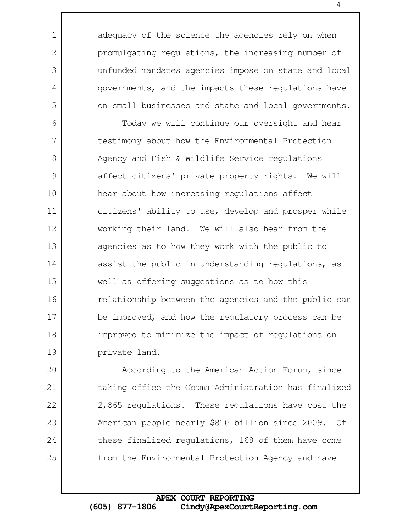adequacy of the science the agencies rely on when promulgating regulations, the increasing number of unfunded mandates agencies impose on state and local governments, and the impacts these regulations have on small businesses and state and local governments.

1

2

3

4

5

Today we will continue our oversight and hear testimony about how the Environmental Protection Agency and Fish & Wildlife Service regulations affect citizens' private property rights. We will hear about how increasing regulations affect citizens' ability to use, develop and prosper while working their land. We will also hear from the agencies as to how they work with the public to assist the public in understanding regulations, as well as offering suggestions as to how this relationship between the agencies and the public can be improved, and how the regulatory process can be improved to minimize the impact of regulations on private land. 6 7 8 9 10 11 12 13 14 15 16 17 18 19

According to the American Action Forum, since taking office the Obama Administration has finalized 2,865 regulations. These regulations have cost the American people nearly \$810 billion since 2009. Of these finalized regulations, 168 of them have come from the Environmental Protection Agency and have 20 21 22 23 24 25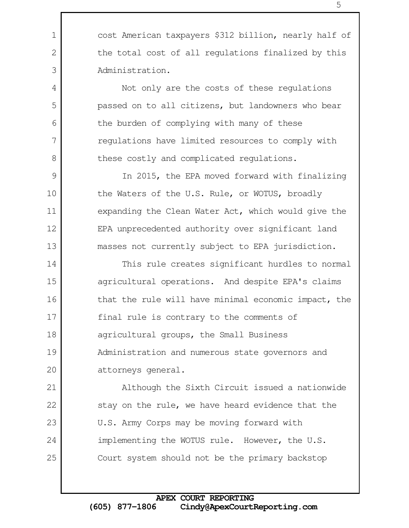cost American taxpayers \$312 billion, nearly half of the total cost of all regulations finalized by this Administration.

1

2

3

4

5

6

7

8

9

10

11

12

13

Not only are the costs of these regulations passed on to all citizens, but landowners who bear the burden of complying with many of these regulations have limited resources to comply with these costly and complicated regulations.

In 2015, the EPA moved forward with finalizing the Waters of the U.S. Rule, or WOTUS, broadly expanding the Clean Water Act, which would give the EPA unprecedented authority over significant land masses not currently subject to EPA jurisdiction.

This rule creates significant hurdles to normal agricultural operations. And despite EPA's claims that the rule will have minimal economic impact, the final rule is contrary to the comments of agricultural groups, the Small Business Administration and numerous state governors and attorneys general. 14 15 16 17 18 19 20

Although the Sixth Circuit issued a nationwide stay on the rule, we have heard evidence that the U.S. Army Corps may be moving forward with implementing the WOTUS rule. However, the U.S. Court system should not be the primary backstop 21 22 23 24 25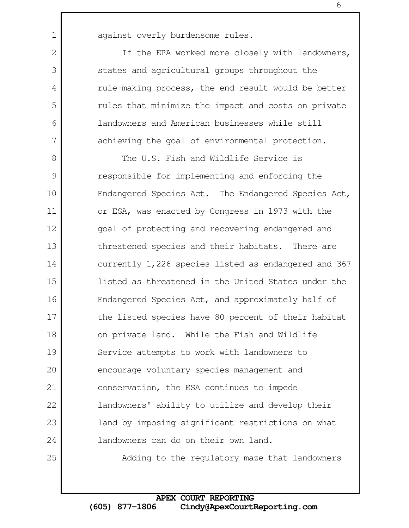1

2

3

4

5

6

7

25

If the EPA worked more closely with landowners, states and agricultural groups throughout the rule-making process, the end result would be better rules that minimize the impact and costs on private landowners and American businesses while still achieving the goal of environmental protection.

The U.S. Fish and Wildlife Service is responsible for implementing and enforcing the Endangered Species Act. The Endangered Species Act, or ESA, was enacted by Congress in 1973 with the goal of protecting and recovering endangered and threatened species and their habitats. There are currently 1,226 species listed as endangered and 367 listed as threatened in the United States under the Endangered Species Act, and approximately half of the listed species have 80 percent of their habitat on private land. While the Fish and Wildlife Service attempts to work with landowners to encourage voluntary species management and conservation, the ESA continues to impede landowners' ability to utilize and develop their land by imposing significant restrictions on what landowners can do on their own land. 8 9 10 11 12 13 14 15 16 17 18 19 20 21 22 23 24

Adding to the regulatory maze that landowners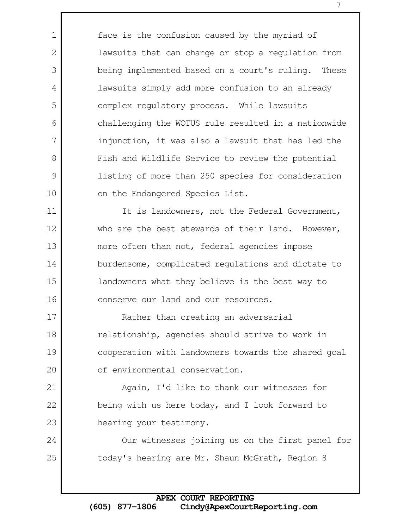face is the confusion caused by the myriad of lawsuits that can change or stop a regulation from being implemented based on a court's ruling. These lawsuits simply add more confusion to an already complex regulatory process. While lawsuits challenging the WOTUS rule resulted in a nationwide injunction, it was also a lawsuit that has led the Fish and Wildlife Service to review the potential listing of more than 250 species for consideration on the Endangered Species List. It is landowners, not the Federal Government, who are the best stewards of their land. However, more often than not, federal agencies impose

1

2

3

4

5

6

7

8

9

10

11

12

13

14

15

16

24

25

burdensome, complicated regulations and dictate to landowners what they believe is the best way to conserve our land and our resources.

Rather than creating an adversarial relationship, agencies should strive to work in cooperation with landowners towards the shared goal of environmental conservation. 17 18 19 20

Again, I'd like to thank our witnesses for being with us here today, and I look forward to hearing your testimony. 21 22 23

Our witnesses joining us on the first panel for today's hearing are Mr. Shaun McGrath, Region 8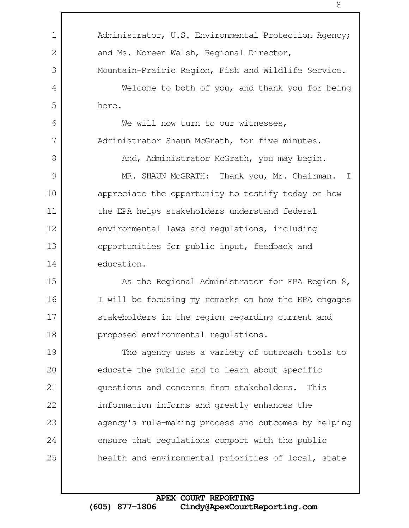Administrator, U.S. Environmental Protection Agency; and Ms. Noreen Walsh, Regional Director, Mountain-Prairie Region, Fish and Wildlife Service. Welcome to both of you, and thank you for being here. We will now turn to our witnesses, Administrator Shaun McGrath, for five minutes. And, Administrator McGrath, you may begin. MR. SHAUN McGRATH: Thank you, Mr. Chairman. I appreciate the opportunity to testify today on how the EPA helps stakeholders understand federal environmental laws and regulations, including opportunities for public input, feedback and education. As the Regional Administrator for EPA Region 8, I will be focusing my remarks on how the EPA engages stakeholders in the region regarding current and proposed environmental regulations. The agency uses a variety of outreach tools to educate the public and to learn about specific questions and concerns from stakeholders. This information informs and greatly enhances the agency's rule-making process and outcomes by helping ensure that regulations comport with the public health and environmental priorities of local, state 1 2 3 4 5 6 7 8 9 10 11 12 13 14 15 16 17 18 19 20 21 22 23 24 25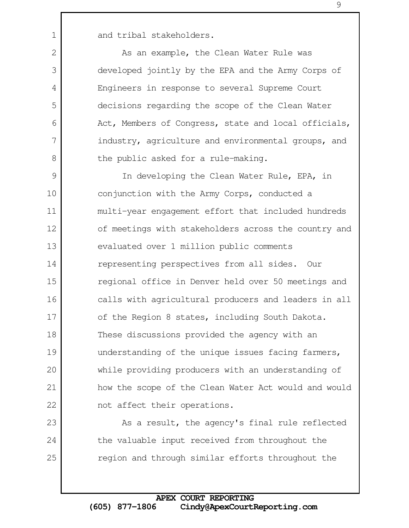and tribal stakeholders.

1

2

3

4

5

6

7

8

23

24

25

As an example, the Clean Water Rule was developed jointly by the EPA and the Army Corps of Engineers in response to several Supreme Court decisions regarding the scope of the Clean Water Act, Members of Congress, state and local officials, industry, agriculture and environmental groups, and the public asked for a rule-making.

In developing the Clean Water Rule, EPA, in conjunction with the Army Corps, conducted a multi-year engagement effort that included hundreds of meetings with stakeholders across the country and evaluated over 1 million public comments representing perspectives from all sides. Our regional office in Denver held over 50 meetings and calls with agricultural producers and leaders in all of the Region 8 states, including South Dakota. These discussions provided the agency with an understanding of the unique issues facing farmers, while providing producers with an understanding of how the scope of the Clean Water Act would and would not affect their operations. 9 10 11 12 13 14 15 16 17 18 19 20 21 22

> As a result, the agency's final rule reflected the valuable input received from throughout the region and through similar efforts throughout the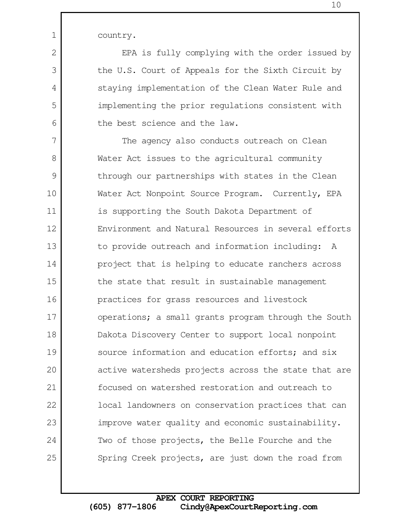country.

1

2

3

4

5

6

EPA is fully complying with the order issued by the U.S. Court of Appeals for the Sixth Circuit by staying implementation of the Clean Water Rule and implementing the prior regulations consistent with the best science and the law.

The agency also conducts outreach on Clean Water Act issues to the agricultural community through our partnerships with states in the Clean Water Act Nonpoint Source Program. Currently, EPA is supporting the South Dakota Department of Environment and Natural Resources in several efforts to provide outreach and information including: A project that is helping to educate ranchers across the state that result in sustainable management practices for grass resources and livestock operations; a small grants program through the South Dakota Discovery Center to support local nonpoint source information and education efforts; and six active watersheds projects across the state that are focused on watershed restoration and outreach to local landowners on conservation practices that can improve water quality and economic sustainability. Two of those projects, the Belle Fourche and the Spring Creek projects, are just down the road from 7 8 9 10 11 12 13 14 15 16 17 18 19 20 21 22 23 24 25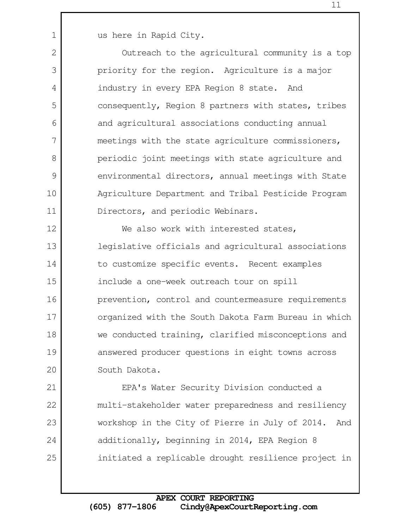us here in Rapid City.

1

2

3

4

5

6

7

8

9

10

11

Outreach to the agricultural community is a top priority for the region. Agriculture is a major industry in every EPA Region 8 state. And consequently, Region 8 partners with states, tribes and agricultural associations conducting annual meetings with the state agriculture commissioners, periodic joint meetings with state agriculture and environmental directors, annual meetings with State Agriculture Department and Tribal Pesticide Program Directors, and periodic Webinars.

We also work with interested states, legislative officials and agricultural associations to customize specific events. Recent examples include a one-week outreach tour on spill prevention, control and countermeasure requirements organized with the South Dakota Farm Bureau in which we conducted training, clarified misconceptions and answered producer questions in eight towns across South Dakota. 12 13 14 15 16 17 18 19 20

EPA's Water Security Division conducted a multi-stakeholder water preparedness and resiliency workshop in the City of Pierre in July of 2014. And additionally, beginning in 2014, EPA Region 8 initiated a replicable drought resilience project in 21 22 23 24 25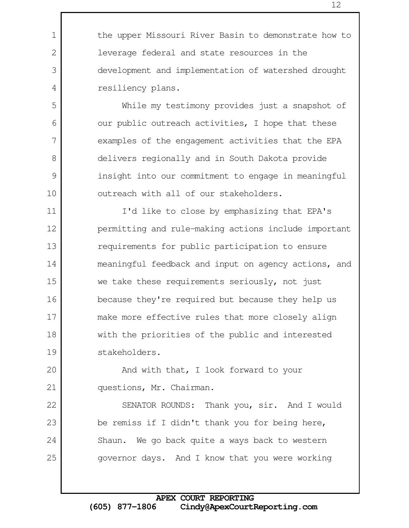the upper Missouri River Basin to demonstrate how to leverage federal and state resources in the development and implementation of watershed drought resiliency plans.

1

2

3

4

5

6

7

8

9

10

20

21

22

23

24

25

While my testimony provides just a snapshot of our public outreach activities, I hope that these examples of the engagement activities that the EPA delivers regionally and in South Dakota provide insight into our commitment to engage in meaningful outreach with all of our stakeholders.

I'd like to close by emphasizing that EPA's permitting and rule-making actions include important requirements for public participation to ensure meaningful feedback and input on agency actions, and we take these requirements seriously, not just because they're required but because they help us make more effective rules that more closely align with the priorities of the public and interested stakeholders. 11 12 13 14 15 16 17 18 19

And with that, I look forward to your questions, Mr. Chairman.

SENATOR ROUNDS: Thank you, sir. And I would be remiss if I didn't thank you for being here, Shaun. We go back quite a ways back to western governor days. And I know that you were working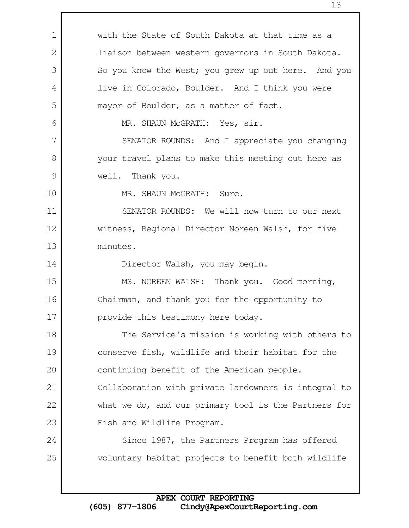with the State of South Dakota at that time as a liaison between western governors in South Dakota. So you know the West; you grew up out here. And you live in Colorado, Boulder. And I think you were mayor of Boulder, as a matter of fact. MR. SHAUN McGRATH: Yes, sir. SENATOR ROUNDS: And I appreciate you changing your travel plans to make this meeting out here as well. Thank you. MR. SHAUN McGRATH: Sure. SENATOR ROUNDS: We will now turn to our next witness, Regional Director Noreen Walsh, for five minutes. Director Walsh, you may begin. MS. NOREEN WALSH: Thank you. Good morning, Chairman, and thank you for the opportunity to provide this testimony here today. The Service's mission is working with others to conserve fish, wildlife and their habitat for the continuing benefit of the American people. Collaboration with private landowners is integral to what we do, and our primary tool is the Partners for Fish and Wildlife Program. Since 1987, the Partners Program has offered voluntary habitat projects to benefit both wildlife 1 2 3 4 5 6 7 8 9 10 11 12 13 14 15 16 17 18 19 20 21 22 23 24 25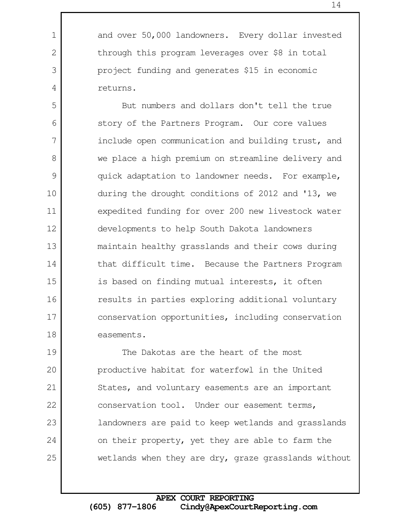productive habitat for waterfowl in the United States, and voluntary easements are an important conservation tool. Under our easement terms, landowners are paid to keep wetlands and grasslands

The Dakotas are the heart of the most

on their property, yet they are able to farm the

wetlands when they are dry, graze grasslands without

returns. But numbers and dollars don't tell the true story of the Partners Program. Our core values include open communication and building trust, and we place a high premium on streamline delivery and quick adaptation to landowner needs. For example, during the drought conditions of 2012 and '13, we expedited funding for over 200 new livestock water developments to help South Dakota landowners maintain healthy grasslands and their cows during that difficult time. Because the Partners Program is based on finding mutual interests, it often results in parties exploring additional voluntary conservation opportunities, including conservation easements. 13

and over 50,000 landowners. Every dollar invested through this program leverages over \$8 in total project funding and generates \$15 in economic

1

2

3

4

5

6

7

8

9

10

11

12

14

15

16

17

18

19

20

21

22

23

24

25

 **APEX COURT REPORTING (605) 877-1806 Cindy@ApexCourtReporting.com**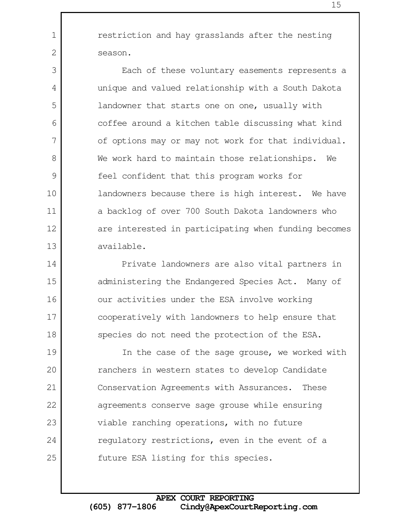restriction and hay grasslands after the nesting season.

1

2

3

4

5

6

7

8

9

10

11

12

13

Each of these voluntary easements represents a unique and valued relationship with a South Dakota landowner that starts one on one, usually with coffee around a kitchen table discussing what kind of options may or may not work for that individual. We work hard to maintain those relationships. We feel confident that this program works for landowners because there is high interest. We have a backlog of over 700 South Dakota landowners who are interested in participating when funding becomes available.

Private landowners are also vital partners in administering the Endangered Species Act. Many of our activities under the ESA involve working cooperatively with landowners to help ensure that species do not need the protection of the ESA. 14 15 16 17 18

In the case of the sage grouse, we worked with ranchers in western states to develop Candidate Conservation Agreements with Assurances. These agreements conserve sage grouse while ensuring viable ranching operations, with no future regulatory restrictions, even in the event of a future ESA listing for this species. 19 20 21 22 23 24 25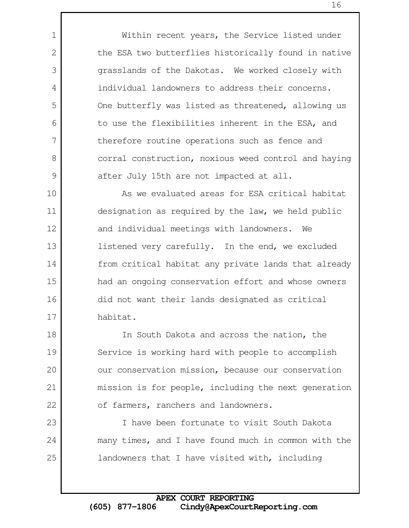Within recent years, the Service listed under the ESA two butterflies historically found in native grasslands of the Dakotas. We worked closely with individual landowners to address their concerns. One butterfly was listed as threatened, allowing us to use the flexibilities inherent in the ESA, and therefore routine operations such as fence and corral construction, noxious weed control and haying after July 15th are not impacted at all.

1

2

3

4

5

6

7

8

9

23

24

25

As we evaluated areas for ESA critical habitat designation as required by the law, we held public and individual meetings with landowners. We listened very carefully. In the end, we excluded from critical habitat any private lands that already had an ongoing conservation effort and whose owners did not want their lands designated as critical habitat. 10 11 12 13 14 15 16 17

In South Dakota and across the nation, the Service is working hard with people to accomplish our conservation mission, because our conservation mission is for people, including the next generation of farmers, ranchers and landowners. 18 19 20 21 22

I have been fortunate to visit South Dakota many times, and I have found much in common with the landowners that I have visited with, including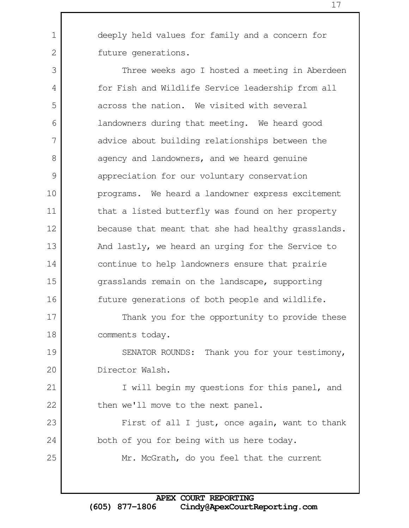deeply held values for family and a concern for future generations.

1

2

3

4

5

6

7

8

9

10

11

12

14

15

16

23

24

25

Three weeks ago I hosted a meeting in Aberdeen for Fish and Wildlife Service leadership from all across the nation. We visited with several landowners during that meeting. We heard good advice about building relationships between the agency and landowners, and we heard genuine appreciation for our voluntary conservation programs. We heard a landowner express excitement that a listed butterfly was found on her property because that meant that she had healthy grasslands. And lastly, we heard an urging for the Service to continue to help landowners ensure that prairie grasslands remain on the landscape, supporting future generations of both people and wildlife. 13

Thank you for the opportunity to provide these comments today. 17 18

SENATOR ROUNDS: Thank you for your testimony, Director Walsh. 19 20

I will begin my questions for this panel, and then we'll move to the next panel. 21 22

First of all I just, once again, want to thank both of you for being with us here today.

Mr. McGrath, do you feel that the current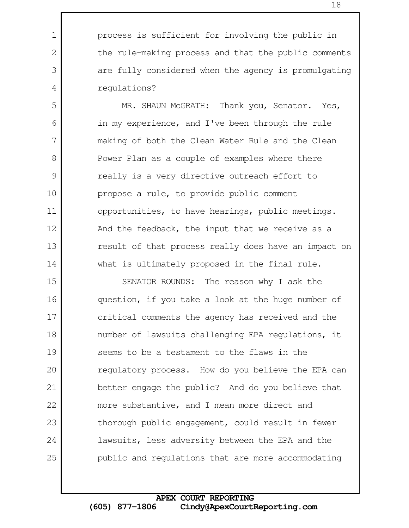process is sufficient for involving the public in the rule-making process and that the public comments are fully considered when the agency is promulgating regulations?

1

2

3

4

5

6

7

8

9

10

11

12

13

14

MR. SHAUN McGRATH: Thank you, Senator. Yes, in my experience, and I've been through the rule making of both the Clean Water Rule and the Clean Power Plan as a couple of examples where there really is a very directive outreach effort to propose a rule, to provide public comment opportunities, to have hearings, public meetings. And the feedback, the input that we receive as a result of that process really does have an impact on what is ultimately proposed in the final rule.

SENATOR ROUNDS: The reason why I ask the question, if you take a look at the huge number of critical comments the agency has received and the number of lawsuits challenging EPA regulations, it seems to be a testament to the flaws in the regulatory process. How do you believe the EPA can better engage the public? And do you believe that more substantive, and I mean more direct and thorough public engagement, could result in fewer lawsuits, less adversity between the EPA and the public and regulations that are more accommodating 15 16 17 18 19 20 21 22 23 24 25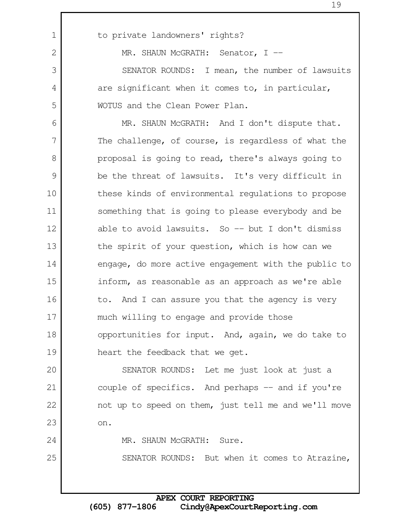to private landowners' rights? MR. SHAUN McGRATH: Senator, I --SENATOR ROUNDS: I mean, the number of lawsuits are significant when it comes to, in particular, WOTUS and the Clean Power Plan. MR. SHAUN McGRATH: And I don't dispute that. The challenge, of course, is regardless of what the proposal is going to read, there's always going to be the threat of lawsuits. It's very difficult in these kinds of environmental regulations to propose something that is going to please everybody and be able to avoid lawsuits. So  $-$  but I don't dismiss the spirit of your question, which is how can we engage, do more active engagement with the public to inform, as reasonable as an approach as we're able to. And I can assure you that the agency is very much willing to engage and provide those opportunities for input. And, again, we do take to heart the feedback that we get. SENATOR ROUNDS: Let me just look at just a couple of specifics. And perhaps -- and if you're not up to speed on them, just tell me and we'll move on. MR. SHAUN McGRATH: Sure. SENATOR ROUNDS: But when it comes to Atrazine, 1 2 3 4 5 6 7 8 9 10 11 12 13 14 15 16 17 18 19 20 21 22 23 24 25

> **APEX COURT REPORTING (605) 877-1806 Cindy@ApexCourtReporting.com**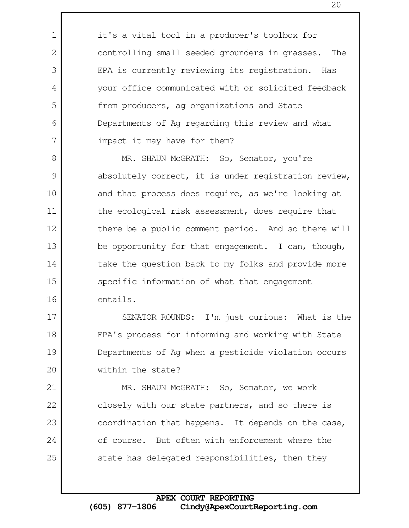it's a vital tool in a producer's toolbox for controlling small seeded grounders in grasses. The EPA is currently reviewing its registration. Has your office communicated with or solicited feedback from producers, ag organizations and State Departments of Ag regarding this review and what impact it may have for them?

1

2

3

4

5

6

7

17

18

19

20

MR. SHAUN McGRATH: So, Senator, you're absolutely correct, it is under registration review, and that process does require, as we're looking at the ecological risk assessment, does require that there be a public comment period. And so there will be opportunity for that engagement. I can, though, take the question back to my folks and provide more specific information of what that engagement entails. 8 9 10 11 12 13 14 15 16

SENATOR ROUNDS: I'm just curious: What is the EPA's process for informing and working with State Departments of Ag when a pesticide violation occurs within the state?

MR. SHAUN McGRATH: So, Senator, we work closely with our state partners, and so there is coordination that happens. It depends on the case, of course. But often with enforcement where the state has delegated responsibilities, then they 21 22 23 24 25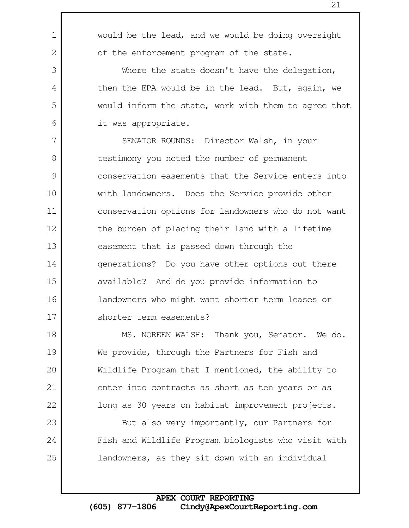would be the lead, and we would be doing oversight of the enforcement program of the state. Where the state doesn't have the delegation, then the EPA would be in the lead. But, again, we would inform the state, work with them to agree that it was appropriate. SENATOR ROUNDS: Director Walsh, in your testimony you noted the number of permanent conservation easements that the Service enters into with landowners. Does the Service provide other conservation options for landowners who do not want the burden of placing their land with a lifetime easement that is passed down through the generations? Do you have other options out there available? And do you provide information to landowners who might want shorter term leases or 1 2 3 4 5 6 8 9 10 11 12 13 14 15 16

shorter term easements? 17

7

23

24

25

MS. NOREEN WALSH: Thank you, Senator. We do. We provide, through the Partners for Fish and Wildlife Program that I mentioned, the ability to enter into contracts as short as ten years or as long as 30 years on habitat improvement projects. 18 19 20 21 22

But also very importantly, our Partners for Fish and Wildlife Program biologists who visit with landowners, as they sit down with an individual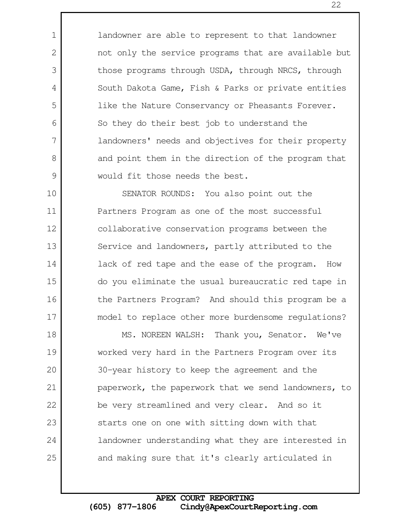landowner are able to represent to that landowner not only the service programs that are available but those programs through USDA, through NRCS, through South Dakota Game, Fish & Parks or private entities like the Nature Conservancy or Pheasants Forever. So they do their best job to understand the landowners' needs and objectives for their property and point them in the direction of the program that would fit those needs the best.

1

2

3

4

5

6

7

8

9

SENATOR ROUNDS: You also point out the Partners Program as one of the most successful collaborative conservation programs between the Service and landowners, partly attributed to the lack of red tape and the ease of the program. How do you eliminate the usual bureaucratic red tape in the Partners Program? And should this program be a model to replace other more burdensome regulations? 10 11 12 13 14 15 16 17

MS. NOREEN WALSH: Thank you, Senator. We've worked very hard in the Partners Program over its 30-year history to keep the agreement and the paperwork, the paperwork that we send landowners, to be very streamlined and very clear. And so it starts one on one with sitting down with that landowner understanding what they are interested in and making sure that it's clearly articulated in 18 19 20 21 22 23 24 25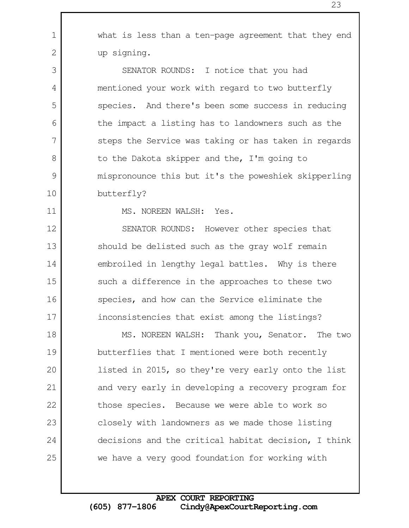what is less than a ten-page agreement that they end up signing. SENATOR ROUNDS: I notice that you had mentioned your work with regard to two butterfly species. And there's been some success in reducing the impact a listing has to landowners such as the steps the Service was taking or has taken in regards to the Dakota skipper and the, I'm going to 1 2 3 4 5 6 7 8

mispronounce this but it's the poweshiek skipperling butterfly?

11

12

13

14

15

16

17

10

9

MS. NOREEN WALSH: Yes.

SENATOR ROUNDS: However other species that should be delisted such as the gray wolf remain embroiled in lengthy legal battles. Why is there such a difference in the approaches to these two species, and how can the Service eliminate the inconsistencies that exist among the listings?

MS. NOREEN WALSH: Thank you, Senator. The two butterflies that I mentioned were both recently listed in 2015, so they're very early onto the list and very early in developing a recovery program for those species. Because we were able to work so closely with landowners as we made those listing decisions and the critical habitat decision, I think we have a very good foundation for working with 18 19 20 21 22 23 24 25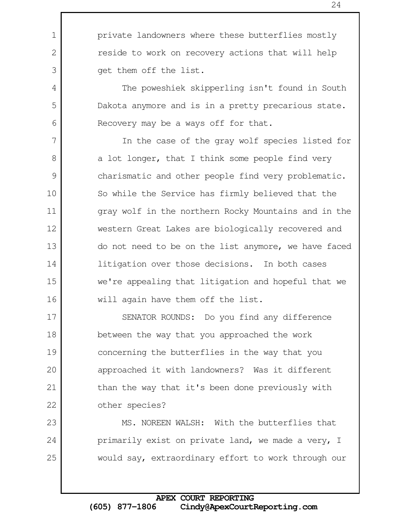1

2

3

4

5

6

17

18

19

20

21

22

23

24

25

The poweshiek skipperling isn't found in South Dakota anymore and is in a pretty precarious state. Recovery may be a ways off for that.

In the case of the gray wolf species listed for a lot longer, that I think some people find very charismatic and other people find very problematic. So while the Service has firmly believed that the gray wolf in the northern Rocky Mountains and in the western Great Lakes are biologically recovered and do not need to be on the list anymore, we have faced litigation over those decisions. In both cases we're appealing that litigation and hopeful that we will again have them off the list. 7 8 9 10 11 12 13 14 15 16

SENATOR ROUNDS: Do you find any difference between the way that you approached the work concerning the butterflies in the way that you approached it with landowners? Was it different than the way that it's been done previously with other species?

MS. NOREEN WALSH: With the butterflies that primarily exist on private land, we made a very, I would say, extraordinary effort to work through our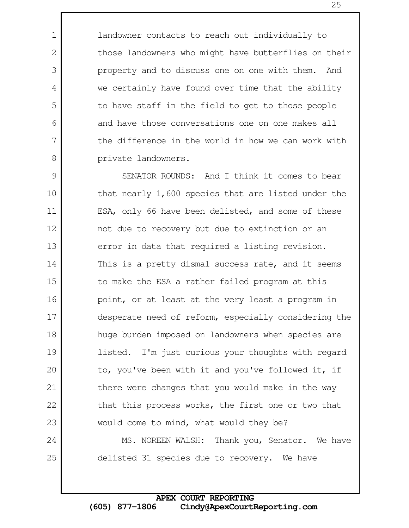landowner contacts to reach out individually to those landowners who might have butterflies on their property and to discuss one on one with them. And we certainly have found over time that the ability to have staff in the field to get to those people and have those conversations one on one makes all the difference in the world in how we can work with private landowners.

1

2

3

4

5

6

7

8

25

SENATOR ROUNDS: And I think it comes to bear that nearly 1,600 species that are listed under the ESA, only 66 have been delisted, and some of these not due to recovery but due to extinction or an error in data that required a listing revision. This is a pretty dismal success rate, and it seems to make the ESA a rather failed program at this point, or at least at the very least a program in desperate need of reform, especially considering the huge burden imposed on landowners when species are listed. I'm just curious your thoughts with regard to, you've been with it and you've followed it, if there were changes that you would make in the way that this process works, the first one or two that would come to mind, what would they be? MS. NOREEN WALSH: Thank you, Senator. We have 9 10 11 12 13 14 15 16 17 18 19 20 21 22 23 24

delisted 31 species due to recovery. We have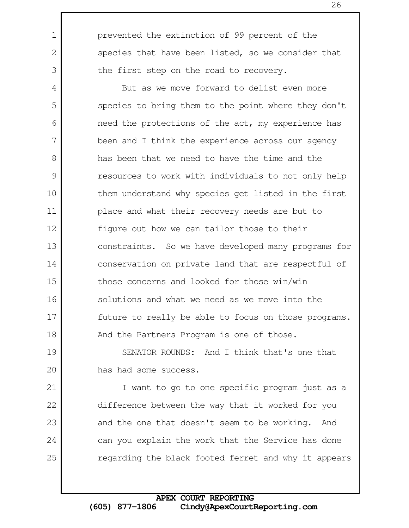prevented the extinction of 99 percent of the species that have been listed, so we consider that the first step on the road to recovery.

1

2

3

7

8

But as we move forward to delist even more species to bring them to the point where they don't need the protections of the act, my experience has been and I think the experience across our agency has been that we need to have the time and the resources to work with individuals to not only help them understand why species get listed in the first place and what their recovery needs are but to figure out how we can tailor those to their constraints. So we have developed many programs for conservation on private land that are respectful of those concerns and looked for those win/win solutions and what we need as we move into the future to really be able to focus on those programs. And the Partners Program is one of those. 4 5 6 9 10 11 12 13 14 15 16 17 18

SENATOR ROUNDS: And I think that's one that has had some success. 19 20

I want to go to one specific program just as a difference between the way that it worked for you and the one that doesn't seem to be working. And can you explain the work that the Service has done regarding the black footed ferret and why it appears 21 22 23 24 25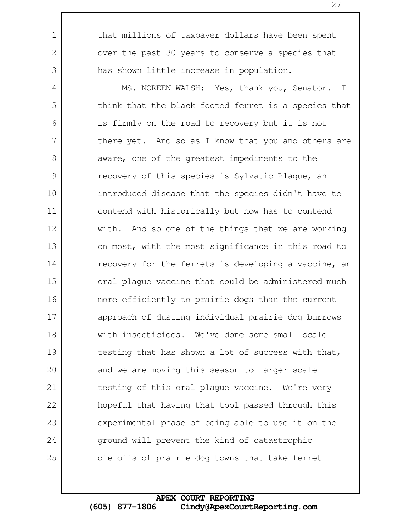that millions of taxpayer dollars have been spent over the past 30 years to conserve a species that has shown little increase in population.

1

2

3

MS. NOREEN WALSH: Yes, thank you, Senator. I think that the black footed ferret is a species that is firmly on the road to recovery but it is not there yet. And so as I know that you and others are aware, one of the greatest impediments to the recovery of this species is Sylvatic Plague, an introduced disease that the species didn't have to contend with historically but now has to contend with. And so one of the things that we are working on most, with the most significance in this road to recovery for the ferrets is developing a vaccine, an oral plague vaccine that could be administered much more efficiently to prairie dogs than the current approach of dusting individual prairie dog burrows with insecticides. We've done some small scale testing that has shown a lot of success with that, and we are moving this season to larger scale testing of this oral plague vaccine. We're very hopeful that having that tool passed through this experimental phase of being able to use it on the ground will prevent the kind of catastrophic die-offs of prairie dog towns that take ferret 4 5 6 7 8 9 10 11 12 13 14 15 16 17 18 19 20 21 22 23 24 25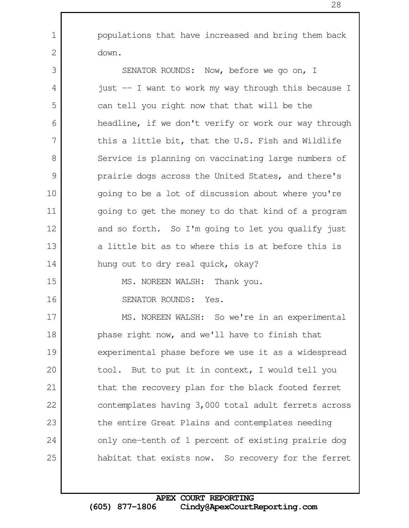1

2

| 3  | SENATOR ROUNDS: Now, before we go on, I              |
|----|------------------------------------------------------|
| 4  | just -- I want to work my way through this because I |
| 5  | can tell you right now that that will be the         |
| 6  | headline, if we don't verify or work our way through |
| 7  | this a little bit, that the U.S. Fish and Wildlife   |
| 8  | Service is planning on vaccinating large numbers of  |
| 9  | prairie dogs across the United States, and there's   |
| 10 | going to be a lot of discussion about where you're   |
| 11 | going to get the money to do that kind of a program  |
| 12 | and so forth. So I'm going to let you qualify just   |
| 13 | a little bit as to where this is at before this is   |
| 14 | hung out to dry real quick, okay?                    |
| 15 | MS. NOREEN WALSH: Thank you.                         |
| 16 | SENATOR ROUNDS: Yes.                                 |
| 17 | MS. NOREEN WALSH: So we're in an experimental        |
| 18 | phase right now, and we'll have to finish that       |
| 19 | experimental phase before we use it as a widespread  |
| 20 | tool. But to put it in context, I would tell you     |
| 21 | that the recovery plan for the black footed ferret   |
| 22 | contemplates having 3,000 total adult ferrets across |
| 23 | the entire Great Plains and contemplates needing     |
| 24 | only one-tenth of 1 percent of existing prairie dog  |
| 25 | habitat that exists now. So recovery for the ferret  |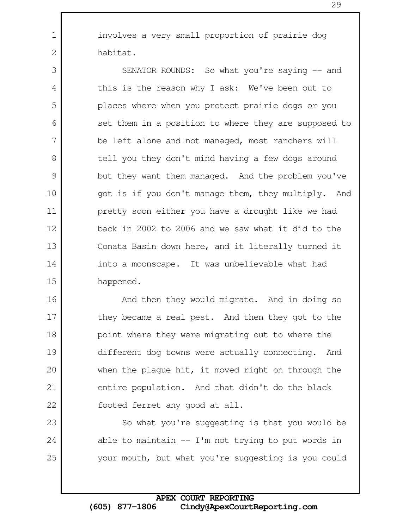involves a very small proportion of prairie dog habitat.

1

2

23

24

25

SENATOR ROUNDS: So what you're saying -- and this is the reason why I ask: We've been out to places where when you protect prairie dogs or you set them in a position to where they are supposed to be left alone and not managed, most ranchers will tell you they don't mind having a few dogs around but they want them managed. And the problem you've got is if you don't manage them, they multiply. And pretty soon either you have a drought like we had back in 2002 to 2006 and we saw what it did to the Conata Basin down here, and it literally turned it into a moonscape. It was unbelievable what had happened. 3 4 5 6 7 8 9 10 11 12 13 14 15

And then they would migrate. And in doing so they became a real pest. And then they got to the point where they were migrating out to where the different dog towns were actually connecting. And when the plague hit, it moved right on through the entire population. And that didn't do the black footed ferret any good at all. 16 17 18 19 20 21 22

So what you're suggesting is that you would be able to maintain  $-$  I'm not trying to put words in your mouth, but what you're suggesting is you could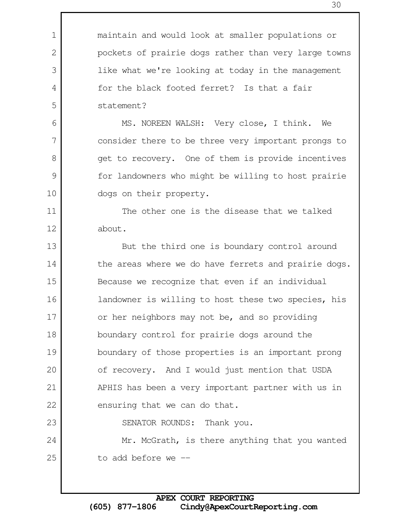maintain and would look at smaller populations or pockets of prairie dogs rather than very large towns like what we're looking at today in the management for the black footed ferret? Is that a fair statement?

1

2

3

4

5

6

7

8

9

10

11

12

23

24

25

MS. NOREEN WALSH: Very close, I think. We consider there to be three very important prongs to get to recovery. One of them is provide incentives for landowners who might be willing to host prairie dogs on their property.

The other one is the disease that we talked about.

But the third one is boundary control around the areas where we do have ferrets and prairie dogs. Because we recognize that even if an individual landowner is willing to host these two species, his or her neighbors may not be, and so providing boundary control for prairie dogs around the boundary of those properties is an important prong of recovery. And I would just mention that USDA APHIS has been a very important partner with us in ensuring that we can do that. 13 14 15 16 17 18 19 20 21 22

SENATOR ROUNDS: Thank you.

Mr. McGrath, is there anything that you wanted to add before we --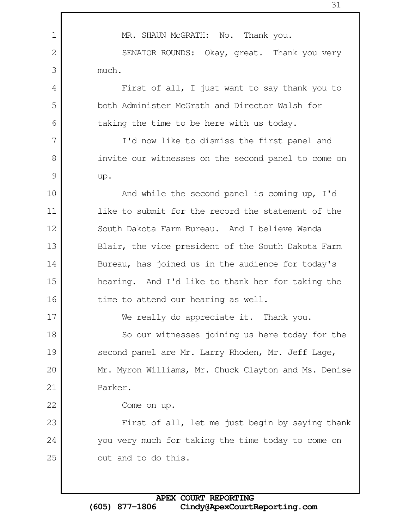MR. SHAUN McGRATH: No. Thank you. SENATOR ROUNDS: Okay, great. Thank you very much. First of all, I just want to say thank you to both Administer McGrath and Director Walsh for taking the time to be here with us today. I'd now like to dismiss the first panel and invite our witnesses on the second panel to come on up. And while the second panel is coming up, I'd like to submit for the record the statement of the South Dakota Farm Bureau. And I believe Wanda Blair, the vice president of the South Dakota Farm Bureau, has joined us in the audience for today's hearing. And I'd like to thank her for taking the time to attend our hearing as well. We really do appreciate it. Thank you. So our witnesses joining us here today for the second panel are Mr. Larry Rhoden, Mr. Jeff Lage, Mr. Myron Williams, Mr. Chuck Clayton and Ms. Denise Parker. Come on up. First of all, let me just begin by saying thank you very much for taking the time today to come on out and to do this. 1 2 3 4 5 6 7 8 9 10 11 12 13 14 15 16 17 18 19 20 21 22 23 24 25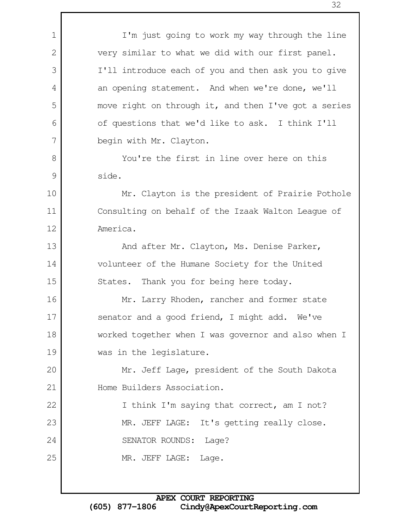I'm just going to work my way through the line very similar to what we did with our first panel. I'll introduce each of you and then ask you to give an opening statement. And when we're done, we'll move right on through it, and then I've got a series of questions that we'd like to ask. I think I'll begin with Mr. Clayton. You're the first in line over here on this side. Mr. Clayton is the president of Prairie Pothole Consulting on behalf of the Izaak Walton League of America. And after Mr. Clayton, Ms. Denise Parker, volunteer of the Humane Society for the United States. Thank you for being here today. Mr. Larry Rhoden, rancher and former state senator and a good friend, I might add. We've worked together when I was governor and also when I was in the legislature. Mr. Jeff Lage, president of the South Dakota Home Builders Association. I think I'm saying that correct, am I not? MR. JEFF LAGE: It's getting really close. SENATOR ROUNDS: Lage? MR. JEFF LAGE: Lage. 1 2 3 4 5 6 7 8 9 10 11 12 13 14 15 16 17 18 19 20 21 22 23 24 25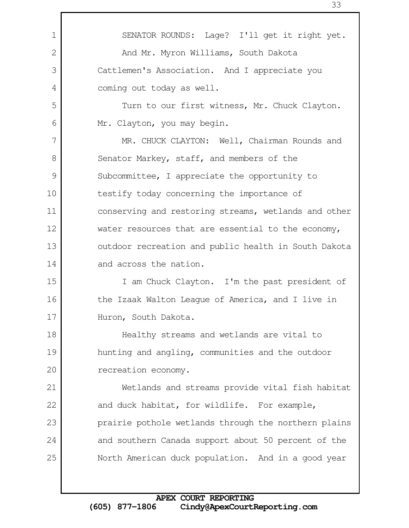SENATOR ROUNDS: Lage? I'll get it right yet. And Mr. Myron Williams, South Dakota Cattlemen's Association. And I appreciate you coming out today as well. Turn to our first witness, Mr. Chuck Clayton. Mr. Clayton, you may begin. MR. CHUCK CLAYTON: Well, Chairman Rounds and Senator Markey, staff, and members of the Subcommittee, I appreciate the opportunity to testify today concerning the importance of conserving and restoring streams, wetlands and other water resources that are essential to the economy, outdoor recreation and public health in South Dakota and across the nation. I am Chuck Clayton. I'm the past president of the Izaak Walton League of America, and I live in Huron, South Dakota. Healthy streams and wetlands are vital to hunting and angling, communities and the outdoor recreation economy. Wetlands and streams provide vital fish habitat and duck habitat, for wildlife. For example, prairie pothole wetlands through the northern plains and southern Canada support about 50 percent of the North American duck population. And in a good year 1 2 3 4 5 6 7 8 9 10 11 12 13 14 15 16 17 18 19 20 21 22 23 24 25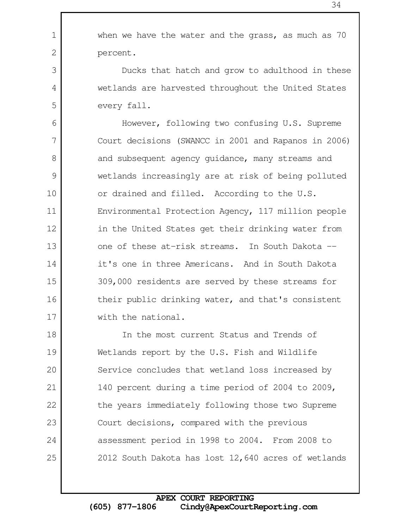when we have the water and the grass, as much as 70 percent.

1

2

3

4

5

Ducks that hatch and grow to adulthood in these wetlands are harvested throughout the United States every fall.

However, following two confusing U.S. Supreme Court decisions (SWANCC in 2001 and Rapanos in 2006) and subsequent agency guidance, many streams and wetlands increasingly are at risk of being polluted or drained and filled. According to the U.S. Environmental Protection Agency, 117 million people in the United States get their drinking water from one of these at-risk streams. In South Dakota - it's one in three Americans. And in South Dakota 309,000 residents are served by these streams for their public drinking water, and that's consistent with the national. 6 7 8 9 10 11 12 13 14 15 16 17

In the most current Status and Trends of Wetlands report by the U.S. Fish and Wildlife Service concludes that wetland loss increased by 140 percent during a time period of 2004 to 2009, the years immediately following those two Supreme Court decisions, compared with the previous assessment period in 1998 to 2004. From 2008 to 2012 South Dakota has lost 12,640 acres of wetlands 18 19 20 21 22 23 24 25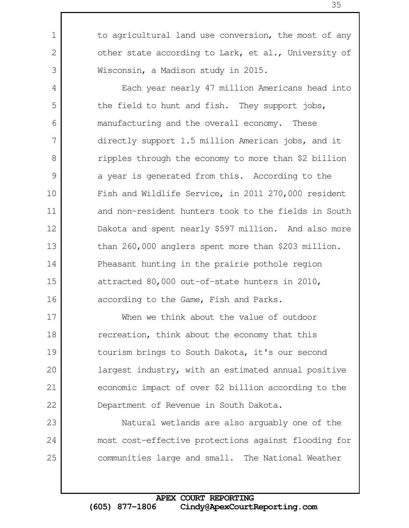to agricultural land use conversion, the most of any other state according to Lark, et al., University of Wisconsin, a Madison study in 2015.

1

2

3

4

5

6

7

8

9

10

11

12

13

14

15

16

23

24

25

Each year nearly 47 million Americans head into the field to hunt and fish. They support jobs, manufacturing and the overall economy. These directly support 1.5 million American jobs, and it ripples through the economy to more than \$2 billion a year is generated from this. According to the Fish and Wildlife Service, in 2011 270,000 resident and non-resident hunters took to the fields in South Dakota and spent nearly \$597 million. And also more than 260,000 anglers spent more than \$203 million. Pheasant hunting in the prairie pothole region attracted 80,000 out-of-state hunters in 2010, according to the Game, Fish and Parks.

When we think about the value of outdoor recreation, think about the economy that this tourism brings to South Dakota, it's our second largest industry, with an estimated annual positive economic impact of over \$2 billion according to the Department of Revenue in South Dakota. 17 18 19 20 21 22

Natural wetlands are also arguably one of the most cost-effective protections against flooding for communities large and small. The National Weather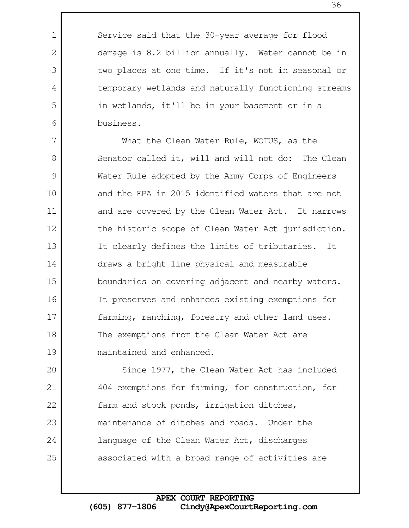Service said that the 30-year average for flood damage is 8.2 billion annually. Water cannot be in two places at one time. If it's not in seasonal or temporary wetlands and naturally functioning streams in wetlands, it'll be in your basement or in a business.

1

2

3

4

5

6

What the Clean Water Rule, WOTUS, as the Senator called it, will and will not do: The Clean Water Rule adopted by the Army Corps of Engineers and the EPA in 2015 identified waters that are not and are covered by the Clean Water Act. It narrows the historic scope of Clean Water Act jurisdiction. It clearly defines the limits of tributaries. It draws a bright line physical and measurable boundaries on covering adjacent and nearby waters. It preserves and enhances existing exemptions for farming, ranching, forestry and other land uses. The exemptions from the Clean Water Act are maintained and enhanced. 7 8 9 10 11 12 13 14 15 16 17 18 19

Since 1977, the Clean Water Act has included 404 exemptions for farming, for construction, for farm and stock ponds, irrigation ditches, maintenance of ditches and roads. Under the language of the Clean Water Act, discharges associated with a broad range of activities are 20 21 22 23 24 25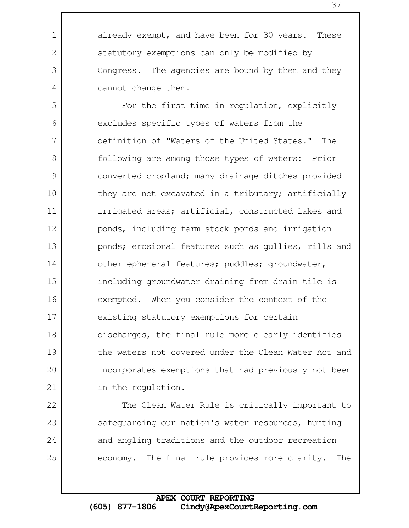already exempt, and have been for 30 years. These statutory exemptions can only be modified by Congress. The agencies are bound by them and they cannot change them.

1

2

3

4

22

23

24

25

For the first time in regulation, explicitly excludes specific types of waters from the definition of "Waters of the United States." The following are among those types of waters: Prior converted cropland; many drainage ditches provided they are not excavated in a tributary; artificially irrigated areas; artificial, constructed lakes and ponds, including farm stock ponds and irrigation ponds; erosional features such as gullies, rills and other ephemeral features; puddles; groundwater, including groundwater draining from drain tile is exempted. When you consider the context of the existing statutory exemptions for certain discharges, the final rule more clearly identifies the waters not covered under the Clean Water Act and incorporates exemptions that had previously not been in the regulation. 5 6 7 8 9 10 11 12 13 14 15 16 17 18 19 20 21

The Clean Water Rule is critically important to safeguarding our nation's water resources, hunting and angling traditions and the outdoor recreation economy. The final rule provides more clarity. The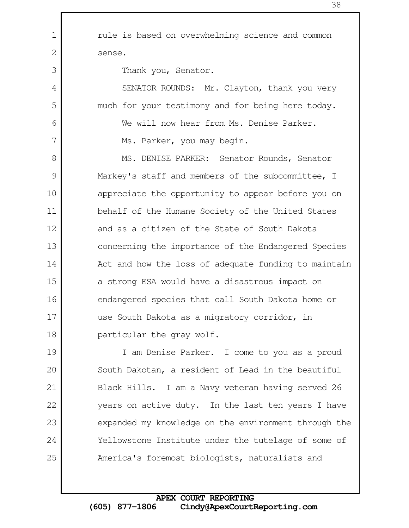rule is based on overwhelming science and common sense. Thank you, Senator. SENATOR ROUNDS: Mr. Clayton, thank you very much for your testimony and for being here today. We will now hear from Ms. Denise Parker. Ms. Parker, you may begin. MS. DENISE PARKER: Senator Rounds, Senator Markey's staff and members of the subcommittee, I appreciate the opportunity to appear before you on behalf of the Humane Society of the United States and as a citizen of the State of South Dakota concerning the importance of the Endangered Species Act and how the loss of adequate funding to maintain a strong ESA would have a disastrous impact on endangered species that call South Dakota home or use South Dakota as a migratory corridor, in particular the gray wolf. I am Denise Parker. I come to you as a proud South Dakotan, a resident of Lead in the beautiful Black Hills. I am a Navy veteran having served 26 years on active duty. In the last ten years I have expanded my knowledge on the environment through the Yellowstone Institute under the tutelage of some of America's foremost biologists, naturalists and 1 2 3 4 5 6 7 8 9 10 11 12 13 14 15 16 17 18 19 20 21 22 23 24 25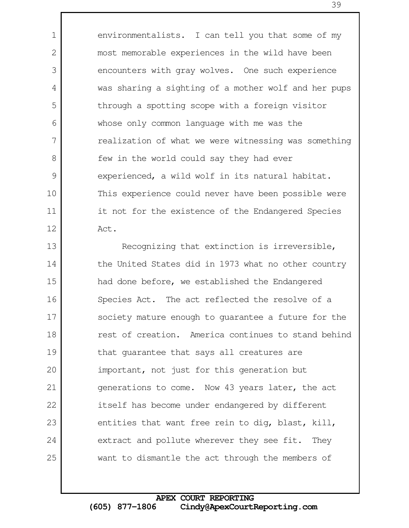environmentalists. I can tell you that some of my most memorable experiences in the wild have been encounters with gray wolves. One such experience was sharing a sighting of a mother wolf and her pups through a spotting scope with a foreign visitor whose only common language with me was the realization of what we were witnessing was something few in the world could say they had ever experienced, a wild wolf in its natural habitat. This experience could never have been possible were it not for the existence of the Endangered Species Act.

1

2

3

4

5

6

7

8

9

10

11

12

Recognizing that extinction is irreversible, the United States did in 1973 what no other country had done before, we established the Endangered Species Act. The act reflected the resolve of a society mature enough to guarantee a future for the rest of creation. America continues to stand behind that guarantee that says all creatures are important, not just for this generation but generations to come. Now 43 years later, the act itself has become under endangered by different entities that want free rein to dig, blast, kill, extract and pollute wherever they see fit. They want to dismantle the act through the members of 13 14 15 16 17 18 19 20 21 22 23 24 25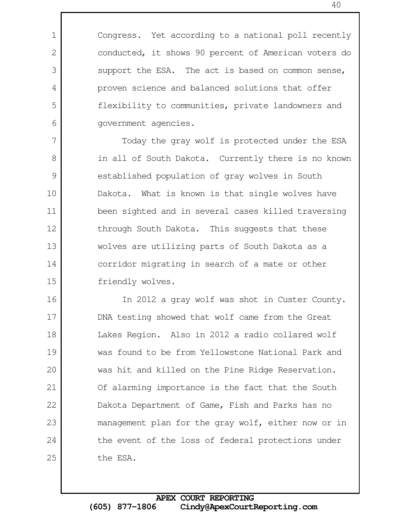Congress. Yet according to a national poll recently conducted, it shows 90 percent of American voters do support the ESA. The act is based on common sense, proven science and balanced solutions that offer flexibility to communities, private landowners and government agencies.

1

2

3

4

5

6

7

8

9

10

11

12

13

14

15

Today the gray wolf is protected under the ESA in all of South Dakota. Currently there is no known established population of gray wolves in South Dakota. What is known is that single wolves have been sighted and in several cases killed traversing through South Dakota. This suggests that these wolves are utilizing parts of South Dakota as a corridor migrating in search of a mate or other friendly wolves.

In 2012 a gray wolf was shot in Custer County. DNA testing showed that wolf came from the Great Lakes Region. Also in 2012 a radio collared wolf was found to be from Yellowstone National Park and was hit and killed on the Pine Ridge Reservation. Of alarming importance is the fact that the South Dakota Department of Game, Fish and Parks has no management plan for the gray wolf, either now or in the event of the loss of federal protections under the ESA. 16 17 18 19 20 21 22 23 24 25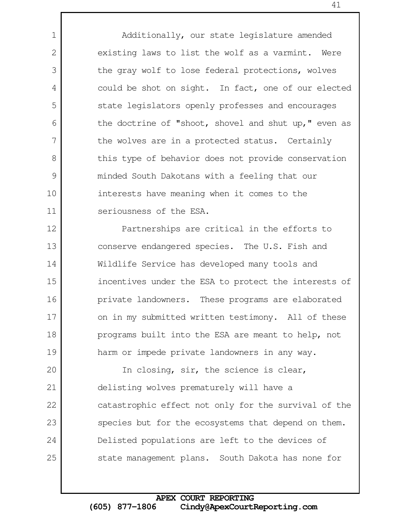Additionally, our state legislature amended existing laws to list the wolf as a varmint. Were the gray wolf to lose federal protections, wolves could be shot on sight. In fact, one of our elected state legislators openly professes and encourages the doctrine of "shoot, shovel and shut up," even as the wolves are in a protected status. Certainly this type of behavior does not provide conservation minded South Dakotans with a feeling that our interests have meaning when it comes to the seriousness of the ESA.

1

2

3

4

5

6

7

8

9

10

11

Partnerships are critical in the efforts to conserve endangered species. The U.S. Fish and Wildlife Service has developed many tools and incentives under the ESA to protect the interests of private landowners. These programs are elaborated on in my submitted written testimony. All of these programs built into the ESA are meant to help, not harm or impede private landowners in any way. 12 13 14 15 16 17 18 19

In closing, sir, the science is clear, delisting wolves prematurely will have a catastrophic effect not only for the survival of the species but for the ecosystems that depend on them. Delisted populations are left to the devices of state management plans. South Dakota has none for 20 21 22 23 24 25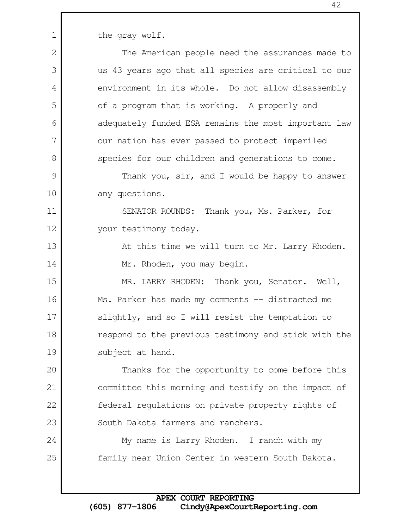the gray wolf.

1

The American people need the assurances made to us 43 years ago that all species are critical to our environment in its whole. Do not allow disassembly of a program that is working. A properly and adequately funded ESA remains the most important law our nation has ever passed to protect imperiled species for our children and generations to come. Thank you, sir, and I would be happy to answer any questions. SENATOR ROUNDS: Thank you, Ms. Parker, for your testimony today. At this time we will turn to Mr. Larry Rhoden. Mr. Rhoden, you may begin. MR. LARRY RHODEN: Thank you, Senator. Well, Ms. Parker has made my comments -- distracted me slightly, and so I will resist the temptation to respond to the previous testimony and stick with the subject at hand. Thanks for the opportunity to come before this committee this morning and testify on the impact of federal regulations on private property rights of South Dakota farmers and ranchers. My name is Larry Rhoden. I ranch with my family near Union Center in western South Dakota. 2 3 4 5 6 7 8 9 10 11 12 13 14 15 16 17 18 19 20 21 22 23 24 25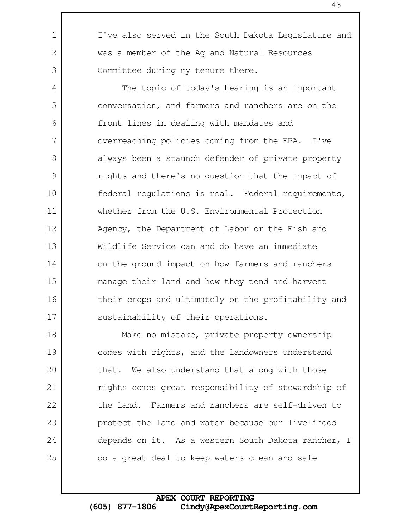I've also served in the South Dakota Legislature and was a member of the Ag and Natural Resources Committee during my tenure there.

1

2

3

4

5

6

7

8

9

10

11

12

14

15

16

17

The topic of today's hearing is an important conversation, and farmers and ranchers are on the front lines in dealing with mandates and overreaching policies coming from the EPA. I've always been a staunch defender of private property rights and there's no question that the impact of federal regulations is real. Federal requirements, whether from the U.S. Environmental Protection Agency, the Department of Labor or the Fish and Wildlife Service can and do have an immediate on-the-ground impact on how farmers and ranchers manage their land and how they tend and harvest their crops and ultimately on the profitability and sustainability of their operations. 13

Make no mistake, private property ownership comes with rights, and the landowners understand that. We also understand that along with those rights comes great responsibility of stewardship of the land. Farmers and ranchers are self-driven to protect the land and water because our livelihood depends on it. As a western South Dakota rancher, I do a great deal to keep waters clean and safe 18 19 20 21 22 23 24 25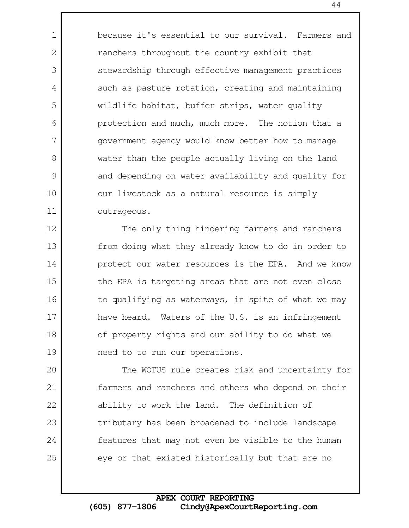because it's essential to our survival. Farmers and ranchers throughout the country exhibit that stewardship through effective management practices such as pasture rotation, creating and maintaining wildlife habitat, buffer strips, water quality protection and much, much more. The notion that a government agency would know better how to manage water than the people actually living on the land and depending on water availability and quality for our livestock as a natural resource is simply outrageous.

1

2

3

4

5

6

7

8

9

10

11

The only thing hindering farmers and ranchers from doing what they already know to do in order to protect our water resources is the EPA. And we know the EPA is targeting areas that are not even close to qualifying as waterways, in spite of what we may have heard. Waters of the U.S. is an infringement of property rights and our ability to do what we need to to run our operations. 12 13 14 15 16 17 18 19

The WOTUS rule creates risk and uncertainty for farmers and ranchers and others who depend on their ability to work the land. The definition of tributary has been broadened to include landscape features that may not even be visible to the human eye or that existed historically but that are no 20 21 22 23 24 25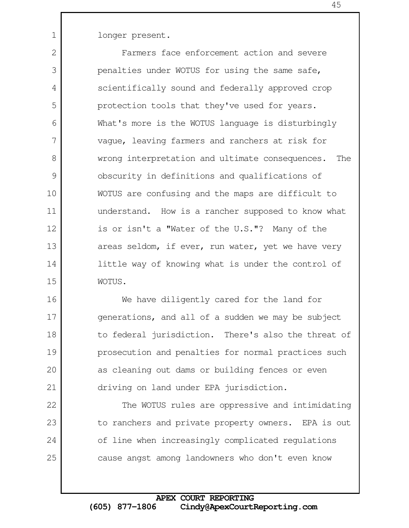longer present.

1

22

23

24

25

Farmers face enforcement action and severe penalties under WOTUS for using the same safe, scientifically sound and federally approved crop protection tools that they've used for years. What's more is the WOTUS language is disturbingly vague, leaving farmers and ranchers at risk for wrong interpretation and ultimate consequences. The obscurity in definitions and qualifications of WOTUS are confusing and the maps are difficult to understand. How is a rancher supposed to know what is or isn't a "Water of the U.S."? Many of the areas seldom, if ever, run water, yet we have very little way of knowing what is under the control of WOTUS. 2 3 4 5 6 7 8 9 10 11 12 13 14 15

We have diligently cared for the land for generations, and all of a sudden we may be subject to federal jurisdiction. There's also the threat of prosecution and penalties for normal practices such as cleaning out dams or building fences or even driving on land under EPA jurisdiction. 16 17 18 19 20 21

The WOTUS rules are oppressive and intimidating to ranchers and private property owners. EPA is out of line when increasingly complicated regulations cause angst among landowners who don't even know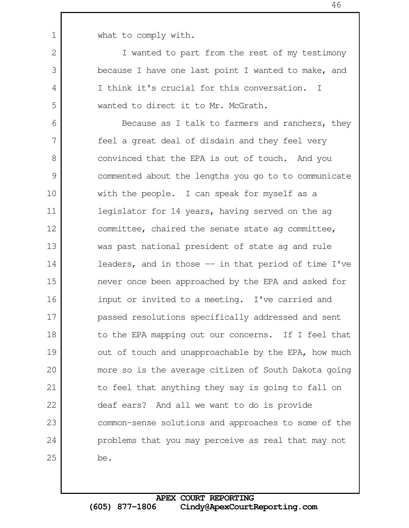1

2

3

4

5

what to comply with.

I wanted to part from the rest of my testimony because I have one last point I wanted to make, and I think it's crucial for this conversation. I wanted to direct it to Mr. McGrath.

Because as I talk to farmers and ranchers, they feel a great deal of disdain and they feel very convinced that the EPA is out of touch. And you commented about the lengths you go to to communicate with the people. I can speak for myself as a legislator for 14 years, having served on the ag committee, chaired the senate state ag committee, was past national president of state ag and rule leaders, and in those  $-$  in that period of time I've never once been approached by the EPA and asked for input or invited to a meeting. I've carried and passed resolutions specifically addressed and sent to the EPA mapping out our concerns. If I feel that out of touch and unapproachable by the EPA, how much more so is the average citizen of South Dakota going to feel that anything they say is going to fall on deaf ears? And all we want to do is provide common-sense solutions and approaches to some of the problems that you may perceive as real that may not be. 6 7 8 9 10 11 12 13 14 15 16 17 18 19 20 21 22 23 24 25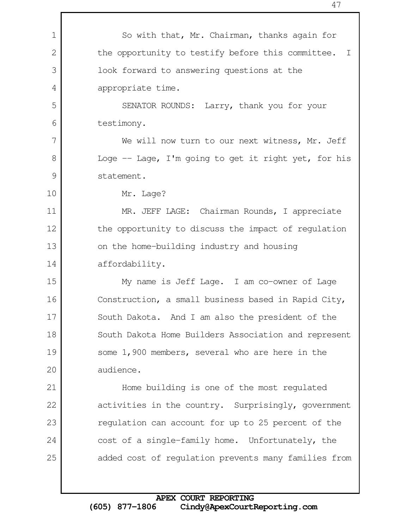So with that, Mr. Chairman, thanks again for the opportunity to testify before this committee. I look forward to answering questions at the appropriate time. SENATOR ROUNDS: Larry, thank you for your testimony. We will now turn to our next witness, Mr. Jeff Loge  $-$  Lage, I'm going to get it right yet, for his statement. Mr. Lage? MR. JEFF LAGE: Chairman Rounds, I appreciate the opportunity to discuss the impact of regulation on the home-building industry and housing affordability. My name is Jeff Lage. I am co-owner of Lage Construction, a small business based in Rapid City, South Dakota. And I am also the president of the South Dakota Home Builders Association and represent some 1,900 members, several who are here in the audience. Home building is one of the most regulated activities in the country. Surprisingly, government regulation can account for up to 25 percent of the cost of a single-family home. Unfortunately, the added cost of regulation prevents many families from 1 2 3 4 5 6 7 8 9 10 11 12 13 14 15 16 17 18 19 20 21 22 23 24 25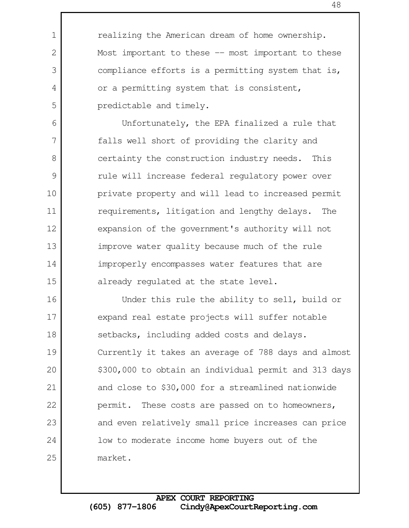realizing the American dream of home ownership. Most important to these -- most important to these compliance efforts is a permitting system that is, or a permitting system that is consistent, predictable and timely.

1

2

3

4

5

6

7

8

9

10

11

12

13

14

15

Unfortunately, the EPA finalized a rule that falls well short of providing the clarity and certainty the construction industry needs. This rule will increase federal regulatory power over private property and will lead to increased permit requirements, litigation and lengthy delays. The expansion of the government's authority will not improve water quality because much of the rule improperly encompasses water features that are already regulated at the state level.

Under this rule the ability to sell, build or expand real estate projects will suffer notable setbacks, including added costs and delays. Currently it takes an average of 788 days and almost \$300,000 to obtain an individual permit and 313 days and close to \$30,000 for a streamlined nationwide permit. These costs are passed on to homeowners, and even relatively small price increases can price low to moderate income home buyers out of the market. 16 17 18 19 20 21 22 23 24 25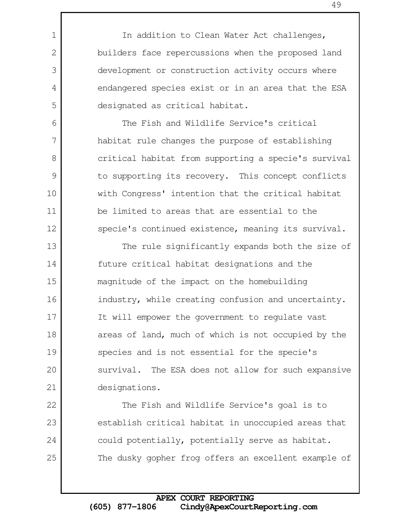In addition to Clean Water Act challenges, builders face repercussions when the proposed land development or construction activity occurs where endangered species exist or in an area that the ESA designated as critical habitat.

1

2

3

4

5

6

7

8

9

10

11

12

22

23

24

25

The Fish and Wildlife Service's critical habitat rule changes the purpose of establishing critical habitat from supporting a specie's survival to supporting its recovery. This concept conflicts with Congress' intention that the critical habitat be limited to areas that are essential to the specie's continued existence, meaning its survival.

The rule significantly expands both the size of future critical habitat designations and the magnitude of the impact on the homebuilding industry, while creating confusion and uncertainty. It will empower the government to regulate vast areas of land, much of which is not occupied by the species and is not essential for the specie's survival. The ESA does not allow for such expansive designations. 13 14 15 16 17 18 19 20 21

The Fish and Wildlife Service's goal is to establish critical habitat in unoccupied areas that could potentially, potentially serve as habitat. The dusky gopher frog offers an excellent example of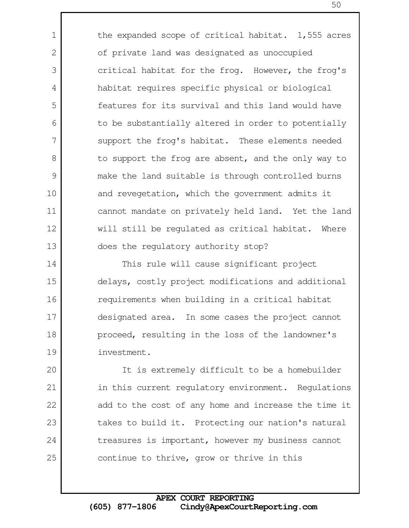the expanded scope of critical habitat. 1,555 acres of private land was designated as unoccupied critical habitat for the frog. However, the frog's habitat requires specific physical or biological features for its survival and this land would have to be substantially altered in order to potentially support the frog's habitat. These elements needed to support the frog are absent, and the only way to make the land suitable is through controlled burns and revegetation, which the government admits it cannot mandate on privately held land. Yet the land will still be regulated as critical habitat. Where does the regulatory authority stop?

1

2

3

4

5

6

7

8

9

10

11

12

13

This rule will cause significant project delays, costly project modifications and additional requirements when building in a critical habitat designated area. In some cases the project cannot proceed, resulting in the loss of the landowner's investment. 14 15 16 17 18 19

It is extremely difficult to be a homebuilder in this current regulatory environment. Regulations add to the cost of any home and increase the time it takes to build it. Protecting our nation's natural treasures is important, however my business cannot continue to thrive, grow or thrive in this 20 21 22 23 24 25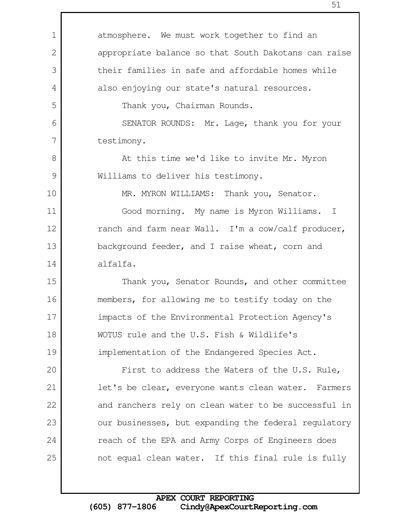| $\mathbf 1$ | atmosphere. We must work together to find an         |
|-------------|------------------------------------------------------|
| 2           | appropriate balance so that South Dakotans can raise |
| 3           | their families in safe and affordable homes while    |
| 4           | also enjoying our state's natural resources.         |
| 5           | Thank you, Chairman Rounds.                          |
| 6           | SENATOR ROUNDS: Mr. Lage, thank you for your         |
| 7           | testimony.                                           |
| 8           | At this time we'd like to invite Mr. Myron           |
| 9           | Williams to deliver his testimony.                   |
| 10          | MR. MYRON WILLIAMS: Thank you, Senator.              |
| 11          | Good morning. My name is Myron Williams. I           |
| 12          | ranch and farm near Wall. I'm a cow/calf producer,   |
| 13          | background feeder, and I raise wheat, corn and       |
| 14          | alfalfa.                                             |
| 15          | Thank you, Senator Rounds, and other committee       |
| 16          | members, for allowing me to testify today on the     |
| 17          | impacts of the Environmental Protection Agency's     |
| 18          | WOTUS rule and the U.S. Fish & Wildlife's            |
| 19          | implementation of the Endangered Species Act.        |
| 20          | First to address the Waters of the U.S. Rule,        |
| 21          | let's be clear, everyone wants clean water. Farmers  |
| 22          | and ranchers rely on clean water to be successful in |
| 23          | our businesses, but expanding the federal regulatory |
| 24          | reach of the EPA and Army Corps of Engineers does    |
| 25          | not equal clean water. If this final rule is fully   |
|             |                                                      |

Г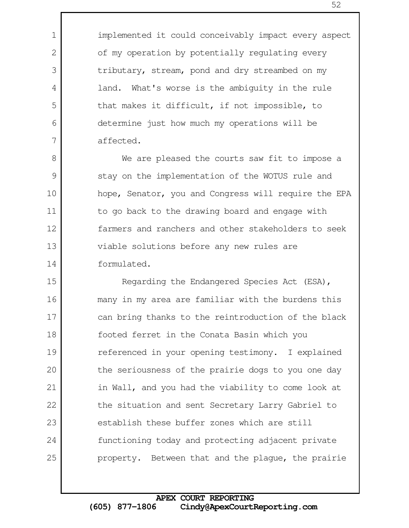implemented it could conceivably impact every aspect of my operation by potentially regulating every tributary, stream, pond and dry streambed on my land. What's worse is the ambiguity in the rule that makes it difficult, if not impossible, to determine just how much my operations will be affected.

1

2

3

4

5

6

7

We are pleased the courts saw fit to impose a stay on the implementation of the WOTUS rule and hope, Senator, you and Congress will require the EPA to go back to the drawing board and engage with farmers and ranchers and other stakeholders to seek viable solutions before any new rules are formulated. 8 9 10 11 12 13 14

Regarding the Endangered Species Act (ESA), many in my area are familiar with the burdens this can bring thanks to the reintroduction of the black footed ferret in the Conata Basin which you referenced in your opening testimony. I explained the seriousness of the prairie dogs to you one day in Wall, and you had the viability to come look at the situation and sent Secretary Larry Gabriel to establish these buffer zones which are still functioning today and protecting adjacent private property. Between that and the plague, the prairie 15 16 17 18 19 20 21 22 23 24 25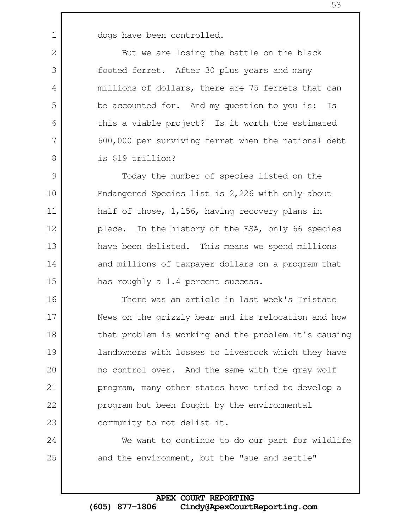dogs have been controlled.

1

2

3

4

5

6

7

8

9

10

11

12

13

14

15

24

25

But we are losing the battle on the black footed ferret. After 30 plus years and many millions of dollars, there are 75 ferrets that can be accounted for. And my question to you is: Is this a viable project? Is it worth the estimated 600,000 per surviving ferret when the national debt is \$19 trillion?

Today the number of species listed on the Endangered Species list is 2,226 with only about half of those, 1,156, having recovery plans in place. In the history of the ESA, only 66 species have been delisted. This means we spend millions and millions of taxpayer dollars on a program that has roughly a 1.4 percent success.

There was an article in last week's Tristate News on the grizzly bear and its relocation and how that problem is working and the problem it's causing landowners with losses to livestock which they have no control over. And the same with the gray wolf program, many other states have tried to develop a program but been fought by the environmental community to not delist it. 16 17 18 19 20 21 22 23

We want to continue to do our part for wildlife and the environment, but the "sue and settle"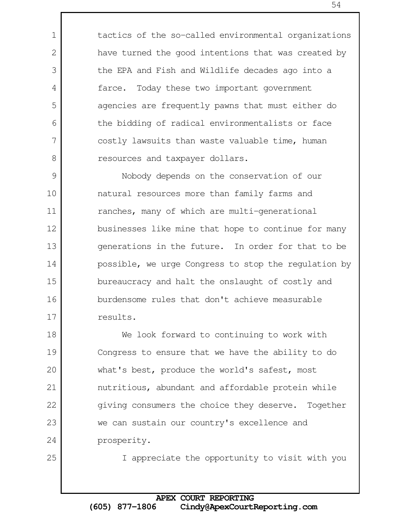tactics of the so-called environmental organizations have turned the good intentions that was created by the EPA and Fish and Wildlife decades ago into a farce. Today these two important government agencies are frequently pawns that must either do the bidding of radical environmentalists or face costly lawsuits than waste valuable time, human resources and taxpayer dollars.

Nobody depends on the conservation of our natural resources more than family farms and ranches, many of which are multi-generational businesses like mine that hope to continue for many generations in the future. In order for that to be possible, we urge Congress to stop the regulation by bureaucracy and halt the onslaught of costly and burdensome rules that don't achieve measurable results. 9 10 11 12 13 14 15 16 17

We look forward to continuing to work with Congress to ensure that we have the ability to do what's best, produce the world's safest, most nutritious, abundant and affordable protein while giving consumers the choice they deserve. Together we can sustain our country's excellence and prosperity. 18 19 20 21 22 23 24

25

1

2

3

4

5

6

7

8

I appreciate the opportunity to visit with you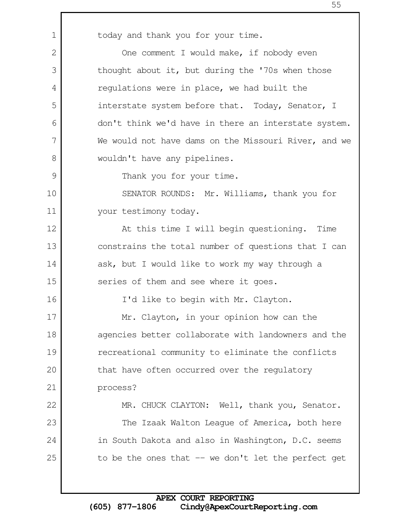today and thank you for your time. One comment I would make, if nobody even thought about it, but during the '70s when those regulations were in place, we had built the interstate system before that. Today, Senator, I don't think we'd have in there an interstate system. We would not have dams on the Missouri River, and we wouldn't have any pipelines. Thank you for your time. SENATOR ROUNDS: Mr. Williams, thank you for your testimony today. At this time I will begin questioning. Time constrains the total number of questions that I can ask, but I would like to work my way through a series of them and see where it goes. I'd like to begin with Mr. Clayton. Mr. Clayton, in your opinion how can the agencies better collaborate with landowners and the recreational community to eliminate the conflicts that have often occurred over the regulatory process? MR. CHUCK CLAYTON: Well, thank you, Senator. The Izaak Walton League of America, both here in South Dakota and also in Washington, D.C. seems to be the ones that  $-$  we don't let the perfect get 1 2 3 4 5 6 7 8 9 10 11 12 13 14 15 16 17 18 19 20 21 22 23 24 25

## **APEX COURT REPORTING (605) 877-1806 Cindy@ApexCourtReporting.com**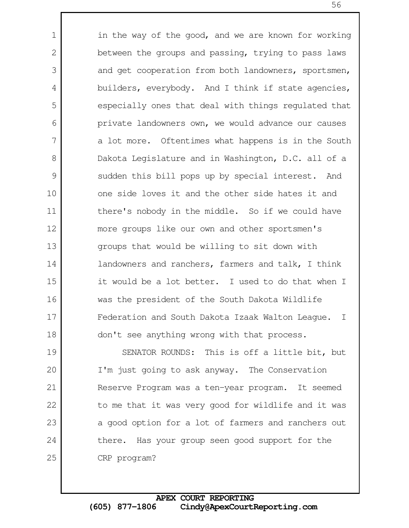in the way of the good, and we are known for working between the groups and passing, trying to pass laws and get cooperation from both landowners, sportsmen, builders, everybody. And I think if state agencies, especially ones that deal with things regulated that private landowners own, we would advance our causes a lot more. Oftentimes what happens is in the South Dakota Legislature and in Washington, D.C. all of a sudden this bill pops up by special interest. And one side loves it and the other side hates it and there's nobody in the middle. So if we could have more groups like our own and other sportsmen's groups that would be willing to sit down with landowners and ranchers, farmers and talk, I think it would be a lot better. I used to do that when I was the president of the South Dakota Wildlife Federation and South Dakota Izaak Walton League. I don't see anything wrong with that process. 1 2 3 4 5 6 7 8 9 10 11 12 13 14 15 16 17 18

SENATOR ROUNDS: This is off a little bit, but I'm just going to ask anyway. The Conservation Reserve Program was a ten-year program. It seemed to me that it was very good for wildlife and it was a good option for a lot of farmers and ranchers out there. Has your group seen good support for the CRP program? 19 20 21 22 23 24 25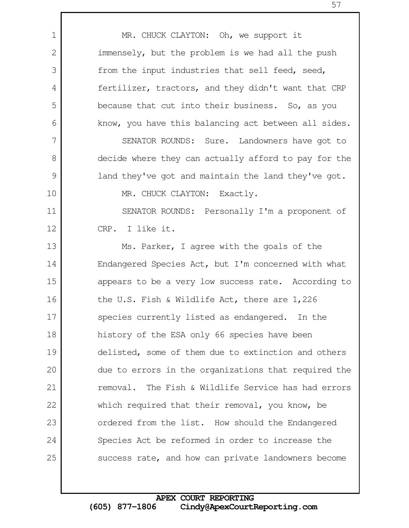MR. CHUCK CLAYTON: Oh, we support it immensely, but the problem is we had all the push from the input industries that sell feed, seed, fertilizer, tractors, and they didn't want that CRP because that cut into their business. So, as you know, you have this balancing act between all sides. SENATOR ROUNDS: Sure. Landowners have got to decide where they can actually afford to pay for the land they've got and maintain the land they've got. MR. CHUCK CLAYTON: Exactly. SENATOR ROUNDS: Personally I'm a proponent of CRP. I like it. Ms. Parker, I agree with the goals of the Endangered Species Act, but I'm concerned with what appears to be a very low success rate. According to the U.S. Fish & Wildlife Act, there are 1,226 species currently listed as endangered. In the history of the ESA only 66 species have been delisted, some of them due to extinction and others due to errors in the organizations that required the removal. The Fish & Wildlife Service has had errors which required that their removal, you know, be ordered from the list. How should the Endangered Species Act be reformed in order to increase the success rate, and how can private landowners become 1 2 3 4 5 6 7 8 9 10 11 12 13 14 15 16 17 18 19 20 21 22 23 24 25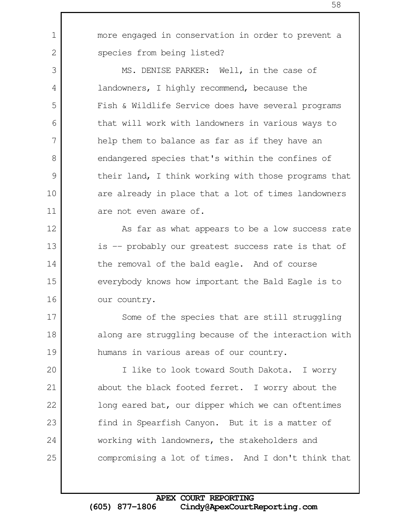more engaged in conservation in order to prevent a species from being listed?

1

2

3

4

5

6

7

8

9

10

11

12

13

14

15

16

17

18

19

MS. DENISE PARKER: Well, in the case of landowners, I highly recommend, because the Fish & Wildlife Service does have several programs that will work with landowners in various ways to help them to balance as far as if they have an endangered species that's within the confines of their land, I think working with those programs that are already in place that a lot of times landowners are not even aware of.

As far as what appears to be a low success rate is -- probably our greatest success rate is that of the removal of the bald eagle. And of course everybody knows how important the Bald Eagle is to our country.

Some of the species that are still struggling along are struggling because of the interaction with humans in various areas of our country.

I like to look toward South Dakota. I worry about the black footed ferret. I worry about the long eared bat, our dipper which we can oftentimes find in Spearfish Canyon. But it is a matter of working with landowners, the stakeholders and compromising a lot of times. And I don't think that 20 21 22 23 24 25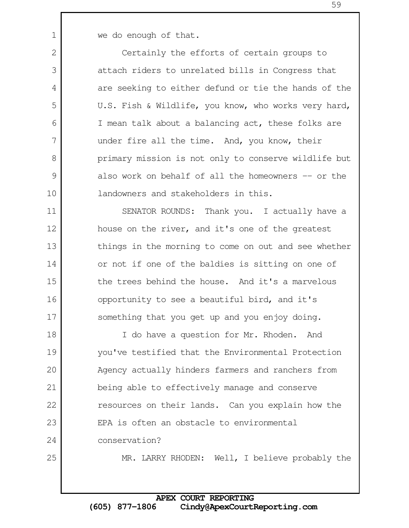1

2

3

4

5

6

7

8

9

10

25

we do enough of that.

Certainly the efforts of certain groups to attach riders to unrelated bills in Congress that are seeking to either defund or tie the hands of the U.S. Fish & Wildlife, you know, who works very hard, I mean talk about a balancing act, these folks are under fire all the time. And, you know, their primary mission is not only to conserve wildlife but also work on behalf of all the homeowners -- or the landowners and stakeholders in this.

SENATOR ROUNDS: Thank you. I actually have a house on the river, and it's one of the greatest things in the morning to come on out and see whether or not if one of the baldies is sitting on one of the trees behind the house. And it's a marvelous opportunity to see a beautiful bird, and it's something that you get up and you enjoy doing. 11 12 13 14 15 16 17

I do have a question for Mr. Rhoden. And you've testified that the Environmental Protection Agency actually hinders farmers and ranchers from being able to effectively manage and conserve resources on their lands. Can you explain how the EPA is often an obstacle to environmental conservation? 18 19 20 21 22 23 24

MR. LARRY RHODEN: Well, I believe probably the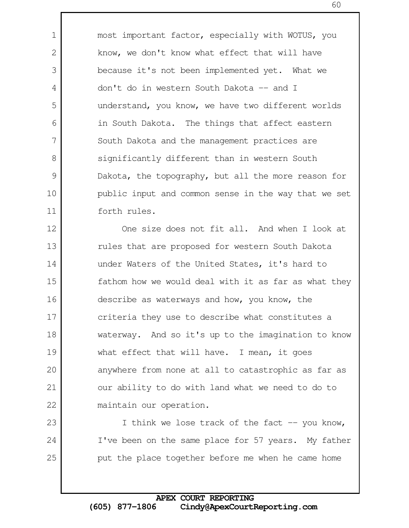most important factor, especially with WOTUS, you know, we don't know what effect that will have because it's not been implemented yet. What we don't do in western South Dakota -- and I understand, you know, we have two different worlds in South Dakota. The things that affect eastern South Dakota and the management practices are significantly different than in western South Dakota, the topography, but all the more reason for public input and common sense in the way that we set forth rules.

1

2

3

4

5

6

7

8

9

10

11

23

24

25

One size does not fit all. And when I look at rules that are proposed for western South Dakota under Waters of the United States, it's hard to fathom how we would deal with it as far as what they describe as waterways and how, you know, the criteria they use to describe what constitutes a waterway. And so it's up to the imagination to know what effect that will have. I mean, it goes anywhere from none at all to catastrophic as far as our ability to do with land what we need to do to maintain our operation. 12 13 14 15 16 17 18 19 20 21 22

> I think we lose track of the fact  $-$ - you know, I've been on the same place for 57 years. My father put the place together before me when he came home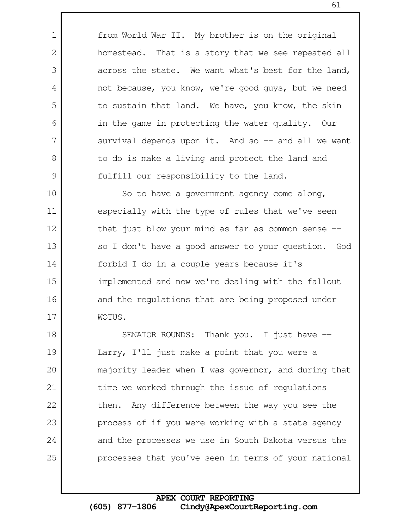from World War II. My brother is on the original homestead. That is a story that we see repeated all across the state. We want what's best for the land, not because, you know, we're good guys, but we need to sustain that land. We have, you know, the skin in the game in protecting the water quality. Our survival depends upon it. And so  $-$  and all we want to do is make a living and protect the land and fulfill our responsibility to the land.

1

2

3

4

5

6

7

8

9

So to have a government agency come along, especially with the type of rules that we've seen that just blow your mind as far as common sense  $$ so I don't have a good answer to your question. God forbid I do in a couple years because it's implemented and now we're dealing with the fallout and the regulations that are being proposed under WOTUS. 10 11 12 13 14 15 16 17

SENATOR ROUNDS: Thank you. I just have --Larry, I'll just make a point that you were a majority leader when I was governor, and during that time we worked through the issue of regulations then. Any difference between the way you see the process of if you were working with a state agency and the processes we use in South Dakota versus the processes that you've seen in terms of your national 18 19 20 21 22 23 24 25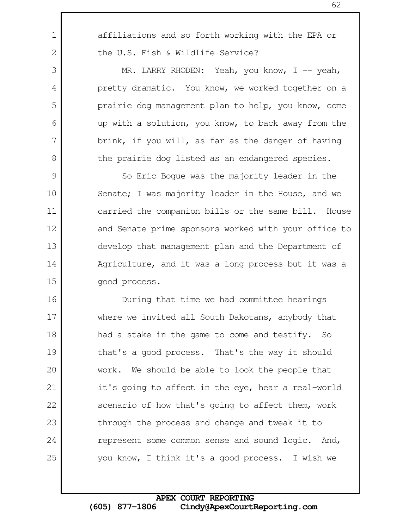affiliations and so forth working with the EPA or the U.S. Fish & Wildlife Service? MR. LARRY RHODEN: Yeah, you know,  $I$  -- yeah, pretty dramatic. You know, we worked together on a prairie dog management plan to help, you know, come up with a solution, you know, to back away from the brink, if you will, as far as the danger of having the prairie dog listed as an endangered species. So Eric Bogue was the majority leader in the Senate; I was majority leader in the House, and we carried the companion bills or the same bill. House and Senate prime sponsors worked with your office to develop that management plan and the Department of Agriculture, and it was a long process but it was a good process. During that time we had committee hearings where we invited all South Dakotans, anybody that 1 2 3 4 5 6 7 8 9 10 11 12 13 14 15 16 17 18

had a stake in the game to come and testify. So that's a good process. That's the way it should work. We should be able to look the people that it's going to affect in the eye, hear a real-world scenario of how that's going to affect them, work through the process and change and tweak it to represent some common sense and sound logic. And, you know, I think it's a good process. I wish we 19 20 21 22 23 24 25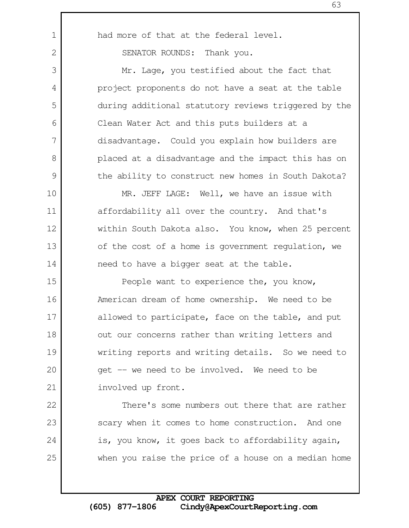had more of that at the federal level.

SENATOR ROUNDS: Thank you.

1

2

3

4

5

6

7

8

9

22

23

24

25

Mr. Lage, you testified about the fact that project proponents do not have a seat at the table during additional statutory reviews triggered by the Clean Water Act and this puts builders at a disadvantage. Could you explain how builders are placed at a disadvantage and the impact this has on the ability to construct new homes in South Dakota?

MR. JEFF LAGE: Well, we have an issue with affordability all over the country. And that's within South Dakota also. You know, when 25 percent of the cost of a home is government regulation, we need to have a bigger seat at the table. 10 11 12 13 14

People want to experience the, you know, American dream of home ownership. We need to be allowed to participate, face on the table, and put out our concerns rather than writing letters and writing reports and writing details. So we need to get -- we need to be involved. We need to be involved up front. 15 16 17 18 19 20 21

There's some numbers out there that are rather scary when it comes to home construction. And one is, you know, it goes back to affordability again, when you raise the price of a house on a median home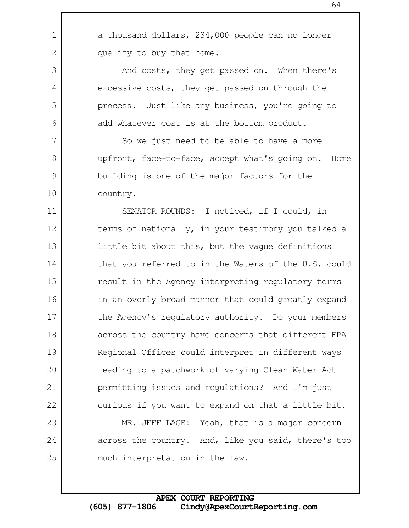a thousand dollars, 234,000 people can no longer qualify to buy that home.

1

2

3

4

5

6

7

8

9

10

24

25

And costs, they get passed on. When there's excessive costs, they get passed on through the process. Just like any business, you're going to add whatever cost is at the bottom product.

So we just need to be able to have a more upfront, face-to-face, accept what's going on. Home building is one of the major factors for the country.

SENATOR ROUNDS: I noticed, if I could, in terms of nationally, in your testimony you talked a little bit about this, but the vague definitions that you referred to in the Waters of the U.S. could result in the Agency interpreting regulatory terms in an overly broad manner that could greatly expand the Agency's regulatory authority. Do your members across the country have concerns that different EPA Regional Offices could interpret in different ways leading to a patchwork of varying Clean Water Act permitting issues and regulations? And I'm just curious if you want to expand on that a little bit. MR. JEFF LAGE: Yeah, that is a major concern 11 12 13 14 15 16 17 18 19 20 21 22 23

across the country. And, like you said, there's too much interpretation in the law.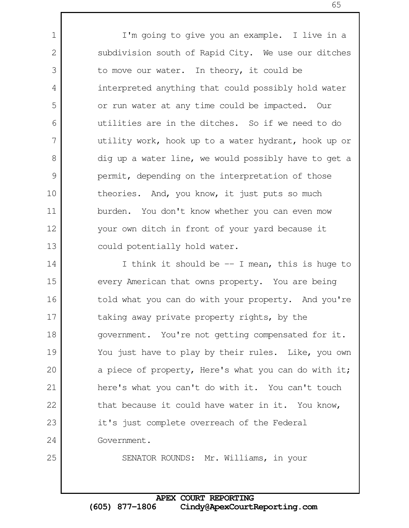I'm going to give you an example. I live in a subdivision south of Rapid City. We use our ditches to move our water. In theory, it could be interpreted anything that could possibly hold water or run water at any time could be impacted. Our utilities are in the ditches. So if we need to do utility work, hook up to a water hydrant, hook up or dig up a water line, we would possibly have to get a permit, depending on the interpretation of those theories. And, you know, it just puts so much burden. You don't know whether you can even mow your own ditch in front of your yard because it could potentially hold water.

I think it should be  $-$  I mean, this is huge to every American that owns property. You are being told what you can do with your property. And you're taking away private property rights, by the government. You're not getting compensated for it. You just have to play by their rules. Like, you own a piece of property, Here's what you can do with it; here's what you can't do with it. You can't touch that because it could have water in it. You know, it's just complete overreach of the Federal Government. 14 15 16 17 18 19 20 21 22 23 24

25

1

2

3

4

5

6

7

8

9

10

11

12

13

SENATOR ROUNDS: Mr. Williams, in your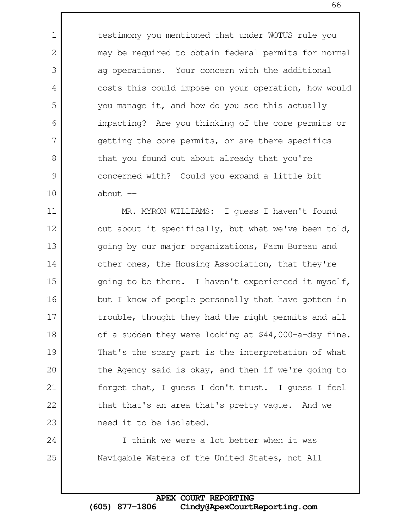testimony you mentioned that under WOTUS rule you may be required to obtain federal permits for normal ag operations. Your concern with the additional costs this could impose on your operation, how would you manage it, and how do you see this actually impacting? Are you thinking of the core permits or getting the core permits, or are there specifics that you found out about already that you're concerned with? Could you expand a little bit about  $--$ 

1

2

3

4

5

6

7

8

9

10

24

25

MR. MYRON WILLIAMS: I guess I haven't found out about it specifically, but what we've been told, going by our major organizations, Farm Bureau and other ones, the Housing Association, that they're going to be there. I haven't experienced it myself, but I know of people personally that have gotten in trouble, thought they had the right permits and all of a sudden they were looking at \$44,000-a-day fine. That's the scary part is the interpretation of what the Agency said is okay, and then if we're going to forget that, I guess I don't trust. I guess I feel that that's an area that's pretty vague. And we need it to be isolated. 11 12 13 14 15 16 17 18 19 20 21 22 23

I think we were a lot better when it was Navigable Waters of the United States, not All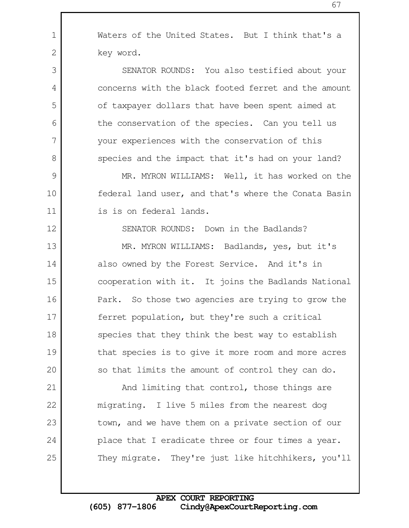**APEX COURT REPORTING (605) 877-1806 Cindy@ApexCourtReporting.com**

Waters of the United States. But I think that's a key word.

SENATOR ROUNDS: You also testified about your concerns with the black footed ferret and the amount of taxpayer dollars that have been spent aimed at the conservation of the species. Can you tell us your experiences with the conservation of this species and the impact that it's had on your land?

MR. MYRON WILLIAMS: Well, it has worked on the federal land user, and that's where the Conata Basin is is on federal lands.

SENATOR ROUNDS: Down in the Badlands?

MR. MYRON WILLIAMS: Badlands, yes, but it's also owned by the Forest Service. And it's in cooperation with it. It joins the Badlands National Park. So those two agencies are trying to grow the ferret population, but they're such a critical species that they think the best way to establish that species is to give it more room and more acres so that limits the amount of control they can do.

And limiting that control, those things are migrating. I live 5 miles from the nearest dog town, and we have them on a private section of our place that I eradicate three or four times a year. They migrate. They're just like hitchhikers, you'll

## 13

14

15

16

17

18

19

20

21

22

23

24

25

1

2

3

4

5

6

7

8

9

10

11

12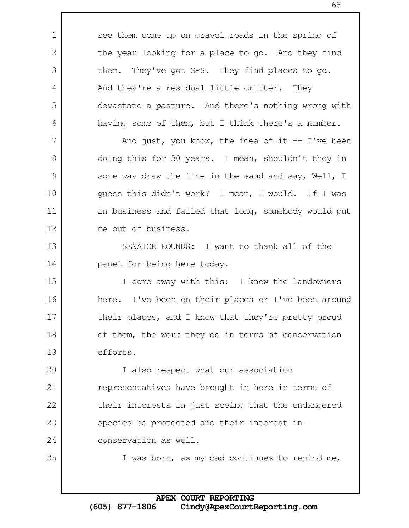see them come up on gravel roads in the spring of the year looking for a place to go. And they find them. They've got GPS. They find places to go. And they're a residual little critter. They devastate a pasture. And there's nothing wrong with having some of them, but I think there's a number. And just, you know, the idea of it  $-$  I've been doing this for 30 years. I mean, shouldn't they in some way draw the line in the sand and say, Well, I guess this didn't work? I mean, I would. If I was in business and failed that long, somebody would put me out of business. SENATOR ROUNDS: I want to thank all of the panel for being here today. I come away with this: I know the landowners here. I've been on their places or I've been around their places, and I know that they're pretty proud of them, the work they do in terms of conservation efforts. I also respect what our association representatives have brought in here in terms of their interests in just seeing that the endangered species be protected and their interest in conservation as well. I was born, as my dad continues to remind me, 1 2 3 4 5 6 7 8 9 10 11 12 13 14 15 16 17 18 19 20 21 22 23 24 25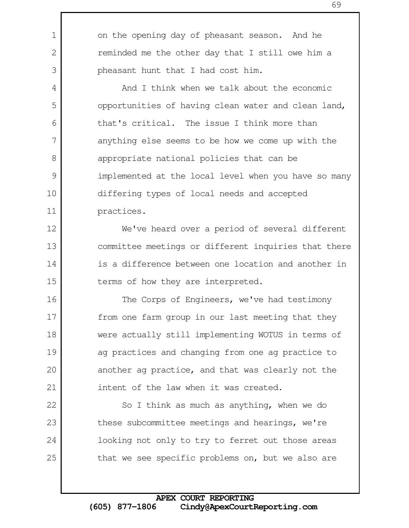on the opening day of pheasant season. And he reminded me the other day that I still owe him a pheasant hunt that I had cost him.

1

2

3

4

5

6

7

8

9

10

11

12

13

14

15

22

23

24

25

And I think when we talk about the economic opportunities of having clean water and clean land, that's critical. The issue I think more than anything else seems to be how we come up with the appropriate national policies that can be implemented at the local level when you have so many differing types of local needs and accepted practices.

We've heard over a period of several different committee meetings or different inquiries that there is a difference between one location and another in terms of how they are interpreted.

The Corps of Engineers, we've had testimony from one farm group in our last meeting that they were actually still implementing WOTUS in terms of ag practices and changing from one ag practice to another ag practice, and that was clearly not the intent of the law when it was created. 16 17 18 19 20 21

So I think as much as anything, when we do these subcommittee meetings and hearings, we're looking not only to try to ferret out those areas that we see specific problems on, but we also are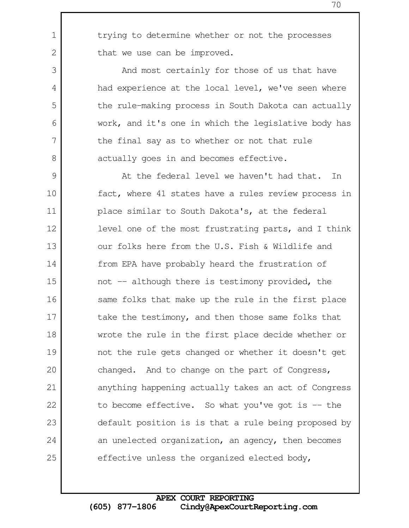trying to determine whether or not the processes that we use can be improved.

1

2

3

4

5

6

7

8

And most certainly for those of us that have had experience at the local level, we've seen where the rule-making process in South Dakota can actually work, and it's one in which the legislative body has the final say as to whether or not that rule actually goes in and becomes effective.

At the federal level we haven't had that. In fact, where 41 states have a rules review process in place similar to South Dakota's, at the federal level one of the most frustrating parts, and I think our folks here from the U.S. Fish & Wildlife and from EPA have probably heard the frustration of not -- although there is testimony provided, the same folks that make up the rule in the first place take the testimony, and then those same folks that wrote the rule in the first place decide whether or not the rule gets changed or whether it doesn't get changed. And to change on the part of Congress, anything happening actually takes an act of Congress to become effective. So what you've got is  $-$  the default position is is that a rule being proposed by an unelected organization, an agency, then becomes effective unless the organized elected body, 9 10 11 12 13 14 15 16 17 18 19 20 21 22 23 24 25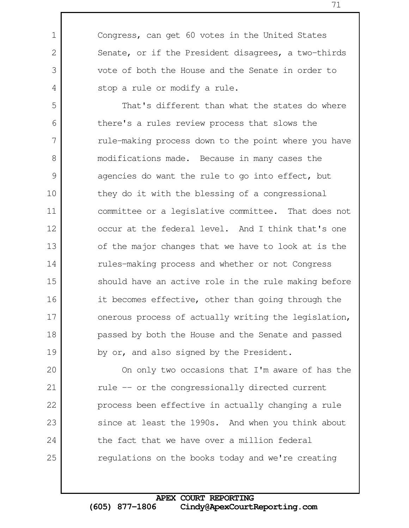Congress, can get 60 votes in the United States Senate, or if the President disagrees, a two-thirds vote of both the House and the Senate in order to stop a rule or modify a rule.

1

2

3

4

That's different than what the states do where there's a rules review process that slows the rule-making process down to the point where you have modifications made. Because in many cases the agencies do want the rule to go into effect, but they do it with the blessing of a congressional committee or a legislative committee. That does not occur at the federal level. And I think that's one of the major changes that we have to look at is the rules-making process and whether or not Congress should have an active role in the rule making before it becomes effective, other than going through the onerous process of actually writing the legislation, passed by both the House and the Senate and passed by or, and also signed by the President. 5 6 7 8 9 10 11 12 13 14 15 16 17 18 19

On only two occasions that I'm aware of has the rule -- or the congressionally directed current process been effective in actually changing a rule since at least the 1990s. And when you think about the fact that we have over a million federal regulations on the books today and we're creating 20 21 22 23 24 25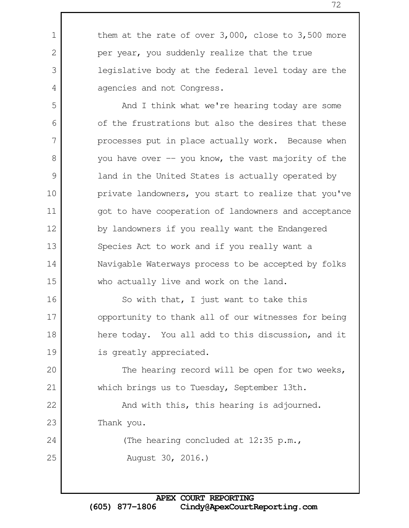them at the rate of over 3,000, close to 3,500 more per year, you suddenly realize that the true legislative body at the federal level today are the agencies and not Congress. And I think what we're hearing today are some of the frustrations but also the desires that these processes put in place actually work. Because when you have over  $-$  you know, the vast majority of the land in the United States is actually operated by private landowners, you start to realize that you've got to have cooperation of landowners and acceptance by landowners if you really want the Endangered Species Act to work and if you really want a Navigable Waterways process to be accepted by folks who actually live and work on the land. So with that, I just want to take this opportunity to thank all of our witnesses for being here today. You all add to this discussion, and it is greatly appreciated. The hearing record will be open for two weeks, which brings us to Tuesday, September 13th. And with this, this hearing is adjourned. Thank you. (The hearing concluded at 12:35 p.m., August 30, 2016.) 1 2 3 4 5 6 7 8 9 10 11 12 13 14 15 16 17 18 19 20 21 22 23 24 25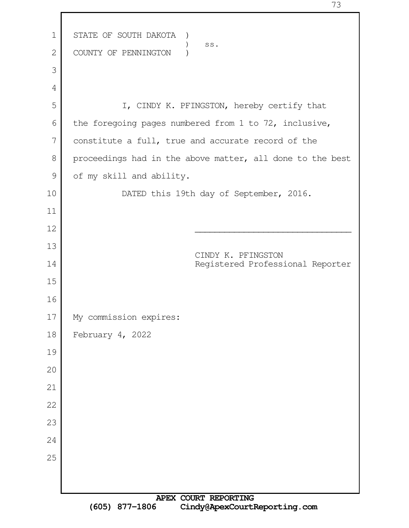| 1             | STATE OF SOUTH DAKOTA<br>$\lambda$                        |
|---------------|-----------------------------------------------------------|
| 2             | $\texttt{SS}$ .<br>COUNTY OF PENNINGTON                   |
| 3             |                                                           |
| 4             |                                                           |
| 5             | I, CINDY K. PFINGSTON, hereby certify that                |
| 6             | the foregoing pages numbered from 1 to 72, inclusive,     |
| 7             | constitute a full, true and accurate record of the        |
| 8             | proceedings had in the above matter, all done to the best |
| $\mathcal{G}$ | of my skill and ability.                                  |
| 10            | DATED this 19th day of September, 2016.                   |
| 11            |                                                           |
| 12            |                                                           |
| 13            |                                                           |
| 14            | CINDY K. PFINGSTON<br>Registered Professional Reporter    |
| 15            |                                                           |
| 16            |                                                           |
| 17            | My commission expires:                                    |
| 18            | February 4, 2022                                          |
| 19            |                                                           |
| 20            |                                                           |
| 21            |                                                           |
| 22            |                                                           |
| 23            |                                                           |
| 24            |                                                           |
| 25            |                                                           |
|               |                                                           |
|               | <b>NOTY COIDT PURCATION</b>                               |

г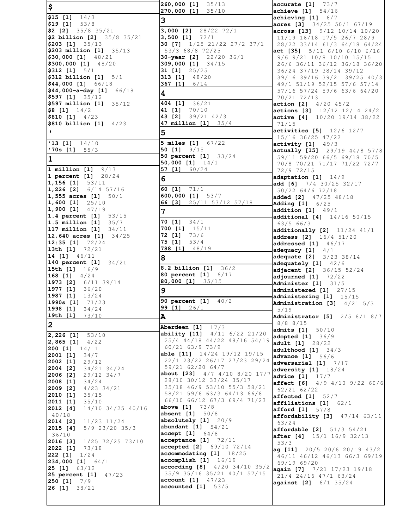| \$                                                                                        | 260,000 [1] 35/13<br>270,000 [1] 35/10                      | accurate [1] 73/7<br>achieve $[1]$ 54/16                    |
|-------------------------------------------------------------------------------------------|-------------------------------------------------------------|-------------------------------------------------------------|
| $$15$ [1] $14/3$                                                                          | 3                                                           | achieving $[1]$ 6/7                                         |
| $$19$ [1] $$3/8$<br>$\binom{2}{35/8}$ 35/21                                               | 3,000 [2] 28/22 72/1                                        | acres [3] 34/25 50/1 67/19<br>across [13] 9/12 10/14 10/20  |
| $\frac{1}{2}$ billion [2] 35/8 35/21<br>$$203$ [1] $35/13$                                | $3,500$ [1] $72/1$<br>30 [7] 1/25 21/22 27/2 37/1           | 11/19 16/18 17/5 26/7 28/9<br>28/22 33/14 61/3 64/18 64/24  |
| $$203$ million [1] $35/13$                                                                | 53/3 68/8 72/25                                             | act [35] 5/11 6/10 6/10 6/16                                |
| $$30,000$ [1] $48/21$                                                                     | 30-year [2] 22/20 36/1                                      | 9/6 9/21 10/8 10/10 15/15                                   |
| $$300,000$ [1] $48/20$<br>$$312$ [1] $5/1$                                                | 309,000 [1] 34/15<br><b>31 [1]</b> $25/25$                  | 26/6 36/11 36/12 36/18 36/20<br>36/24 37/19 38/14 39/12     |
| $$312$ billion $[1]$ $5/1$<br>$$44,000$ [1] 66/18                                         | 313 [1] 48/20<br>367 [1] $6/14$                             | 39/16 39/16 39/21 39/25 40/3<br>49/1 51/19 52/15 57/6 57/14 |
| $$44,000-a-day$ [1] 66/18                                                                 | 4                                                           | 57/16 57/24 59/6 63/6 64/20                                 |
| $$597$ [1] $35/12$<br>\$597 million $[1]$ 35/12                                           | 404 [1] 36/21                                               | 70/21 72/13<br>action [2] $4/20$ $45/2$                     |
| $\frac{1}{2}$ (1) 14/2                                                                    | 41 [1] 70/10                                                | actions [3] 12/12 12/14 24/2                                |
| $$810$ [1] $4/23$<br>$$810 billion [1]$ 4/23                                              | 43 [2] 39/21 42/3<br>47 million [1] 35/4                    | <b>active [4]</b> 10/20 19/14 38/22<br>71/15                |
| $\mathbf{I}$                                                                              | 5                                                           | <b>activities</b> $[5]$ $12/6$ $12/7$                       |
| '13 [1] $14/10$                                                                           | <b>5 miles [1]</b> 67/22                                    | 15/16 36/25 47/22<br>activity [1] 49/3                      |
| $'70s$ [1] $55/3$                                                                         | 50 $[1]$ $9/15$<br>50 percent [1] 33/24                     | actually [15] 29/19 44/8 57/8                               |
| 1                                                                                         | $50,000$ [1] $14/1$                                         | 59/11 59/20 66/5 69/18 70/5<br>70/8 70/21 71/17 71/22 72/7  |
| 1 million $[1]$ $9/13$<br>1 percent [1] 28/24                                             | 57 [1] $60/24$                                              | 72/9 72/15                                                  |
| $1,156$ [1] $53/11$                                                                       | 6                                                           | adaptation $[1]$ $14/9$<br>add [6] $7/4$ 30/25 32/17        |
| $1,226$ [2] $6/14$ 57/16<br>$\begin{bmatrix} 1, 555 \text{ acres} & 1 \end{bmatrix}$ 50/1 | 60 $[1]$ 71/1<br>600,000 [1] 53/7                           | 50/22 64/6 72/18                                            |
| $1,600$ [1] $25/10$                                                                       | 66 [3] $25/11$ 53/12 57/18                                  | added [2] 47/25 48/18<br>Adding [1] 6/25                    |
| $1,900$ [1] $47/19$<br>1.4 percent [1] 53/15                                              | 7                                                           | addition $[1]$ 49/1                                         |
| 1.5 million $[1]$ 35/7                                                                    | 34/1<br>70 [1]                                              | additional [4] 14/16 50/15<br>63/566/3                      |
| $117$ million $[1]$<br>34/11<br>12,640 acres [1] 34/25                                    | 700 $[1]$ $15/11$<br>$72$ [1] $73/6$                        | additionally [2] 11/24 41/1                                 |
| $12:35$ [1] $72/24$                                                                       | 75 [1]<br>53/4                                              | address [2] 16/4 51/20<br>addressed $[1]$ 46/17             |
| 13th [1] 72/21<br>14 [1] 46/11                                                            | 788 [1] 48/19                                               | adequacy $[1]$ 4/1                                          |
| 140 percent [1] 34/21                                                                     | 8                                                           | adequate [2] 3/23 38/14<br>adequately [1] 42/6              |
| 15th $[1]$ 16/9<br>168 [1] $4/24$                                                         | 8.2 billion [1] 36/2<br>80 percent [1] 6/17                 | adjacent [2] 36/15 52/24                                    |
| 1973 [2] 6/11 39/14                                                                       | 80,000 [1] 35/15                                            | adjourned $[1]$ 72/22<br>Administer [1] 31/5                |
| $1977$ [1]<br>36/20<br>1987 [1]<br>13/24                                                  | 9                                                           | administered [1] 27/15<br>administering [1] 15/15           |
| 1990s [1] 71/23                                                                           | 90 percent [1] 40/2                                         | Administration $[3]$ 4/21 5/3                               |
| 1998 [1]<br>34/24<br>19th $[1]$ 73/10                                                     | <b>99 [1]</b> $26/1$<br>A                                   | 5/19<br>Administrator [5] 2/5 8/1 8/7                       |
| 2                                                                                         | 17/3<br>Aberdeen [1]                                        | 8/8 8/15                                                    |
| $2,226$ [1]<br>53/10                                                                      | <b>ability [11]</b> 4/11 6/22 21/20                         | admits [1]<br>50/10<br>adopted [1] 36/9                     |
| 4/22<br>[2, 865 [1]<br><b>200 [1]</b> $14/11$                                             | 25/4 44/18 44/22 48/16 54/19<br>60/21 63/9 73/9             | <b>adult</b> $[1]$ $28/22$                                  |
| 2001 [1]<br>34/7                                                                          | <b>able [11]</b> $14/24$ 19/12 19/15                        | adulthood $[1]$ 34/3<br><b>advance</b> [1] 56/6             |
| 2002 [1]<br>29/12<br>2004 [2]<br>34/21 34/24                                              | 22/1 23/22 26/17 27/23 29/24<br>59/21 62/20 64/7            | adversarial $[1]$ $7/17$                                    |
| 2006 [2]<br>29/12 34/7                                                                    | <b>about [23]</b> $4/7$ $4/10$ $8/20$ $17/7$                | adversity [1] 18/24<br><b>advice</b> $[1]$ $17/7$           |
| 2008 [1]<br>34/24<br>2009 [2]<br>$4/23$ 34/21                                             | 28/10 30/12 33/24 35/17<br>35/18 46/9 53/10 55/3 58/21      | affect [6] 4/9 4/10 9/22 60/6                               |
| 2010 [1]<br>35/15                                                                         | 58/21 59/6 63/3 64/13 66/8                                  | 62/21 62/22<br>affected $[1]$ 52/7                          |
| 2011 [1]<br>35/10<br>2012 [4]<br>14/10 34/25 40/16                                        | 66/10 66/12 67/3 69/4 71/23<br><b>above</b> $[1]$ 73/8      | $affiliations$ [1] $62/1$<br><b>afford</b> [1] 57/8         |
| 40/18                                                                                     | absent [1] 50/8                                             | affordability [3] 47/14 63/11                               |
| $11/23$ $11/24$<br>2014 [2]<br>5/9 23/20 35/3<br>2015 [4]                                 | absolutely $[1]$ 20/9<br>abundant $[1]$ 54/21               | 63/24<br><b>affordable [2]</b> $51/3$ $54/21$               |
| 36/10                                                                                     | <b>accept</b> $[1] 64/8$<br>acceptance [1] 72/11            | after [4] 15/1 16/9 32/13                                   |
| 2016 [3]<br>1/25 72/25 73/10<br>2022 [1] 73/18                                            | accepted [2] 69/10 72/14                                    | 53/3<br><b>ag [11]</b> $20/5$ 20/6 20/19 43/2               |
| <b>222 [1]</b> $1/24$                                                                     | accommodating [1] 18/25<br>accomplish [1] 16/19             | 46/11 46/12 46/13 66/3 69/19                                |
| <b>234,000 [1]</b> $64/1$<br><b>25 [1]</b> $63/12$                                        | according [8] 4/20 34/10 35/2                               | 69/19 69/20<br>again [7] 7/21 17/23 19/18                   |
| 25 percent [1] 47/23                                                                      | 35/9 35/16 35/21 40/1 57/15<br><b>account</b> $[1]$ $47/23$ | 21/4 24/16 47/1 63/24                                       |
| [250 [1]<br>7/9<br>[26 [1]<br>38/21                                                       | accounted [1] 53/5                                          | <b>against</b> [2] 6/1 35/24                                |
|                                                                                           |                                                             |                                                             |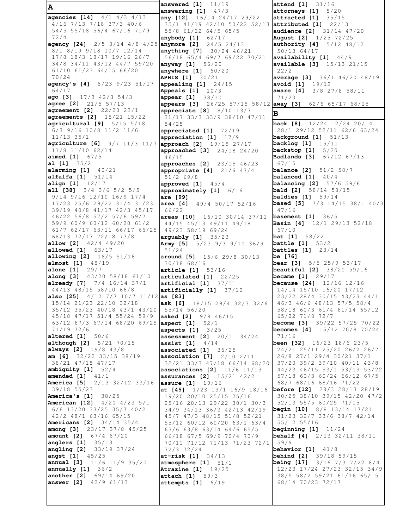**A agencies [14]** 4/1 4/3 4/13 4/16 7/13 7/18 37/3 40/6 54/5 55/18 56/4 67/16 71/9 72/4 **agency [24]** 2/5 3/14 4/8 4/25 **anymore [2]** 24/5 24/13 8/1 8/19 9/18 10/7 12/14 17/8 18/3 18/17 19/16 26/7 34/8 34/11 43/12 44/7 59/20 61/10 61/23 64/15 66/20 70/24 **agency's [4]** 8/23 9/23 51/17 64/17 **ago [3]** 17/3 42/3 54/3 **agree [2]** 21/5 57/13 **agreement [2]** 22/20 23/1 **agreements [2]** 15/21 15/22 **agricultural [9]** 5/15 5/18 6/3 9/16 10/8 11/2 11/6 11/13 35/1 **agriculture [6]** 9/7 11/3 11/7 11/8 11/10 62/14 **aimed [1]** 67/5 **al [1]** 35/2 **alarming [1]** 40/21 **alfalfa [1]** 51/14 **align [1]** 12/17 **all [38]** 3/4 3/6 5/2 5/5 9/14 9/16 12/10 16/9 17/4 17/23 25/6 29/22 31/4 31/23 39/19 40/8 41/17 42/3 45/17 46/22 56/8 57/2 57/6 59/7 59/9 60/9 60/12 60/20 61/2 61/7 62/17 63/11 66/17 66/25 68/13 72/17 72/18 73/8 **allow [2]** 42/4 49/20 **allowed [1]** 63/17 **allowing [2]** 16/5 51/16 **almost [1]** 48/19 **alone [1]** 29/7 **along [3]** 43/20 58/18 61/10 **already [7]** 7/4 16/14 37/1 44/13 48/15 58/10 66/8 **also [25]** 4/12 7/7 10/7 11/12 **as [83]**  15/14 21/23 22/10 32/18 35/12 35/23 40/18 43/1 43/20 45/18 47/17 51/4 55/24 59/9 63/12 67/3 67/14 68/20 69/25 **aspect [1]** 52/1 71/19 72/6 **altered [1]** 50/6 **although [2]** 5/21 70/15 **always [2]** 19/8 43/8 **am [6]** 32/22 33/15 38/19 38/21 47/15 47/17 **ambiguity [1]** 52/4 **amended [1]** 41/1 **America [5]** 2/13 32/12 33/16 39/18 55/23 **America's [1]** 38/25 **American [12]** 4/20 4/23 5/1 6/6 13/20 33/25 35/7 40/2 42/2 48/1 63/16 65/15 **Americans [2]** 34/14 35/4 **among [3]** 23/17 37/8 45/25 **amount [2]** 67/4 67/20 **anglers [1]** 35/13 **angling [2]** 33/19 37/24 **angst [1]** 45/25 **annual [3]** 11/6 11/9 35/20 **annually [1]** 36/2 **another [2]** 69/14 69/20 **answer [2]** 42/9 61/13 **answered [1]** 11/19 **answering [1]** 47/3 **any [12]** 16/14 24/17 29/22 35/1 41/19 42/10 50/22 52/13 55/8 61/22 64/5 65/5 **anybody [1]** 62/17 **anything [7]** 30/24 46/21 56/18 65/4 69/7 69/22 70/21 **anyway [1]** 56/20 **anywhere [1]** 60/20 **APHIS [1]** 30/21 **appealing [1]** 24/15 **Appeals [1]** 10/3 **appear [1]** 38/10 **appears [3]** 26/25 57/15 58/12 **away [3]** 62/6 65/17 68/15 **appreciate [8]** 8/10 13/7 31/17 33/3 33/9 38/10 47/11 54/25 **appreciated [1]** 72/19 **appreciation [1]** 17/9 **approach [2]** 19/15 27/17 **approached [3]** 24/18 24/20 46/15 **approaches [2]** 23/15 46/23 **appropriate [4]** 21/6 47/4 51/2 69/8 **approved [1]** 45/4 **approximately [1]** 6/16 **are [99] area [4]** 49/4 50/17 52/16 66/22 **areas [10]** 16/10 30/14 37/11 44/15 45/13 49/11 49/18 49/23 58/19 69/24 **arguably [1]** 35/23 **Army [5]** 5/23 9/3 9/10 36/9 51/24 **around [5]** 15/6 29/8 30/13 30/18 68/16 **article [1]** 53/16 **articulated [1]** 22/25 **artificial [1]** 37/11 **artificially [1]** 37/10 **ask [6]** 18/15 29/4 32/3 32/6 55/14 56/20 **asked [2]** 9/8 46/15 **aspects [1]** 3/25 **assessment [2]** 20/11 34/24 **assist [1]** 4/14 **associated [1]** 36/25 **association [7]** 2/10 2/11 32/21 33/3 47/18 66/14 68/20 **associations [2]** 11/6 11/13 **assurances [2]** 15/21 42/2 **assure [1]** 19/16 **at [45]** 1/23 13/1 16/9 18/16 19/20 20/10 25/15 25/16 25/16 28/13 29/22 30/1 30/3 34/9 34/13 36/3 42/13 42/19 45/7 47/3 48/15 51/8 52/21 55/12 60/12 60/20 63/1 63/4 63/6 63/8 63/14 64/6 65/5 66/18 67/5 69/9 70/4 70/9 70/11 71/12 71/13 71/23 72/1 72/3 72/24 **at-risk [1]** 34/13 **atmosphere [1]** 51/1 **Atrazine [1]** 19/25 **attach [1]** 59/3 **attempts [1]** 6/19 **attend [1]** 31/16 **attorneys [1]** 5/20 **attracted [1]** 35/15 **attributed [1]** 22/13 **audience [2]** 31/14 47/20 **August [2]** 1/25 72/25 **authority [4]** 5/12 48/12 50/13 64/17 **availability [1]** 44/9 **available [3]** 15/13 21/15 22/2 **average [3]** 36/1 46/20 48/19 **avoid [1]** 19/12 **aware [4]** 3/8 27/8 58/11 71/20 **B back [8]** 12/24 12/24 20/14 28/1 29/12 52/11 62/6 63/24 **background [1]** 51/13 **backlog [1]** 15/11 **backstop [1]** 5/25 **Badlands [3]** 67/12 67/13 67/15 **balance [2]** 51/2 58/7 **balanced [1]** 40/4 **balancing [2]** 57/6 59/6 **bald [2]** 58/14 58/15 **baldies [1]** 59/14 **based [5]** 7/3 14/15 38/1 40/3 47/16 **basement [1]** 36/5 **Basin [4]** 12/1 29/13 52/18 67/10 **bat [1]** 58/22 **battle [1]** 53/2 **battles [1]** 23/14 **be [76] bear [3]** 5/5 25/9 53/17 **beautiful [2]** 38/20 59/16 **became [1]** 29/17 **because [24]** 12/16 12/16 14/14 15/10 16/20 17/12 23/22 28/4 30/15 43/23 44/1 46/3 46/6 48/13 57/5 58/4 58/18 60/3 61/4 61/14 65/12 65/22 71/8 72/7 **become [3]** 39/22 57/25 70/22 **becomes [4]** 15/12 70/8 70/24 71/16 **been [32]** 16/23 18/6 23/5 24/21 25/11 25/20 26/2 26/7 26/8 27/1 29/4 30/21 37/1 37/20 39/2 39/10 40/11 43/8 44/23 46/15 53/1 53/13 53/22 57/18 60/3 60/24 66/12 67/5 68/7 68/16 68/16 71/22 **before [12]** 28/3 28/13 28/19 30/25 38/10 39/15 42/20 47/2 52/13 55/5 60/25 71/15 **begin [10]** 8/8 13/14 17/21 31/23 32/7 33/6 38/7 42/14 55/12 55/16 **beginning [1]** 11/24 **behalf [4]** 2/13 32/11 38/11 59/9 **behavior [1]** 41/8 **behind [2]** 39/18 59/15 **being [17]** 3/16 7/3 7/22 8/4 12/23 17/24 27/23 32/15 34/9 38/5 58/2 59/21 61/16 65/15 68/14 70/23 72/17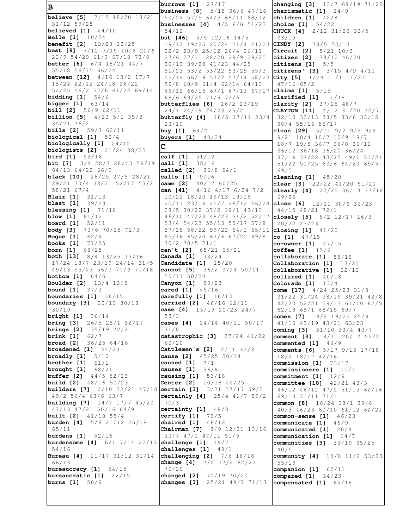**B believe [5]** 7/15 18/20 18/21 31/12 59/25 **believed [1]** 24/10 **Belle [1]** 10/24 **benefit [2]** 13/20 13/25 **best [9]** 7/12 7/15 10/6 22/6 22/9 54/20 61/3 67/18 73/8 **better [6]** 6/4 18/21 44/7 55/18 56/15 66/24 **between [12]** 4/16 13/2 17/7 18/24 22/12 24/18 26/22 52/25 56/2 57/6 61/22 69/14 **bidding [1]** 54/6 **bigger [1]** 63/14 **bill [2]** 56/9 62/11 **billion [5]** 4/23 5/1 35/8 35/21 36/2 **bills [2]** 59/3 62/11 **biological [1]** 50/4 **biologically [1]** 24/12 **biologists [2]** 21/24 38/25 **bird [1]** 59/16 **bit [7]** 3/4 28/7 28/13 56/19 64/13 64/22 66/9 **black [10]** 26/25 27/5 28/21 29/21 30/4 38/21 52/17 53/2 58/21 67/4 **Blair [1]** 31/13 **blast [1]** 39/23 **blessing [1]** 71/10 **blow [1]** 61/12 **board [1]** 52/11 **body [3]** 70/6 70/25 72/3 **Bogue [1]** 62/9 **books [1]** 71/25 **born [1]** 68/25 **both [13]** 8/4 13/25 17/16 17/24 18/7 23/19 24/14 31/5 49/13 55/23 56/3 71/3 71/18 **bottom [1]** 64/6 **Boulder [2]** 13/4 13/5 **bound [1]** 37/3 **boundaries [1]** 36/15 **boundary [3]** 30/13 30/18 30/19 **bright [1]** 36/14 **bring [3]** 26/5 28/1 52/17 **brings [2]** 35/19 72/21 **brink [1]** 62/7 **broad [2]** 36/25 64/16 **broadened [1]** 44/23 **broadly [1]** 5/10 **brother [1]** 61/1 **brought [1]** 68/21 **buffer [2]** 44/5 52/23 **build [2]** 48/16 50/23 **builders [7]** 2/10 32/21 47/18 **certain [3]** 3/21 37/17 59/2 49/2 56/4 63/6 63/7 **building [7]** 14/7 17/7 45/20 47/13 47/21 50/16 64/9 **built [2]** 41/18 55/4 **burden [4]** 5/6 21/12 25/18 65/11 **burdens [1]** 52/16 **burdensome [4]** 6/1 7/14 22/17 **challenge [1]** 19/7 54/16 **Bureau [4]** 11/17 31/12 31/14 66/13 **bureaucracy [1]** 54/15 **bureaucratic [1]** 22/15 **burns [1]** 50/9

**burrows [1]** 27/17 **business [8]** 5/18 36/6 47/16 50/24 57/5 64/5 68/11 68/12 **businesses [4]** 4/5 6/6 51/23 54/12 **but [46]** 5/5 12/16 14/5 19/12 19/25 20/24 21/4 21/23 **CINDY [2]** 73/5 73/13 22/2 23/9 25/12 26/4 26/11 27/6 27/11 28/20 29/9 29/25 30/13 39/20 41/23 44/25 51/23 53/2 53/22 53/25 55/3 55/14 56/19 57/2 57/14 58/23 **City [5]** 1/24 11/1 11/23 59/8 60/9 61/4 62/14 64/13 66/12 66/16 67/1 67/13 67/17 68/6 69/25 71/9 72/6 **butterflies [6]** 16/2 23/19 24/1 24/19 24/23 25/2 **butterfly [4]** 16/5 17/11 23/4 23/10 **buy [1]** 64/2 **buyers [1]** 48/24 **C calf [1]** 51/12 **call [1]** 38/16 **called [2]** 36/8 54/1 **calls [1]** 9/16 **came [2]** 40/17 60/25 **can [41]** 4/16 4/17 6/24 7/2 10/22 18/20 19/13 19/16 20/13 23/16 25/7 26/12 26/24 **close [6]** 12/11 30/6 32/23 28/5 30/22 37/2 39/1 43/13 46/10 47/23 48/23 51/2 52/17 53/4 54/23 55/13 55/17 57/8 57/25 58/22 59/22 64/1 65/11 **closing [1]** 41/20 65/16 65/20 67/6 67/20 69/8 70/2 70/5 71/1 **can't [2]** 65/21 65/21 **Canada [1]** 33/24 **Candidate [1]** 15/20 **cannot [5]** 36/2 37/4 50/11 50/17 50/24 **Canyon [1]** 58/23 **cared [1]** 45/16 **carefully [1]** 16/13 **carried [2]** 46/16 62/11 **case [4]** 15/19 20/23 24/7 58/3 **cases [4]** 24/14 40/11 50/17 71/8 **catastrophic [3]** 27/24 41/22 60/20 **Cattlemen's [2]** 2/11 33/3 **cause [2]** 45/25 50/14 **caused [1]** 7/1 **causes [1]** 56/6 **causing [1]** 53/18 **Center [2]** 10/18 42/25 **certainly [4]** 25/4 41/7 59/2 70/3 **certainty [1]** 48/8 **certify [1]** 73/5 **chaired [1]** 46/12 **Chairman [7]** 8/9 12/21 13/16 33/7 47/1 47/11 51/5 **challenges [1]** 49/1 **challenging [2]** 7/6 18/18 **change [4]** 7/2 37/4 62/23 70/20 **changed [2]** 70/19 70/20 **changes [3]** 25/21 49/7 71/13

**changing [3]** 13/7 69/19 71/22 **charismatic [1]** 24/9 **children [1]** 42/8 **choice [1]** 54/22 **CHUCK [4]** 2/12 31/20 33/5 33/15 **Circuit [2]** 5/21 10/3 **citizen [2]** 38/12 46/20 **citizens [1]** 5/5 **citizens' [3]** 3/15 4/9 4/11 47/16 65/2 **claims [1]** 5/15 **clarified [1]** 11/18 **clarity [2]** 37/25 48/7 **CLAYTON [11]** 2/12 31/20 32/7 32/10 32/13 33/5 33/6 33/15 38/4 55/16 55/17 **clean [29]** 5/11 9/2 9/5 9/9 9/21 10/4 10/7 10/9 18/7 18/7 19/5 36/7 36/8 36/11 36/12 36/18 36/20 36/24 37/19 37/22 43/25 49/1 51/21 51/22 51/25 63/6 64/20 69/5 69/5 **cleaning [1]** 45/20 **clear [3]** 22/22 41/20 51/21 **clearly [4]** 22/25 36/13 37/18 69/20 44/15 48/21 72/1 **closely [5]** 6/2 12/17 16/3 20/22 23/23 **co [1]** 47/15 **co-owner [1]** 47/15 **coffee [1]** 15/6 **collaborate [1]** 55/18 **Collaboration [1]** 13/21 **collaborative [1]** 22/12 **collared [1]** 40/18 **Colorado [1]** 13/4 **come [17]** 4/24 25/23 31/8 31/22 31/24 38/19 39/21 42/8 42/20 52/21 59/13 61/10 62/5 62/18 68/1 68/15 69/7 **comes [7]** 19/4 19/25 25/9 41/10 43/19 43/21 63/23 **coming [3]** 31/10 33/4 43/7 **comment [3]** 18/10 20/12 55/2 **commented [1]** 46/9 **comments [6]** 5/17 9/13 17/18 18/2 18/17 42/16 **commission [1]** 73/17 **commissioners [1]** 11/7 **commitment [1]** 12/9 **committee [10]** 42/21 43/3 46/12 46/12 47/2 51/15 62/16 69/13 71/11 71/11 **common [8]** 16/24 38/1 39/6 40/3 46/23 60/10 61/12 62/24 **common-sense [1]** 46/23 **communicate [1]** 46/9 **communicated [1]** 20/4 **communication [1]** 14/7 **communities [3]** 33/19 35/25 40/5 **community [4]** 10/8 11/2 53/23 55/19 **companion [1]** 62/11 **compared [1]** 34/23 **compensated [1]** 65/18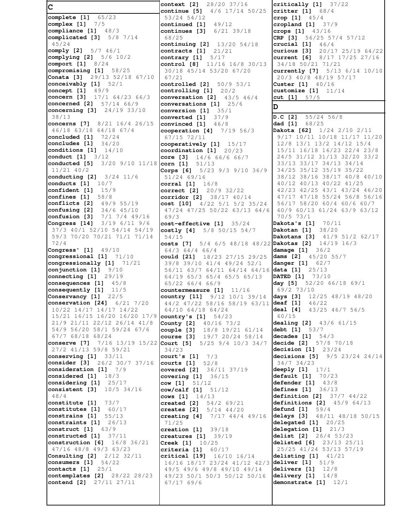**C complete [1]** 65/23 **complex [1]** 7/5 **compliance [1]** 48/3 **complicated [3]** 5/8 7/14 45/24 **comply [2]** 5/7 46/1 **complying [2]** 5/6 10/2 **comport [1]** 8/24 **compromising [1]** 58/25 **Conata [3]** 29/13 52/18 67/10 **conceivably [1]** 52/1 **concept [1]** 49/9 **concern [3]** 17/1 64/23 66/3 **concerned [2]** 57/14 66/9 **concerning [3]** 24/19 33/10 38/13 **concerns [7]** 8/21 16/4 26/15 46/18 63/18 64/18 67/4 **concluded [1]** 72/24 **concludes [1]** 34/20 **conditions [1]** 14/10 **conduct [1]** 3/12 **conducted [5]** 3/20 9/10 11/18 **corn [1]** 51/13 11/21 40/2 **conducting [2]** 3/24 11/6 **conducts [1]** 10/7 **confident [1]** 15/9 **confines [1]** 58/8 **conflicts [2]** 49/9 55/19 **confusing [2]** 34/6 45/10 **confusion [3]** 7/1 7/4 49/16 **Congress [14]** 3/19 6/11 9/6 37/3 40/1 52/10 54/14 54/19 59/3 70/20 70/21 71/1 71/14 72/4 **Congress' [1]** 49/10 **congressional [1]** 71/10 **congressionally [1]** 71/21 **conjunction [1]** 9/10 **connecting [1]** 29/19 **consequences [1]** 45/8 **consequently [1]** 11/5 **Conservancy [1]** 22/5 **conservation [24]** 6/21 7/20 10/22 14/17 14/17 14/22 15/21 16/15 16/20 16/20 17/9 21/9 21/11 22/12 26/14 41/8 54/9 56/20 58/1 59/24 67/6 67/7 68/18 68/24 **conserve [7]** 7/16 13/19 15/22 **Court [5]** 5/25 9/4 10/3 34/7 27/2 41/13 59/8 59/21 **conserving [1]** 33/11 **consider [3]** 26/2 30/7 37/16 **consideration [1]** 7/9 **considered [1]** 18/3 **considering [1]** 25/17 **consistent [3]** 10/5 34/16 48/4 **constitute [1]** 73/7 **constitutes [1]** 60/17 **constrains [1]** 55/13 **constraints [1]** 26/13 **construct [1]** 63/9 **constructed [1]** 37/11 **construction [6]** 16/8 36/21 47/16 48/8 49/3 63/23 **Consulting [2]** 2/12 32/11 **consumers [1]** 54/22 **contacts [1]** 25/1 **contemplates [2]** 28/22 28/23 **contend [2]** 27/11 27/11

**context [2]** 28/20 37/16 **continue [5]** 4/6 17/14 50/25 53/24 54/12 **continued [1]** 49/12 **continues [3]** 6/21 39/18 68/25 **continuing [2]** 13/20 54/18 **contracts [1]** 21/21 **contrary [1]** 5/17 **control [8]** 11/16 16/8 30/13 30/18 45/14 53/20 67/20 67/21 **controlled [2]** 50/9 53/1 **controlling [1]** 20/2 **conversation [2]** 43/5 46/4 **conversations [1]** 25/6 **conversion [1]** 35/1 **converted [1]** 37/9 **convinced [1]** 46/8 **cooperation [4]** 7/19 56/3 67/15 72/11 **cooperatively [1]** 15/17 **coordination [1]** 20/23 **core [3]** 14/6 66/6 66/7 **Corps [6]** 5/23 9/3 9/10 36/9 51/24 69/16 **corral [1]** 16/8 **correct [2]** 20/9 32/22 **corridor [2]** 38/17 40/14 **cost [10]** 4/22 5/1 5/2 35/24 47/24 47/25 50/22 63/13 64/6 69/3 **cost-effective [1]** 35/24 **costly [4]** 5/8 50/15 54/7 54/15 **costs [7]** 5/4 6/5 48/18 48/22 **Dakotas [2]** 14/19 16/3 64/3 64/4 66/4 **could [21]** 18/23 27/15 29/25 39/8 39/10 41/4 49/24 52/1 56/11 63/7 64/11 64/14 64/16 **data [1]** 25/13 64/19 65/3 65/4 65/5 65/13 65/22 66/4 66/9 **countermeasure [1]** 11/16 **country [11]** 9/12 10/1 39/14 44/2 47/22 58/16 58/19 63/11 64/10 64/18 64/24 **country's [1]** 54/23 **County [2]** 40/16 73/2 **couple [3]** 18/8 19/21 61/14 **course [3]** 19/7 20/24 58/14 34/23 **court's [1]** 7/3 **courts [1]** 52/8 **covered [2]** 36/11 37/19 **covering [1]** 36/15 **cow [1]** 51/12 **cow/calf [1]** 51/12 **cows [1]** 14/13 **created [2]** 54/2 69/21 **creates [2]** 5/14 44/20 **creating [4]** 7/17 44/4 49/16 71/25 **creation [1]** 39/18 **creatures [1]** 39/19 **Creek [1]** 10/25 **criteria [1]** 60/17 **critical [19]** 16/10 16/14 16/16 18/17 23/24 41/12 42/3 49/5 49/6 49/8 49/10 49/14 49/23 50/1 50/3 50/12 50/16 67/17 69/6

**critically [1]** 37/22 **critter [1]** 68/4 **crop [1]** 45/4 **cropland [1]** 37/9 **crops [1]** 43/16 **CRP [3]** 56/25 57/4 57/12 **crucial [1]** 46/4 **curious [3]** 20/17 25/19 64/22 **current [6]** 8/17 17/25 27/16 34/18 50/21 71/21 **currently [7]** 5/13 6/14 10/10 20/3 40/8 48/19 57/17 **Custer [1]** 40/16 **customize [1]** 11/14 **cut [1]** 57/5 **D D.C [2]** 55/24 56/8 **dad [1]** 68/25 **Dakota [62]** 1/24 2/10 2/11 9/17 10/11 10/18 11/17 11/20 12/8 13/1 13/2 14/12 15/4 15/11 16/18 16/23 22/4 23/8 24/5 31/12 31/13 32/20 33/2 33/13 33/17 34/13 34/14 34/25 35/12 35/19 35/22 38/12 38/16 38/17 40/8 40/10 40/12 40/13 40/22 41/25 42/23 42/25 43/1 43/24 46/20 47/17 47/18 55/24 56/8 56/16 56/17 58/20 60/4 60/6 60/7 60/9 60/13 61/24 63/9 63/12 70/5 73/1 **Dakota's [1]** 70/11 **Dakotan [1]** 38/20 **Dakotans [3]** 41/9 51/2 62/17 **damage [1]** 36/2 **dams [2]** 45/20 55/7 **danger [1]** 62/7 **DATED [1]** 73/10 **day [5]** 52/20 66/18 69/1 69/2 73/10 **days [3]** 12/25 48/19 48/20 **deaf [1]** 46/22 **deal [4]** 43/25 46/7 56/5 60/15 **dealing [2]** 43/6 61/15 **debt [1]** 53/7 **decades [1]** 54/3 **decide [2]** 57/8 70/18 **decision [1]** 23/24 **decisions [5]** 9/5 23/24 24/14 34/7 34/23 **deeply [1]** 17/1 **default [1]** 70/23 **defender [1]** 43/8 **defines [1]** 36/13 **definition [2]** 37/7 44/22 **definitions [2]** 45/9 64/13 **defund [1]** 59/4 **delays [3]** 48/11 48/18 50/15 **delegated [1]** 20/25 **delegation [1]** 21/3 **delist [2]** 26/4 53/23 **delisted [6]** 23/13 25/11 25/25 41/24 53/13 57/19 **delisting [1]** 41/21 **deliver [1]** 51/9 **delivers [1]** 12/8 **delivery [1]** 14/8 **demonstrate [1]** 12/1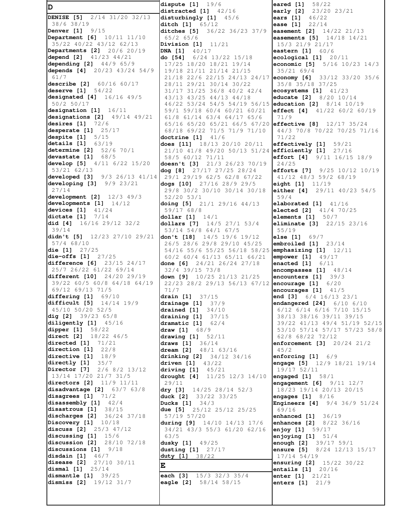**D DENISE [5]** 2/14 31/20 32/13 38/6 38/19 **Denver [1]** 9/15 **Department [6]** 10/11 11/10 35/22 40/22 43/12 62/13 **Departments [2]** 20/6 20/19 **depend [2]** 41/23 44/21 **depending [2]** 44/9 65/9 **depends [4]** 20/23 43/24 54/9 61/7 **describe [2]** 60/16 60/17 **deserve [1]** 54/22 **designated [4]** 16/16 49/5 50/2 50/17 **designation [1]** 16/11 **designations [2]** 49/14 49/21 **desires [1]** 72/6 **desperate [1]** 25/17 **despite [1]** 5/15 **details [1]** 63/19 **determine [2]** 52/6 70/1 **devastate [1]** 68/5 **develop [5]** 4/11 6/22 15/20 53/21 62/13 **developed [3]** 9/3 26/13 41/14 **developing [3]** 9/9 23/21 27/14 **development [2]** 12/3 49/3 **developments [1]** 14/12 **devices [1]** 41/24 **dictate [1]** 7/14 **did [4]** 16/16 29/12 32/2 39/14 **didn't [5]** 12/23 27/10 29/21 57/4 68/10 **die [1]** 27/25 **die-offs [1]** 27/25 **difference [6]** 23/15 24/17 25/7 26/22 61/22 69/14 **different [10]** 24/20 29/19 39/22 60/5 60/8 64/18 64/19 69/12 69/13 71/5 **differing [1]** 69/10 **difficult [5]** 14/14 19/9 45/10 50/20 52/5 **dig [2]** 39/23 65/8 **diligently [1]** 45/16<br>**dipper [1]** 58/22 **dipper [1]** 58/22 **direct [2]** 18/22 46/5 **directed [1]** 71/21 **direction [1]** 22/8 **directive [1]** 18/9 **directly [1]** 35/7 **Director [7]** 2/6 8/2 13/12 13/14 17/20 21/7 31/5 **directors [2]** 11/9 11/11 **disadvantage [2]** 63/7 63/8 **disagrees [1]** 71/2 **disassembly [1]** 42/4 **disastrous [1]** 38/15 **discharges [2]** 36/24 37/18 **Discovery [1]** 10/18 **discuss [2]** 25/3 47/12 **discussing [1]** 15/6 **discussion [2]** 28/10 72/18 **discussions [1]** 9/18 **disdain [1]** 46/7 **disease [2]** 27/10 30/11 **dismal [1]** 25/14 **dismantle [1]** 39/25 **dismiss [2]** 19/12 31/7

**dispute [1]** 19/6 **distracted [1]** 42/16 **disturbingly [1]** 45/6 **ditch [1]** 65/12 **ditches [5]** 36/22 36/23 37/9 65/2 65/6 **Division [1]** 11/21 **DNA [1]** 40/17 **do [54]** 6/24 13/22 15/18 17/25 18/20 18/21 19/14 19/18 21/11 21/14 21/15 21/18 22/6 22/15 24/13 24/17 28/11 29/21 30/14 30/22 31/17 31/25 36/8 40/2 42/4 43/13 43/25 44/13 44/18 46/22 53/24 54/5 54/19 56/15 59/1 59/18 60/4 60/21 60/21 61/8 61/14 63/4 64/17 65/6 65/16 65/20 65/21 66/5 67/20 **effective [8]** 12/17 35/24 68/18 69/22 71/5 71/9 71/10 **doctrine [1]** 41/6 **does [11]** 18/13 20/10 20/11 21/10 41/8 49/20 50/13 51/24 58/5 60/12 71/11 **doesn't [3]** 21/3 26/23 70/19 **dog [8]** 27/17 27/25 28/24 29/1 29/19 62/5 62/8 67/22 **dogs [10]** 27/16 28/9 29/5 29/8 30/2 30/10 30/14 30/18 52/20 53/1 **doing [5]** 21/1 29/16 44/13 59/17 68/8 **dollar [1]** 14/1 **dollars [7]** 14/5 27/1 53/4 53/14 54/8 64/1 67/5 **don't [18]** 14/5 19/6 19/12 26/5 28/6 29/8 29/10 45/25 54/16 55/6 55/25 56/18 58/25 60/2 60/4 61/13 65/11 66/21 **done [6]** 24/21 26/24 27/18 32/4 39/15 73/8 **down [9]** 10/25 21/13 21/25 22/23 28/2 29/13 56/13 67/12 71/7 **drain [1]** 37/15 **drainage [1]** 37/9 **drained [1]** 34/10 **draining [1]** 37/15 **dramatic [1]** 62/4 **draw [1]** 68/9 **drawing [1]** 52/11 **draws [1]** 36/14 **dream [2]** 48/1 63/16 **drinking [2]** 34/12 34/16 **driven [1]** 43/22 **driving [1]** 45/21 **drought [4]** 11/25 12/3 14/10 29/11 **dry [3]** 14/25 28/14 52/3 **duck [2]** 33/22 33/25 **Ducks [1]** 34/3 **due [5]** 25/12 25/12 25/25 57/19 57/20 **during [9]** 14/10 14/13 17/6 34/21 43/3 55/3 61/20 62/16 63/5 **dusky [1]** 49/25 **dusting [1]** 27/17 **duty [1]** 38/22 **E each [3]** 15/3 32/3 35/4 **eagle [2]** 58/14 58/15

**eared [1]** 58/22 **early [2]** 23/20 23/21<br>**ears [1]** 46/22<br>**ease [1]** 22/14 **ears** [1] **ease** [1] **easement [2]** 14/22 21/13 **easements [5]** 14/18 14/21 15/3 21/9 21/17 **eastern [1]** 60/6 **ecological [1]** 20/11 **economic [5]** 5/16 10/23 14/3 35/21 69/4 **economy [6]** 33/12 33/20 35/6 35/8 35/18 37/25 **ecosystems [1]** 41/23 **educate [2]** 8/20 10/14 **education [2]** 8/14 10/19 **effect [4]** 41/22 60/2 60/19 71/9 44/3 70/8 70/22 70/25 71/16 71/22 **effectively [1]** 59/21 **efficiently [1]** 27/16 **effort [4]** 9/11 16/15 18/9 24/25 **efforts [7]** 9/25 10/12 10/19 41/12 48/3 59/2 68/19 **eight [1]** 11/19 **either [4]** 29/11 40/23 54/5 59/4 **elaborated [1]** 41/16 **elected [2]** 41/4 70/25 **elements [1]** 50/7 **eliminate [3]** 22/15 23/16 55/19 **else [1]** 69/7 **embroiled [1]** 23/14 **emphasizing [1]** 12/11 **empower [1]** 49/17 **enacted [1]** 6/11 **encompasses [1]** 48/14 **encounters [1]** 39/3 **encourage [1]** 6/20 **encourages [1]** 41/5 **end [3]** 6/4 16/13 23/1 **endangered [24]** 6/10 6/10 6/12 6/14 6/16 7/10 15/15 38/13 38/16 39/11 39/15 39/22 41/13 49/4 51/19 52/15 53/10 57/14 57/17 57/23 58/8 62/8 68/22 72/12 **enforcement [3]** 20/24 21/2 45/2 **enforcing [1]** 6/9 **engage [5]** 12/9 18/21 19/14 19/17 52/11 **engaged [1]** 58/1 **engagement [6]** 9/11 12/7 18/23 19/14 20/13 20/15 **engages [1]** 8/16 **Engineers [4]** 9/4 36/9 51/24 69/16 **enhanced [1]** 36/19 **enhances [2]** 8/22 36/16 **enjoy [1]** 59/17 **enjoying [1]** 51/4 **enough [2]** 39/17 59/1 **ensure [5]** 8/24 12/13 15/17 17/14 54/19 **ensuring [2]** 15/22 30/22 **entails [1]** 20/16 **enter [1]** 21/21 **enters [1]** 21/9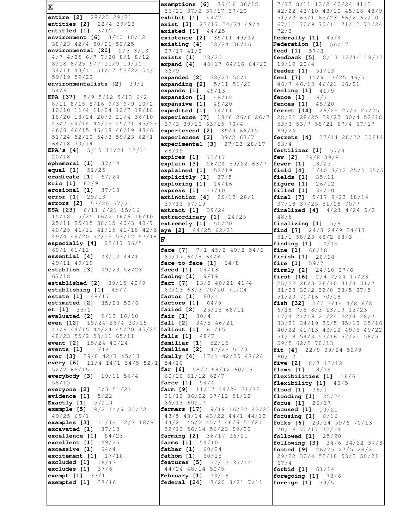**E entire [2]** 28/23 29/21 **entities [2]** 22/4 39/23 **entitled [1]** 3/12 **environment [6]** 3/10 10/12 38/23 42/4 50/21 53/25 **environmental [20]** 2/5 3/13 4/7 4/25 6/7 7/20 8/1 8/12 8/18 8/25 9/7 11/9 19/10 34/11 43/11 51/17 53/22 54/1 59/19 59/23 **environmentalists [2]** 39/1 54/6 **EPA [37]** 5/9 5/12 5/13 6/2 8/11 8/15 8/16 9/3 9/9 10/2 10/10 11/4 11/24 12/7 18/18 18/20 18/24 20/3 21/4 36/10 43/7 44/14 44/15 45/21 45/23 46/8 46/15 46/18 46/19 48/6 51/24 52/10 54/3 59/23 62/1 64/18 70/14 **EPA's [4]** 5/15 11/21 12/11 20/18 **ephemeral [1]** 37/14 **equal [1]** 51/25 **eradicate [1]** 67/24 **Eric [1]** 62/9 **erosional [1]** 37/13 **error [1]** 25/13 **errors [2]** 57/20 57/21 **ESA [23]** 6/11 6/21 15/16 15/18 15/25 16/2 16/6 16/10 25/11 25/15 38/15 40/3 40/7 40/25 41/11 41/15 41/18 42/6 **eye [2]** 44/25 62/21 49/4 49/20 52/15 53/12 57/18 **F especially [4]** 25/17 56/5 60/1 61/11 **essential [4]** 33/12 44/1 49/11 49/19 **establish [3]** 49/23 52/23 67/18 **established [2]** 39/15 40/9 **establishing [1]** 49/7 **estate [1]** 48/17 **estimated [2]** 35/20 53/6 **et [1]** 35/2 **evaluated [2]** 9/13 16/10 **even [12]** 15/24 26/4 30/15 41/6 44/15 44/24 45/20 45/25 **fallout [1]** 61/15 48/23 55/2 58/11 65/11 **event [2]** 15/24 40/24 **events [1]** 11/14 **ever [3]** 39/8 42/7 45/13 **every [6]** 11/4 14/1 34/5 52/1 52/2 65/15 **everybody [3]** 19/11 56/4 58/15 **everyone [2]** 3/3 51/21 **evidence [1]** 5/22 **Exactly [1]** 57/10 **example [5]** 9/2 14/9 33/22 49/25 65/1 **examples [3]** 11/14 12/7 18/8 **excavated [1]** 37/10 **excellence [1]** 54/23 **excellent [1]** 49/25 **excessive [1]** 64/4 **excitement [1]** 17/10 **excluded [1]** 16/13 **excludes [1]** 37/6 **exempt [1]** 37/1 **exempted [1]** 37/16

**exemptions [6]** 36/16 36/18 36/21 37/2 37/17 37/20 **exhibit [1]** 44/2 **exist [3]** 23/17 24/24 49/4 **existed [1]** 44/25 **existence [2]** 39/11 49/12 **existing [4]** 28/24 36/16 37/17 41/2 **exists [1]** 28/25 **expand [4]** 48/17 64/16 64/22 66/9 **expanded [2]** 38/23 50/1 **expanding [2]** 5/11 51/23 **expands [1]** 49/13 **expansion [1]** 48/12 **expansive [1]** 49/20 **expedited [1]** 14/11 **experience [7]** 18/6 26/6 26/7 39/3 39/10 63/15 70/4 **experienced [2]** 39/9 66/15 **experiences [2]** 39/2 67/7 **experimental [3]** 27/23 28/17 28/19 **expires [1]** 73/17 **explain [3]** 26/24 59/22 63/7 **explained [1]** 52/19 **explicitly [1]** 37/5 **exploring [1]** 14/16 **express [1]** 17/10 **extinction [4]** 25/12 26/1 39/13 57/19 **extract [1]** 39/24 **extraordinary [1]** 24/25 **extremely [1]** 50/20 **face [7]** 7/1 45/2 49/2 54/6 63/17 64/8 64/8 **face-to-face [1]** 64/8 **faced [1]** 24/13 **facing [1]** 9/19 **fact [7]** 13/5 40/21 41/4 60/23 63/3 70/10 71/24 **factor [1]** 60/1 **factors [1]** 64/9 **failed [2]** 25/15 68/11 **fair [1]** 30/4 **fall [2]** 34/5 46/21 **falls [1]** 48/7 **familiar [1]** 52/16 **families [2]** 47/25 51/3 **family [4]** 17/1 42/25 47/24 54/10 **far [6]** 58/7 58/12 60/15 60/20 61/12 62/7 **farce [1]** 54/4 **farm [9]** 11/17 14/24 31/12 31/13 36/22 37/12 51/12 66/13 69/17 **farmers [17]** 9/19 16/22 42/23 **focused [1]** 10/21 43/5 43/14 43/22 44/1 44/12 44/21 45/2 45/7 46/6 51/21 52/12 56/14 56/23 59/20 **farming [2]** 36/17 36/21 **farms [1]** 54/10 **father [1]** 60/24 **fathom [1]** 60/15 **features [5]** 37/13 37/14 44/24 48/14 50/5 **February [1]** 73/18 **federal [24]** 3/20 3/21 7/11

 7/13 8/11 12/2 40/24 41/3 42/22 43/10 43/10 45/18 48/9 51/23 63/1 65/23 66/2 67/10 67/11 70/9 70/11 71/12 71/24 72/3 **federally [1]** 45/4 **Federation [1]** 56/17 **feed [1]** 57/3 **feedback [5]** 8/13 12/14 18/12 19/19 20/4 **feeder [1]** 51/13 **feel [7]** 15/9 17/25 46/7 46/7 46/18 46/21 66/21 **feeling [1]** 41/9 **fence [1]** 16/7 **fences [1]** 45/20 **ferret [14]** 26/25 27/5 27/25 28/21 28/25 29/22 30/4 52/18 53/3 53/7 58/21 67/4 67/17 69/24 **ferrets [4]** 27/14 28/22 30/14 53/4 **fertilizer [1]** 57/4 **few [2]** 29/8 39/8 **fewer [1]** 18/23 **field [4]** 1/10 3/12 25/5 35/5 **fields [1]** 35/11 **figure [1]** 26/12 **filled [1]** 34/10 **final [7]** 5/17 9/23 18/14 37/18 37/25 51/25 70/7 **finalized [4]** 4/21 4/24 5/2 48/6 **finalizing [1]** 5/9 **find [7]** 24/8 24/9 24/17 51/1 58/23 68/2 68/3 **finding [1]** 14/15 **fine [1]** 66/18 **finish [1]** 28/18 **fire [1]** 59/7 **firmly [2]** 24/10 27/6 **first [16]** 2/4 7/24 17/23 25/22 26/3 26/10 31/4 31/7 31/23 32/2 32/8 33/5 37/5 51/20 70/16 70/18 **fish [32]** 2/7 3/14 4/8 6/8 6/18 7/8 8/3 13/19 13/23 17/4 21/19 21/24 22/4 28/7 33/21 34/19 35/5 35/10 35/16 40/22 41/13 43/12 49/6 49/22 51/18 54/3 57/16 57/21 58/5 59/5 62/2 70/13 **fit [4]** 22/9 39/24 52/8 60/12 **five [2]** 8/7 13/12 **flaws [1]** 18/19 **flexibilities [1]** 16/6 **flexibility [1]** 40/5 **flood [1]** 36/1 **flooding [1]** 35/24 **focus [1]** 26/17 **focusing [1]** 8/16 **folks [6]** 20/14 59/6 70/13 70/16 70/17 72/14 **followed [1]** 25/20 **following [3]** 34/6 34/22 37/8 **footed [9]** 26/25 27/5 28/21 29/22 30/4 52/18 53/3 58/21 67/4 **forbid [1]** 61/14 **foregoing [1]** 73/6 **foreign [1]** 39/5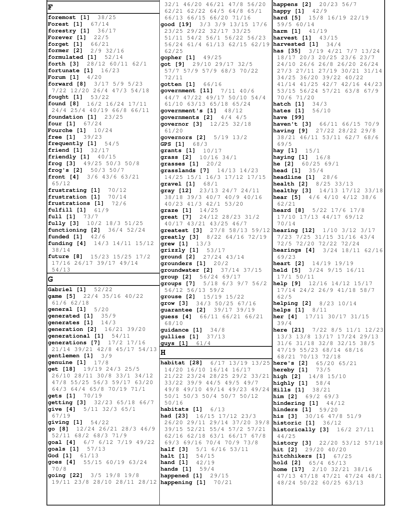**F foremost [1]** 38/25 **Forest [1]** 67/14 **forestry [1]** 36/17 **Forever [1]** 22/5 **forget [1]** 66/21 **former [2]** 2/9 32/16 **formulated [1]** 52/14 **forth [3]** 28/12 60/11 62/1 **fortunate [1]** 16/23 **Forum [1]** 4/20 **forward [8]** 3/17 5/9 5/23 7/22 12/20 26/4 47/3 54/18 **fought [1]** 53/22 **found [8]** 16/2 16/24 17/11 24/4 25/4 40/19 66/8 66/11 **foundation [1]** 23/25 **four [1]** 67/24 **Fourche [1]** 10/24 **free [1]** 39/23 **frequently [1]** 54/5 **friend [1]** 32/17 **friendly [1]** 40/15 **frog [3]** 49/25 50/3 50/8 **frog's [2]** 50/3 50/7 **front [4]** 3/6 43/6 63/21 65/12 **frustrating [1]** 70/12<br>**frustration [1]** 70/14 frustration [1] **frustrations [1]** 72/6 **fulfill [1]** 61/9 **full [1]** 73/7 **fully [3]** 10/2 18/3 51/25 **functioning [2]** 36/4 52/24 **funded [1]** 42/6 **funding [4]** 14/3 14/11 15/12 38/14 **future [8]** 15/23 15/25 17/2 17/16 26/17 39/17 49/14 54/13 **G Gabriel [1]** 52/22 **game [5]** 22/4 35/16 40/22 61/6 62/18 **general [1]** 5/20 **generated [1]** 35/9 **generates [1]** 14/3 **generation [2]** 16/21 39/20 **generational [1]** 54/11 **generations [7]** 17/2 17/16 21/14 39/21 42/8 45/17 54/13 **gentlemen [1]** 3/9 **genuine [1]** 17/8 **get [18]** 19/19 24/3 25/5 26/10 28/11 30/8 33/1 34/12 47/8 55/25 56/3 59/17 63/20 64/3 64/4 65/8 70/19 71/1 **gets [1]** 70/19 **getting [3]** 32/23 65/18 66/7 **give [4]** 5/11 32/3 65/1 67/19 **giving [1]** 54/22 **go [8]** 12/24 26/21 28/3 46/9 52/11 68/2 68/3 71/9 **goal [4]** 6/7 6/12 7/19 49/22 **goals [1]** 57/13 **God [1]** 61/13 **goes [4]** 55/15 60/19 63/24 70/8 **going [22]** 3/5 19/8 19/8 19/11 23/8 28/10 28/11 28/12 **happening [1]** 70/21

 32/1 46/20 46/21 47/8 56/20 62/21 62/22 64/5 64/8 65/1 66/13 66/15 66/20 71/16 **good [19]** 3/3 3/9 13/15 17/6 23/25 29/22 32/17 33/25 51/11 54/2 56/1 56/22 56/23 56/24 61/4 61/13 62/15 62/19 **harvested [1]** 34/4 62/25 **gopher [1]** 49/25 **got [9]** 29/10 29/17 32/5 57/7 57/9 57/9 68/3 70/22 72/11 **gotten [1]** 66/16 **government [11]** 7/11 40/6 44/7 47/22 49/17 50/10 54/4 61/10 63/13 65/18 65/24 **government's [1]** 48/12 **governments [2]** 4/4 4/5 **governor [3]** 12/25 32/18 61/20 **governors [2]** 5/19 13/2 **GPS [1]** 68/3 **grants [1]** 10/17 **grass [2]** 10/16 34/1 **grasses [1]** 20/2 **grasslands [7]** 14/13 14/23 14/25 15/1 16/3 17/12 17/15 **gravel [1]** 68/1 **gray [12]** 23/13 24/7 24/11 38/18 39/3 40/7 40/9 40/16 40/23 41/3 42/1 53/20 **graze [1]** 14/25 **great [7]** 24/12 28/23 31/2 40/17 43/21 43/25 46/7 **greatly [3]** 8/22 64/16 72/19 **grew [1]** 13/3 **grizzly [1]** 53/17 **ground [2]** 27/24 43/14 **grounders [1]** 20/2 **groundwater [2]** 37/14 37/15 **group [2]** 56/24 69/17 **groups [7]** 5/18 6/3 9/7 56/2 56/12 56/13 59/2 **grouse [2]** 15/19 15/22 **grow [3]** 34/3 50/25 67/16 **guarantee [2]** 39/17 39/19 **guess [4]** 66/11 66/21 66/21 68/10 **guidance [1]** 34/8 **gullies [1]** 37/13 **guys [1]** 61/4 **H habitat [28]** 6/17 13/19 13/25 14/20 16/10 16/14 16/17 21/22 23/24 28/25 29/2 33/21 33/22 39/9 44/5 49/5 49/7 49/8 49/10 49/14 49/23 49/24 50/1 50/3 50/4 50/7 50/12 50/16 **habitats [1]** 6/13 **had [23]** 16/15 17/12 23/3 26/20 29/11 29/14 37/20 39/8 **historic [1]** 36/12 39/15 52/21 55/4 57/2 57/21 62/16 62/18 63/1 66/17 67/8 69/3 69/16 70/4 70/9 73/8 **half [3]** 5/1 6/16 53/11 **halt [1]** 54/15 **hand [1]** 42/19 **hands [1]** 59/4 **happened [1]** 29/15

**greatest [3]** 27/8 58/13 59/12 **hearing [12]** 1/10 3/12 3/17 **happens [2]** 20/23 56/7 **happy [1]** 42/9 **hard [5]** 15/8 16/19 22/19 59/5 60/14 **harm [1]** 41/19 **harvest [1]** 43/15 **has [35]** 3/19 4/21 7/7 13/24 18/17 20/3 20/25 23/6 23/7 24/10 26/6 26/8 26/20 26/24 27/3 27/11 27/19 30/21 31/14 34/25 36/20 39/22 40/22 41/14 41/25 42/7 42/16 44/23 53/15 56/24 57/21 63/8 67/9 70/6 71/20 **hatch [1]** 34/3 **hates [1]** 56/10 **have [99] haven't [3]** 66/11 66/15 70/9 **having [9]** 27/22 28/22 29/8 38/21 46/11 53/11 62/7 68/6 69/5 **hay [1]** 15/1 **haying [1]** 16/8 **he [2]** 60/25 69/1 **head [1]** 35/4 **headline [1]** 28/6 **health [2]** 8/25 33/13 **healthy [3]** 14/13 17/12 33/18 **hear [5]** 4/6 4/10 4/12 38/6 62/21 **heard [8]** 5/22 17/6 17/8 17/10 17/13 44/17 69/12 70/14 7/23 7/25 31/15 31/16 43/4 72/5 72/20 72/22 72/24 **hearings [4]** 3/24 18/11 62/16 69/23 **heart [2]** 14/19 19/19 **held [5]** 3/24 9/15 16/11 17/1 50/11 **help [9]** 12/16 14/12 15/17 17/14 24/2 26/9 41/18 58/7 62/5 **helping [2]** 8/23 10/14 **helps [1]** 8/11 **her [4]** 17/11 30/17 31/15 39/4 **here [21]** 7/22 8/5 11/1 12/23 13/3 13/8 13/17 17/24 29/13 31/6 31/18 32/8 32/15 38/5 47/19 55/23 68/14 68/16 68/21 70/13 72/18 **here's [2]** 65/20 65/21 **hereby [1]** 73/5 **high [2]** 14/8 15/10 **highly [1]** 58/4 **Hills [1]** 38/21 **him [2]** 69/2 69/3 **hindering [1]** 44/12 **hinders [1]** 59/20 **his [3]** 30/16 47/8 51/9 **historically [3]** 16/2 27/11 44/25 **history [3]** 22/20 53/12 57/18 **hit [2]** 29/20 40/20 **hitchhikers [1]** 67/25 **hold [2]** 65/4 65/13 **home [17]** 2/10 32/21 38/16 47/13 47/18 47/21 47/24 48/1 48/24 50/22 60/25 63/13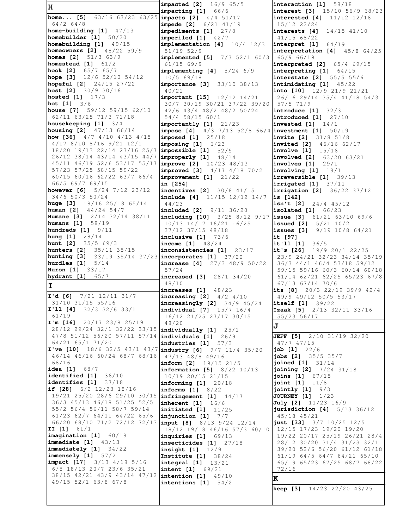| H                                                                         | <b>impacted</b> [2] 16/9 65/5                                              | interaction $[1]$ 58/18                                                   |
|---------------------------------------------------------------------------|----------------------------------------------------------------------------|---------------------------------------------------------------------------|
| home [5] 63/16 63/23 63/25 impacts [2] 4/4 51/17                          | impacting [1] 66/6                                                         | <b>interest</b> [3] 15/10 56/9 68/23<br><b>interested</b> [4] 11/12 12/18 |
| $64/2$ 64/8                                                               | impede [2] 6/21 41/19                                                      | 15/12 22/24                                                               |
| home-building $[1]$ $47/13$                                               | impediments $[1]$ 27/8                                                     | interests [4]<br>$14/15$ $41/10$                                          |
| homebuilder [1] 50/20<br>homebuilding [1] 49/15                           | imperiled $[1]$ $42/7$                                                     | $41/15$ 68/22                                                             |
| homeowners [2] 48/22 59/9                                                 | $implementation$ [4] $10/4$ 12/3<br>51/19 52/9                             | interpret [1]<br>64/19<br>interpretation $[4]$ 45/8 64/25                 |
| homes [2]<br>$51/3$ 63/9                                                  | implemented [5] 7/3 52/1 60/3                                              | 65/9 66/19                                                                |
| homestead [1] 61/2                                                        | 61/1569/9                                                                  | <b>interpreted [2]</b> 65/4 69/15                                         |
| hook [2] 65/7 65/7<br>hope [3] $12/6$ 52/10 54/12                         | implementing $[4]$ 5/24 6/9                                                | interpreting $[1]$ 64/15                                                  |
| hopeful $[2]$ $24/15$ $27/22$                                             | $10/5$ 69/18<br><b>importance [3]</b> 33/10 38/13                          | <b>interstate [2]</b> 55/5 55/6<br>intimidating $[1]$ 45/22               |
| host [2] 30/9 30/16                                                       | 40/21                                                                      | into $[10]$ $12/9$ $21/9$ $21/21$                                         |
| hosted [1] 17/3                                                           | important [15] 12/12 14/21                                                 | 26/16 29/14 35/4 41/18 54/3                                               |
| <b>hot</b> [1] $3/6$<br>house [7] 59/12 59/15 62/10                       | 30/7 30/19 30/21 37/22 39/20<br>42/6 43/4 48/2 48/2 50/24                  | $57/5$ 71/9<br>introduce $[1]$ 32/3                                       |
| 62/11 63/25 71/3 71/18                                                    | 54/4 58/15 60/1                                                            | introduced $[1]$ 27/10                                                    |
| housekeeping $[1]$ 3/4                                                    | $importantly$ [1] $21/23$                                                  | invested $[1]$ $14/1$                                                     |
| housing [2] 47/13 66/14                                                   | <b>impose [4]</b> $4/3$ $7/13$ $52/8$ $66/4$ <b>investment [1]</b> $50/19$ |                                                                           |
| how [36] $4/7$ $4/10$ $4/13$ $4/15$<br>$4/17$ $8/10$ $8/16$ $9/21$ $12/1$ | imposed $[1]$ $25/18$<br>imposing $[1]$ $6/23$                             | invite [2] 31/8 51/8<br><b>invited</b> [2] 46/16 62/17                    |
| 18/20 19/13 22/14 23/16 25/7 impossible [1] 52/5                          |                                                                            | <b>involve</b> $[1]$ $15/16$                                              |
| 26/12 38/14 43/14 43/15 44/7 improperly [1] 48/14                         |                                                                            | <b>involved</b> [2] $63/20$ $63/21$                                       |
| 45/11 46/19 52/6 53/17 55/17 improve [2] 10/23 48/13                      |                                                                            | involves $[1]$ 29/1                                                       |
| 57/23 57/25 58/15 59/22<br>60/15 60/16 62/22 63/7 66/4                    | <b>improved</b> [3] $4/17$ $4/18$ $70/2$                                   | involving $[1]$ $18/1$                                                    |
| 66/5 69/7 69/15                                                           | $improvement$ [1] $21/22$<br>in [254]                                      | irreversible [1] 39/13<br>irrigated $[1]$ 37/11                           |
| however [6] 5/24 7/12 23/12                                               | incentives [2] 30/8 41/15                                                  | <b>irrigation [2]</b> $36/22$ $37/12$                                     |
| 34/6 50/3 50/24                                                           | include [4] $11/15$ $12/12$ $14/7$                                         | is [142]                                                                  |
| huge [3] $18/16$ 25/18 65/14<br>human [2] 44/24 54/7                      | 44/23<br><b>included</b> [2] 9/11 36/20                                    | isn't [2] $24/4$ 45/12<br>isolated $[1]$ $66/23$                          |
| Humane [3] 2/14 32/14 38/11                                               | including [10] 3/25 8/12 9/17 issue [3] 61/21 63/10 69/6                   |                                                                           |
| humans [1] 58/19                                                          | 10/13 14/17 16/21 16/25                                                    | <b>issued</b> [2] $5/21$ $10/2$                                           |
| hundreds [1] 9/11                                                         | 37/12 37/15 48/18                                                          | issues [3] $9/19$ $10/8$ $64/21$                                          |
| hung [1]<br>28/14<br><b>hunt</b> [2] $35/569/3$                           | inclusive $[1]$ 73/6<br><b>income</b> $[1]$ 48/24                          | it [97]<br>it'll [1]<br>36/5                                              |
| hunters [2] 35/11 35/15                                                   | inconsistencies [1]<br>23/17                                               | it's [26] $19/9$ 20/1 22/25                                               |
| hunting [3]<br>hurdles $[1]$ $5/14$                                       | 33/19 35/14 37/23 incorporates [1] 37/20                                   | 23/9 24/21 32/23 34/14 35/19                                              |
| Huron [1] 33/17                                                           | increase $[4]$ 27/3 48/9 50/22<br>57/24                                    | 36/3 44/1 46/4 53/18 59/12<br>59/15 59/16 60/3 60/14 60/18                |
| hydrant [1] 65/7                                                          | increased [3] 28/1 34/20                                                   | 61/14 62/21 62/25 65/23 67/8                                              |
| ΙI                                                                        | 48/10<br>increases $[1]$ 48/23                                             | 67/13 67/14 70/6<br>its [8]<br>20/3 22/19 39/9 42/4                       |
| I'd [6]<br>$7/21$ $12/11$ $31/7$                                          | <b>increasing [2]</b> $4/2$ $4/10$                                         | 49/9 49/12 50/5 53/17                                                     |
| 31/10 31/15 55/16                                                         | $increasingly$ [2] $34/9$ 45/24                                            | <b>itself</b> $[1] 39/22$                                                 |
| $I'11$ [4]<br>$32/3$ $32/6$ $33/1$<br>61/19                               | individual [7] 15/7 16/4<br>16/12 21/25 27/17 30/15                        | <b>Izaak [5]</b> 2/13 32/11 33/16<br>55/23 56/17                          |
| $I'm$ [16]<br>20/17 23/8 25/19                                            | 48/20                                                                      | J                                                                         |
| 28/12 29/24 32/1 32/22 33/15 <i>individually</i> [1]                      | 25/1                                                                       |                                                                           |
| 47/8 51/12 56/20 57/11 57/14 individuals [1] 26/9<br>64/21 65/1 71/20     | industries $[1]$ 57/3                                                      | <b>JEFF [5]</b> 2/10 31/19 32/20<br>$47/7$ $47/15$                        |
| I've [10] $18/6$ 32/5 43/1 43/7 industry [6]                              | $9/7$ 11/4 35/20                                                           | job $[1]$ 22/6                                                            |
| 46/14 46/16 60/24 68/7 68/16                                              |                                                                            |                                                                           |
|                                                                           | 47/13 48/8 49/16                                                           | jobs [2] 35/5 35/7                                                        |
| 68/16                                                                     | inform [2] 19/15 21/5                                                      | joined [1]<br>31/14                                                       |
| idea [1] $68/7$<br>identified [1]<br>36/10                                | <b>information [5]</b> $8/22$ $10/13$<br>10/19 20/15 21/15                 | joining $[2]$ $7/24$ $31/18$<br>67/15<br>joins [1]                        |
| identifies [1] 37/18                                                      | informing $[1]$ 20/18                                                      | joint $[1]$ $11/8$                                                        |
| if [28] $6/2$ 12/23 18/16                                                 | informs $[1]$ 8/22                                                         | jointly [1]<br>9/3                                                        |
| 19/21 25/20 28/6 29/10 30/15<br>36/3 45/13 46/18 51/25 52/5               | infringement $[1]$ 44/17<br>inherent $[1]$ 16/6                            | <b>JOURNEY [1]</b> 1/23<br><b>July [2]</b> 11/23 16/9                     |
| 55/2 56/4 56/11 58/7 59/14                                                | initiated $[1]$ $11/25$                                                    | jurisdiction $[4]$ 5/13 36/12                                             |
| 61/23 62/7 64/11 64/22 65/6                                               | injunction $[1]$ $7/7$                                                     | 45/18 45/21                                                               |
| 66/20 68/10 71/2 72/12 72/13 input [8] 8/13 9/24 12/14<br>II $[1]$ $61/1$ | 18/12 19/18 46/16 57/3 60/10                                               | just [33] $3/7$ 10/25 12/5<br>12/15 17/23 19/20 19/20                     |
| imagination [1] 60/18                                                     | inquiries $[1]$ 69/13                                                      | 19/22 20/17 25/19 26/21 28/4                                              |
| immediate $[1]$ $43/13$                                                   | insecticides $[1]$ 27/18                                                   | 28/12 30/20 31/4 31/23 32/1                                               |
| immediately [1] 34/22<br>$\text{immensely}$ [1] $57/2$                    | $insight$ [1] $12/9$<br>Institute $[1]$ 38/24                              | 39/20 52/6 56/20 61/12 61/18<br>61/19 64/5 64/7 64/21 65/10               |
| <b>impact</b> [17] 3/13 4/18 5/16                                         | integral [1] 13/21                                                         | 65/19 65/23 67/25 68/7 68/22                                              |
| 6/5 18/13 20/7 23/6 35/21                                                 | <b>intent</b> $[1] 69/21$                                                  | 72/16                                                                     |
| 38/15 42/21 43/9 43/14 47/12 intention [1] 49/10<br>49/15 52/1 63/8 67/8  | intentions $[1]$ 54/2                                                      | K                                                                         |
|                                                                           |                                                                            | keep [3] 14/23 22/20 43/25                                                |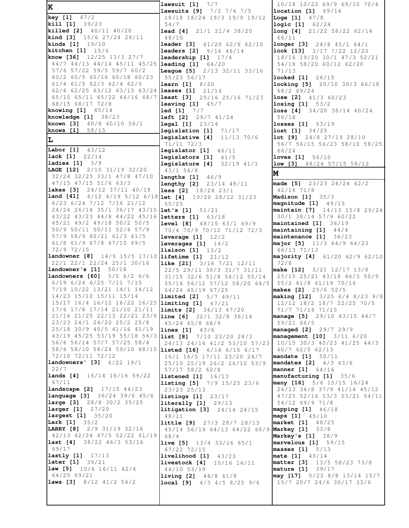K **key** [1]  $67/2$ **kill** [1] 39/23 **killed** [2] 40/11 40/20 **kind** [3]  $15/6$  27/24 28/11 **kinds [1]** 19/10 kitchen  $[1]$  15/6 know [36] 12/25 13/3 27/7  $44/7$   $44/13$   $44/14$   $45/11$   $45/25$  leading [1] 64/20 57/6 57/22 59/5 59/7 60/2 60/2 60/5 60/16 60/18 60/23 61/4 61/5 62/3 62/4 62/5  $62/6$   $62/25$   $63/12$   $63/15$   $63/24$  **leases [1]**  $21/16$ 65/10 65/11 65/22 66/16 68/7 least [3] 25/16 25/16 71/23 68/15 68/17 72/8 **knowing**  $[1]$   $45/14$ **knowledge [1]** 38/23 **known [3]**  $40/8$   $40/10$   $56/1$  $58/15$ knows [1] Τ. Labor [1]  $43/12$ **lack** [1] 22/14 ladies  $[1]$   $3/9$ LAGE [12] 2/10 31/19 32/20 32/24 32/25 33/1 47/8 47/10  $47/15$   $47/15$   $51/6$   $63/3$ 24/12 37/11 40/18 lakes [3] land [41]  $6/23$   $6/24$   $7/12$   $7/16$   $21/12$ 24/24 26/14 35/1 36/17 43/15 let's [1] 51/21 43/22 43/23 44/8 44/22 45/16 letters [1] 63/18 45/21 49/2 49/18 50/2 50/5 50/9 50/11 50/11 52/4 57/9 57/9 58/9 60/21 61/3 61/5 61/8 61/9 67/8 67/10 69/5 72/9 72/15 **landowner** [8] 14/9 15/5 17/10 lifetime [1] 21/12 22/1 22/1 22/24 25/1 30/16  $\texttt{landowner's}$  [1]  $50/18$ **landowners [60]** 5/5 6/2 6/6 6/19 6/24 6/25 7/11 7/15 7/19 10/22 13/21 14/1 14/12 14/23 15/10 15/11 15/14 15/17 16/4 16/12 16/22 16/25 limiting [1] 67/21 17/6 17/8 17/14 21/10 21/11 21/16 21/25 22/13 22/21 23/6 line [6] 32/1 32/8 36/14 23/23 24/1 24/20 25/2 25/8 25/18 30/9 40/5 41/16 41/19 43/19 45/25 53/19 55/18 56/3 list [8] 7/10 23/20 24/3 56/6 56/14 57/7 57/25 58/4 58/6 58/10 58/24 59/10 68/15 listed [16] 6/14 6/15 6/17 72/10 72/11 72/12 **landowners'** [3] 6/22 19/1  $22/7$ lands [4] 16/14 16/16 59/22  $67/11$ **landscape [2]** 17/15 44/23 language [3] 36/24 39/6 45/6 large [3] 28/8 30/2 35/25 **larger**  $[1]$   $27/20$ **largest** [1] 35/20 **Lark [1]** 35/2<br>**LARRY [8]** 2/9 31/19 32/16 42/13 42/24 47/5 52/22 61/19 last [4] 38/22 46/3 53/16 69/17 lastly [1] 17/13 **later** [1] 39/21 **law** [5]  $10/6$   $16/11$   $42/6$ 64/25 69/21 **laws** [3]  $8/12$  41/2 56/2

lawsuit  $[1]$   $7/7$ **lawsuits [9]** 7/2 7/4 7/5 18/18 18/24 19/3 19/9 19/12 54/7 **lead** [4]  $21/1$   $21/4$   $38/20$  $48/10$ leader [3] 61/20 62/9 62/10 **leaders** [2] 9/16 46/14  $\texttt{leadership}$  [1]  $17/4$ League [5] 2/13 32/11 33/16 55/23 56/17 learn [1]  $8/20$  $leaving [1]$  45/7 led [1] 7/7 **left [2]** 29/7 41/24 **legal**  $[1]$   $23/14$ legislation [1] 71/17 **legislative [4]**  $11/13$   $70/6$ 71/11 72/3  $legislator [1] 46/11$ legislators  $[1]$   $41/5$ **legislature [4]**  $32/19$   $41/1$  $43/1$  56/8 lengths  $[1]$  46/9 **lengthy [2]** 23/14 48/11 **less** [2]  $18/24$   $23/1$  $4/12$   $4/19$   $5/12$   $6/18$  **let [4]**  $19/20$  28/12 31/23  $55/25$ **level** [8]  $48/15$  63/1 69/9 70/4 70/9 70/12 71/12 72/3 leverage  $[1]$   $12/2$ leverages  $[1]$   $14/2$ **liaison** [1]  $13/2$ like [21] 3/16 7/21 12/11 22/5 29/11 30/3 31/7 31/11 31/15 32/6 51/8 54/12 55/14 55/16 56/12 57/12 58/20 64/5 64/24 65/19 67/25 **limited [2]** 5/7 49/11 **limits [2]** 36/13 67/20 45/24 65/8 68/9 lines [1] 43/6 24/13 24/16 41/2 53/10 57/23 16/1 16/5 17/11 23/20 24/7 25/10 25/19 26/2 26/10 53/9 57/17 58/2 62/8 listened [1]  $16/13$ **listing [5]** 7/9 15/25 23/6  $23/23$  25/13 listings  $[1]$  23/17 literally [1] 29/13 litigation [3] 24/14 24/15  $48/11$ little [9] 27/3 28/7 28/13 45/14 56/19 64/13 64/22 66/9  $68/4$ live [5]  $13/4$  33/16 65/1 67/22 72/15  $livelihood [1]$   $43/23$ livestock [4] 10/16 14/11 44/10 53/19 **living [2]**  $44/8$   $61/8$ **local** [9]  $4/3$   $4/5$   $8/25$   $9/6$ 

10/18 10/22 69/9 69/10 70/4 **location** [1]  $69/14$ Loge [1] 47/8 **logic [1]** 62/24 **long** [4]  $21/22$  58/22 62/14 68/11 longer [3] 24/8 45/1 64/1 look [13] 3/17 7/22 12/20 18/16 19/20 30/1 47/3 52/21 54/18 58/20 60/12 62/20  $71/13$ **looked** [1] 26/15 looking [5] 20/10 30/3 66/18 68/2 69/24 lose [2]  $41/3$  60/23  $\frac{1}{10}$  10sing [1] 53/2 loss [4] 34/20 38/14 40/24  $50/18$ **losses** [1] 53/19 lost  $[1]$  34/25 lot [9] 24/8 27/19 28/10 56/7 56/15 56/23 58/10 58/25 66/24 loves [1] 56/10  $\frac{1}{10}$  [3] 48/24 57/15 58/12 M made [5] 23/23 24/24 42/2  $42/16$  71/8 Madison [1]  $35/3$ magnitude [1] 49/15 maintain [7] 14/13 15/8 29/24 30/1 38/14 57/9 60/22 maintained [1] 36/19 maintaining  $[1]$  44/4 maintenance [1] 36/23 major [5] 11/3 64/9 64/23 66/13 71/13 majority [4] 61/20 62/9 62/10 72/8 make [12] 3/21 12/17 13/8 25/15 25/21 43/18 46/3 50/9 55/2 61/8 61/19 70/16 makes [2] 25/6 52/5 making [12] 3/25 6/4 8/23 9/8 12/12 18/2 18/7 22/25 70/5 71/7 71/14 71/15 manage [5] 29/10 43/15 44/7 59/21 66/5 managed [2] 29/7 29/9 management [10] 3/11 6/20  $10/15$  30/3 40/23 41/25 44/3 60/7 62/5 62/13 mandate [1] 50/11 mandates [2] 4/3 43/6 manner [1] 64/16 manufacturing [1] 35/6 many [16] 5/6 15/15 16/24 26/13 34/8 37/9 41/14 45/12 47/25 52/16 53/3 53/21 54/11 54/12 69/9 71/8  $$ maps [1] 45/10 market [1] 48/25 Markey [1]  $33/8$ Markey's [1] 38/9  $marvelous$  [1]  $59/15$ masses  $[1]$   $5/13$  $mate [1] 40/14$ matter [3] 13/5 58/23 73/8 mature [1] 39/17 may [17] 5/23 8/8 13/14 15/7 15/7 20/7 24/6 30/17 33/6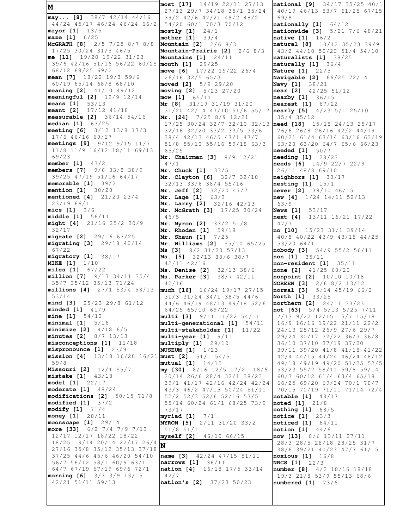**M may... [8]** 38/7 42/14 44/16 44/24 45/17 46/24 46/24 66/2 **mayor [1]** 13/5 **maze [1]** 6/25 **McGRATH [8]** 2/5 7/25 8/7 8/8 17/25 30/24 31/5 46/5 **me [11]** 19/20 19/22 31/23 39/6 42/16 51/16 56/22 60/25 **mouth [1]** 29/25 68/12 68/25 69/2 **mean [7]** 18/22 19/3 59/6 60/19 65/14 68/8 68/10 **meaning [2]** 41/10 49/12 **meaningful [2]** 12/9 12/14 **means [1]** 53/13 **meant [2]** 17/12 41/18 **measurable [2]** 36/14 54/16 **median [1]** 63/25 **meeting [6]** 3/12 13/8 17/3 17/6 46/16 69/17 **meetings [9]** 9/12 9/15 11/7 11/8 11/9 16/12 18/11 69/13 69/23 **member [1]** 43/2 **members [7]** 9/6 33/8 38/9 39/25 47/19 51/16 64/17 **memorable [1]** 39/2 **mention [1]** 30/20 **mentioned [4]** 21/20 23/4 23/19 66/1 **mics [1]** 3/6 **middle [1]** 56/11 **might [4]** 21/16 25/2 30/9 32/17 **migrate [2]** 29/16 67/25 **migrating [3]** 29/18 40/14 67/22 **migratory [1]** 38/17 **MIKE [1]** 1/10 **miles [1]** 67/22 **million [7]** 9/13 34/11 35/4 35/7 35/12 35/13 71/24 **millions [4]** 27/1 53/4 53/13 53/14 **mind [3]** 25/23 29/8 61/12 **minded [1]** 41/9 **mine [1]** 54/12 **minimal [1]** 5/16 **minimize [2]** 4/18 6/5 **minutes [2]** 8/7 13/13 **misconceptions [1]** 11/18 **mispronounce [1]** 23/9 **mission [4]** 13/18 16/20 16/21 **must [2]** 51/1 54/5 59/8 **Missouri [2]** 12/1 55/7 **mistake [1]** 43/18 **model [1]** 22/17 **moderate [1]** 48/24 **modifications [2]** 50/15 71/8 **modified [1]** 37/2 **modify [1]** 71/4 **money [1]** 28/11 **moonscape [1]** 29/14 **more [33]** 6/2 7/4 7/9 7/13 12/17 12/17 18/22 18/22 18/25 19/14 20/14 22/17 26/4 27/16 35/8 35/12 35/13 37/18 37/25 44/6 45/6 46/20 54/10 56/7 56/12 58/1 60/9 63/1 64/7 67/19 67/19 69/6 72/1 **morning [6]** 3/3 3/9 13/15 42/21 51/11 59/13

**most [17]** 14/19 22/11 27/13 27/13 29/7 34/18 35/1 35/24 39/2 42/6 47/21 48/2 48/2 54/20 60/1 70/3 70/12 **mostly [1]** 24/1 **mother [1]** 39/4 **Mountain [2]** 2/6 8/3 **Mountain-Prairie [2]** 2/6 8/3 **Mountains [1]** 24/11 **move [6]** 17/22 19/22 26/4 26/16 32/5 65/3 **moved [2]** 5/9 29/20 **moving [2]** 5/23 27/20 **mow [1]** 65/11 **Mr [8]** 31/19 31/19 31/20 31/20 42/14 47/10 51/6 55/17 **Mr. [24]** 7/25 8/9 12/21 17/25 30/24 32/7 32/10 32/13 **need [18]** 15/18 24/13 25/17 32/16 32/20 33/2 33/5 33/6 38/4 42/13 46/5 47/1 47/7 51/8 55/10 55/16 59/18 63/3 65/25 **Mr. Chairman [3]** 8/9 12/21 47/1 **Mr. Chuck [1]** 33/5 **Mr. Clayton [6]** 32/7 32/10 32/13 33/6 38/4 55/16 **Mr. Jeff [2]** 32/20 47/7 **Mr. Lage [1]** 63/3 **Mr. Larry [2]** 32/16 42/13 **Mr. McGrath [3]** 17/25 30/24 46/5 **Mr. Myron [2]** 33/2 51/8 **Mr. Rhoden [1]** 59/18 **Mr. Shaun [1]** 7/25 **Mr. Williams [2]** 55/10 65/25 **Ms [3]** 8/2 31/20 57/13 **Ms. [5]** 32/13 38/6 38/7 42/11 42/16 **Ms. Denise [2]** 32/13 38/6 **Ms. Parker [3]** 38/7 42/11 42/16 **much [16]** 16/24 19/17 27/15 31/3 31/24 34/1 38/5 44/6 44/6 46/19 48/13 49/18 52/6 64/25 65/10 69/22 **multi [3]** 9/11 11/22 54/11 **multi-generational [1]** 54/11 **multi-stakeholder [1]** 11/22 **multi-year [1]** 9/11 **multiply [1]** 29/10 **MUSEUM [1]** 1/23 **mutual [1]** 14/15 **my [30]** 8/16 12/5 17/21 18/6 20/14 26/6 28/4 32/1 38/23 39/1 41/17 42/16 42/24 42/24 43/3 46/2 47/15 50/24 51/11 52/2 52/3 52/6 52/16 53/5 55/14 60/24 61/1 68/25 73/9 73/17 **myriad [1]** 7/1 **MYRON [5]** 2/11 31/20 33/2 51/8 51/11 **myself [2]** 46/10 66/15 **N name [3]** 42/24 47/15 51/11 **narrows [1]** 36/11 **nation [4]** 16/18 17/5 33/14 42/7 **nation's [2]** 37/23 50/23

**national [9]** 34/17 35/25 40/1 40/19 46/13 53/7 61/25 67/15 69/8 **nationally [1]** 64/12 **nationwide [3]** 5/21 7/6 48/21 **native [1]** 16/2 **natural [8]** 10/12 35/23 39/9 43/2 44/10 50/23 51/4 54/10 **naturalists [1]** 38/25 **naturally [1]** 36/4 **Nature [1]** 22/5 **Navigable [2]** 66/25 72/14 **Navy [1]** 38/21 **near [2]** 42/25 51/12 **nearby [1]** 36/15 **nearest [1]** 67/22 **nearly [5]** 4/23 5/1 25/10 35/4 35/12 26/6 26/8 26/16 42/2 44/19 60/21 61/4 63/14 63/16 63/19 63/20 63/20 64/7 65/6 66/23 **needed [1]** 50/7 **needing [1]** 28/23 **needs [6]** 14/9 22/7 22/9 26/11 48/8 69/10 **neighbors [1]** 30/17 **nesting [1]** 15/1 **never [2]** 39/10 46/15 **new [4]** 1/24 14/11 52/13 63/9 **News [1]** 53/17 **next [4]** 13/11 16/21 17/22 47/7 **no [10]** 15/23 31/1 39/14 40/8 40/22 43/9 43/18 44/25 53/20 64/1 **nobody [3]** 54/9 55/2 56/11 **non [1]** 35/11 **non-resident [1]** 35/11 **none [2]** 41/25 60/20 **nonpoint [2]** 10/10 10/18 **NOREEN [3]** 2/6 8/2 13/12 **normal [3]** 5/14 45/19 66/2 **North [1]** 33/25 **northern [2]** 24/11 33/23 **not [63]** 5/4 5/13 5/25 7/11 7/13 9/22 12/15 15/7 15/18 16/9 16/16 19/22 21/11 22/2 24/13 25/12 26/9 27/6 29/7 29/24 30/17 32/22 36/3 36/8 36/10 37/10 37/19 37/20 39/11 39/20 41/8 41/18 41/22 42/4 44/15 44/24 46/24 48/12 49/18 49/19 49/20 51/25 52/5 53/23 55/7 58/11 59/8 59/14 60/3 60/12 61/4 63/4 65/18 66/25 69/20 69/24 70/1 70/7 70/15 70/19 71/11 71/14 72/4 **notable [1]** 48/17 **noted [1]** 21/8 **nothing [1]** 68/5 **notice [1]** 23/3 **noticed [1]** 64/11 **notion [1]** 44/6 **now [13]** 8/6 13/11 27/11 28/3 28/5 28/18 28/25 31/7 38/6 39/21 40/23 47/7 61/15 **noxious [1]** 16/8 **NRCS [1]** 22/3 **number [8]** 4/2 18/16 18/18 19/3 21/8 53/9 55/13 68/6 **numbered [1]** 73/6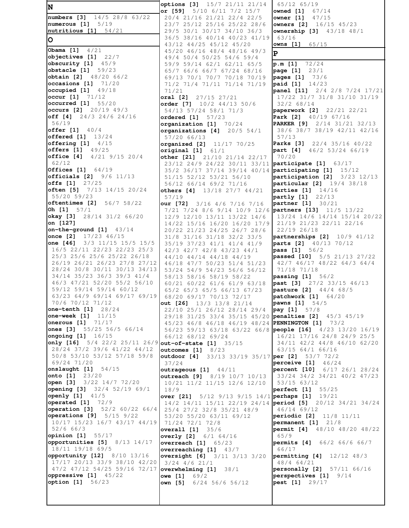**N numbers [3]** 14/5 28/8 63/22 **numerous [1]** 5/19 **nutritious [1]** 54/21 **O Obama [1]** 4/21 **objectives [1]** 22/7 **obscurity [1]** 45/9 **obstacle [1]** 59/23 **obtain [2]** 48/20 66/2 **occasions [1]** 71/20 **occupied [1]** 49/18 **occur [1]** 71/12 **occurred [1]** 55/20 **occurs [2]** 20/19 49/3 **off [4]** 24/3 24/6 24/16 56/19 **offer [1]** 40/4 **offered [1]** 13/24 **offering [1]** 4/15 **offers [1]** 49/25 **office [4]** 4/21 9/15 20/4 62/12 **Offices [1]** 64/19 **officials [2]** 9/6 11/13 **offs [1]**  $\frac{27}{25}$ <br>**often [5]** 7/13 **often [5]** 7/13 14/15 20/24 55/20 59/23 **oftentimes [2]** 56/7 58/22 **Oh [1]** 57/1 **okay [3]** 28/14 31/2 66/20 **on [127] on-the-ground [1]** 43/14 **once [2]** 17/23 46/15 **one [46]** 3/3 11/15 15/5 15/5 16/5 22/11 22/23 22/23 25/3 25/3 25/6 25/6 25/22 26/18 26/19 26/21 26/23 27/8 27/12 28/24 30/8 30/11 30/13 34/13 34/14 35/23 36/3 39/3 41/4 46/3 47/21 52/20 55/2 56/10 59/12 59/14 59/14 60/12 63/23 64/9 69/14 69/17 69/19 70/6 70/12 71/12 **one-tenth [1]** 28/24 **one-week [1]** 11/15 **onerous [1]** 71/17 **ones [3]** 55/25 56/5 66/14 **ongoing [1]** 16/15 **only [16]** 5/4 22/2 25/11 26/9 **out-of-state [1]** 35/15 28/24 37/2 39/6 41/22 44/12 50/8 53/10 53/12 57/18 59/8 69/24 71/20 **onslaught [1]** 54/15 **onto [1]** 23/20 **open [3]** 3/22 14/7 72/20 **opening [3]** 32/4 52/19 69/1 **openly [1]** 41/5 **operated [1]** 72/9 **operation [3]** 52/2 60/22 66/4 **operations [9]** 5/15 9/22 10/17 15/23 16/7 43/17 44/19 52/6 66/3 **opinion [1]** 55/17 **opportunities [5]** 8/13 14/17 18/11 19/18 69/5 **opportunity [12]** 8/10 13/16 17/17 20/13 33/9 38/10 42/20 47/2 47/12 54/25 59/16 72/17 **overwhelming [1]** 38/1 **oppressive [1]** 45/22 **option [1]** 56/23

**options [3]** 15/7 21/11 21/14 **or [59]** 5/10 6/11 7/2 15/7 20/4 21/16 21/21 22/4 22/5 23/7 25/12 25/16 25/22 28/6 29/5 30/1 30/17 34/10 36/3 36/5 38/16 40/14 40/23 41/19 43/12 44/25 45/12 45/20 45/20 46/16 48/4 48/16 49/3 49/4 50/4 50/25 54/6 59/4 59/9 59/14 62/1 62/11 65/5 65/7 66/6 66/7 67/24 68/16 69/13 70/1 70/7 70/18 70/19 71/2 71/4 71/11 71/14 71/19 71/21 **oral [2]** 27/15 27/21 **order [7]** 10/2 44/13 50/6 54/13 57/24 58/1 71/3 **ordered [1]** 57/23 **organization [1]** 70/24 **organizations [4]** 20/5 54/1 57/20 66/13 **organized [2]** 11/17 70/25 **original [1]** 61/1 **other [21]** 21/10 21/14 22/17 23/12 24/9 24/22 30/11 33/11 **participate [1]** 63/17 35/2 36/17 37/14 39/14 40/14 **participating [1]** 15/12 51/15 52/12 53/21 56/10 56/12 66/14 69/2 71/16 **others [4]** 13/18 27/7 44/21 57/19 **our [72]** 3/16 4/6 7/16 7/16 7/21 7/24 8/6 9/14 10/9 12/6 **partners [13]** 11/5 13/22 12/9 12/10 13/11 13/22 14/6 14/22 15/16 16/20 16/20 17/9 20/22 21/23 24/25 26/7 28/6 31/8 31/16 31/18 32/2 33/5 35/19 37/23 41/1 41/4 41/9 42/3 42/7 42/8 43/23 44/1 44/10 44/14 44/18 44/19 46/18 47/7 50/23 51/4 51/23 53/24 54/9 54/23 56/6 56/12 58/13 58/16 58/19 58/22 60/21 60/22 61/6 61/9 63/18 65/2 65/3 65/5 66/13 67/23 68/20 69/17 70/13 72/17 **out [26]** 13/3 13/8 21/14 22/10 25/1 26/12 28/14 29/4 29/18 31/25 33/4 35/15 45/20 **penalties [2]** 45/3 45/19 45/23 46/8 46/18 46/19 48/24 **PENNINGTON [1]** 73/2 56/23 59/13 63/18 63/22 66/8 **people [16]** 4/23 13/20 16/19 66/12 68/12 69/24 **outcomes [1]** 8/23 **outdoor [4]** 33/13 33/19 35/17 **per [2]** 53/7 72/2 37/24 **outrageous [1]** 44/11 **outreach [9]** 8/19 10/7 10/13 10/21 11/2 11/15 12/6 12/10 18/9 **over [21]** 5/12 9/13 9/15 14/1 **perhaps [1]** 19/21 25/4 27/2 32/8 35/21 48/9 53/20 55/20 63/11 69/12 71/24 72/1 72/8 **overall [1]** 35/6 **overly [2]** 6/1 64/16 **overreach [1]** 65/23 **overreaching [1]** 43/7 **oversight [6]** 3/11 3/13 3/20 3/24 4/6 21/1 **owe [1]** 69/2 **own [5]** 6/24 56/6 56/12

 14/2 14/11 15/11 22/19 24/14 **period [5]** 20/12 34/21 34/24 65/12 65/19 **owned [1]** 67/14 **owner [1]** 47/15 **owners [2]** 16/15 45/23 **ownership [3]** 43/18 48/1 63/16 **owns [1]** 65/15 **P p.m [1]** 72/24 **page [1]** 23/1 **pages [1]** 73/6 **paid [1]** 14/23 **panel [11]** 2/4 2/8 7/24 17/21 17/22 31/7 31/8 31/10 31/19 32/2 68/14 **paperwork [2]** 22/21 22/21 **Park [2]** 40/19 67/16 **PARKER [9]** 2/14 31/21 32/13 38/6 38/7 38/19 42/11 42/16 57/13 **Parks [3]** 22/4 35/16 40/22 **part [4]** 46/2 53/24 66/19 70/20 **participation [2]** 3/23 12/13 **particular [2]** 19/4 38/18 **parties [1]** 14/16 **partly [1]** 22/13 **partner [1]** 30/21 13/24 14/6 14/14 15/14 20/22 21/19 21/23 22/11 22/16 22/19 26/18 **partnerships [2]** 10/9 41/12 **parts [2]** 40/13 70/12 **pass [1]** 56/2 **passed [10]** 5/5 21/13 27/22 42/7 46/17 48/22 64/3 64/4 71/18 71/18 **passing [1]** 56/2 **past [3]** 27/2 33/15 46/13 **pasture [2]** 44/4 68/5 **patchwork [1]** 64/20 **pawns [1]** 54/5 **pay [1]** 57/8 16/21 17/16 24/8 24/9 25/5 34/11 42/2 44/8 46/10 62/20 63/15 64/1 66/16 **perceive [1]** 46/24 **percent [10]** 6/17 26/1 28/24 33/24 34/2 34/21 40/2 47/23 53/15 63/12 **perfect [1]** 55/25 46/14 69/12 **periodic [2]** 11/8 11/11 **permanent [1]** 21/8 **permit [4]** 48/10 48/20 48/22 65/9 **permits [4]** 66/2 66/6 66/7 66/17 **permitting [4]** 12/12 48/3 48/4 64/21 **personally [2]** 57/11 66/16 **perspectives [1]** 9/14 **pest [1]** 29/17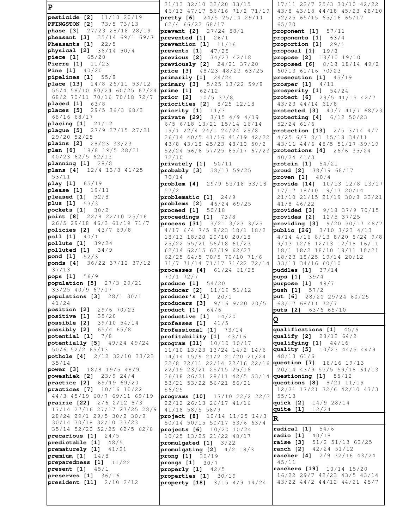**P pesticide [2]** 11/10 20/19 **PFINGSTON [2]** 73/5 73/13 **phase [3]** 27/23 28/18 28/19 **pheasant [3]** 35/14 69/1 69/3 **Pheasants [1]** 22/5 **physical [2]** 36/14 50/4 **piece [1]** 65/20 **Pierre [1]** 11/23 **Pine [1]** 40/20 **pipelines [1]** 55/8 **place [13]** 14/8 26/11 53/12 55/4 58/10 60/24 60/25 67/24 **prime [1]** 62/12 68/2 70/11 70/16 70/18 72/7 **placed [1]** 63/8 **places [5]** 29/5 36/3 68/3 68/16 68/17 **placing [1]** 21/12 **plague [5]** 27/9 27/15 27/21 29/20 52/25 **plains [2]** 28/23 33/23 **plan [6]** 18/8 19/5 28/21 40/23 62/5 62/13 **planning [1]** 28/8 **plans [4]** 12/4 13/8 41/25 53/11 **play [1]** 65/19 **please [1]** 19/11 **pleased [1]** 52/8 **plus [1]** 53/3 **pockets [1]** 30/2 **point [8]** 22/8 22/10 25/16 26/5 29/18 46/3 61/19 71/7 **policies [2]** 43/7 69/8 **poll [1]** 40/1 **pollute [1]** 39/24 **polluted [1]** 34/9 **pond [1]** 52/3 **ponds [4]** 36/22 37/12 37/12 37/13 **pops [1]** 56/9 **population [5]** 27/3 29/21 33/25 40/9 67/17 **populations [3]** 28/1 30/1 41/24 **position [2]** 29/6 70/23 **positive [1]** 35/20 **possible [2]** 39/10 54/14 **possibly [2]** 65/4 65/8 **potential [1]** 7/8 **potentially [5]** 49/24 49/24 50/6 52/2 65/13 **pothole [4]** 2/12 32/10 33/23 35/14 **power [3]** 18/8 19/5 48/9 **poweshiek [2]** 23/9 24/4 **practice [2]** 69/19 69/20 **practices [7]** 10/16 10/22 44/3 45/19 60/7 69/11 69/19 **prairie [22]** 2/6 2/12 8/3 17/14 27/16 27/17 27/25 28/9 28/24 29/1 29/5 30/2 30/9 30/14 30/18 32/10 33/23 35/14 52/20 52/25 62/5 62/8 **precarious [1]** 24/5 **predictable [1]** 48/5 **prematurely [1]** 41/21 **premium [1]** 14/8 **preparedness [1]** 11/22 **present [1]** 45/1 **preserves [1]** 36/16 **president [11]** 2/10 2/12

 31/13 32/10 32/20 33/15 46/13 47/17 56/16 71/2 71/19 **pretty [6]** 24/5 25/14 29/11 62/4 66/22 68/17 **prevent [2]** 27/24 58/1 **prevented [1]** 26/1 **prevention [1]** 11/16 **prevents [1]** 47/25 **previous [2]** 34/23 42/18 **previously [2]** 24/21 37/20 **price [3]** 48/23 48/23 63/25 **primarily [1]** 24/24 **primary [3]** 5/25 13/22 59/8 **prior [2]** 10/5 37/8 **priorities [2]** 8/25 12/18 **priority [1]** 11/3 **private [29]** 3/15 4/9 4/19 6/5 6/18 13/21 15/14 16/14 19/1 22/4 24/1 24/24 25/8 26/14 40/5 41/16 41/19 42/22 43/8 43/18 45/23 48/10 50/2 52/24 56/6 57/25 65/17 67/23 **protections [4]** 26/6 35/24 72/10 **privately [1]** 50/11 **probably [3]** 58/13 59/25 70/14 **problem [4]** 29/9 53/18 53/18 57/2 **problematic [1]** 24/9 **problems [2]** 46/24 69/25 **proceed [1]** 50/18 **proceedings [1]** 73/8 **process [31]** 3/21 3/23 3/25 4/17 6/4 7/5 8/23 18/1 18/2 18/13 18/20 20/10 20/18 25/22 55/21 56/18 61/23 62/14 62/15 62/19 62/23 62/25 64/5 70/5 70/10 71/6 71/7 71/14 71/17 71/22 72/14 **processes [4]** 61/24 61/25 70/1 72/7 **produce [1]** 54/20 **producer [2]** 11/19 51/12 **producer's [1]** 20/1 **producers [3]** 9/16 9/20 20/5 **product [1]** 64/6 **productive [1]** 14/20 **professes [1]** 41/5 **Professional [1]** 73/14 **profitability [1]** 43/16 **program [31]** 10/10 10/17 11/10 13/23 13/24 14/2 14/6 14/14 15/9 21/2 21/20 21/24 22/8 22/11 22/14 22/16 22/16 **question [7]** 18/16 19/13 22/19 23/21 25/15 25/16 26/18 26/21 28/11 42/5 53/14 53/21 53/22 56/21 56/21 56/25 **programs [10]** 17/10 22/2 22/3 22/12 26/13 26/17 41/16 41/18 58/5 58/9 **project [8]** 10/14 11/25 14/3 50/14 50/15 50/17 53/6 63/4 **projects [6]** 10/20 10/24 10/25 13/25 21/22 48/17 **promulgated [1]** 3/22 **promulgating [2]** 4/2 18/3 **prong [1]** 30/19 **prongs [1]** 30/7 **properly [1]** 42/5 **properties [1]** 30/19 **property [18]** 3/15 4/9 14/24

 17/11 22/7 25/3 30/10 42/22 43/8 43/18 44/18 45/23 48/10 52/25 65/15 65/16 65/17 65/20 **proponent [1]** 57/11 **proponents [1]** 63/4 **proportion [1]** 29/1 **proposal [1]** 19/8 **propose [2]** 18/10 19/10 **proposed [6]** 8/18 18/14 49/2 60/13 61/16 70/23 **prosecution [1]** 45/19 **prosper [1]** 4/11 **prosperity [1]** 54/24 **protect [6]** 29/5 41/15 42/7 43/23 44/14 61/8 **protected [3]** 40/7 41/7 68/23 **protecting [4]** 6/12 50/23 52/24 61/6 **protection [13]** 2/5 3/14 4/7 4/25 6/7 8/1 15/18 34/11 43/11 44/6 45/5 51/17 59/19 40/24 41/3 **protein [1]** 54/21 **proud [2]** 38/19 68/17 **proven [1]** 40/4 **provide [14]** 10/13 12/8 13/17 17/17 18/10 19/17 20/14 21/10 21/15 21/19 30/8 33/21 41/8 46/22 **provided [3]** 9/18 37/9 70/15 **provides [2]** 12/5 37/25 **providing [3]** 9/20 30/17 48/7 **public [26]** 3/10 3/23 4/13 4/14 4/16 8/13 8/20 8/24 9/8 9/13 12/6 12/13 12/18 16/11 18/1 18/2 18/10 18/11 18/21 18/23 18/25 19/14 20/12 33/13 34/16 60/10 **puddles [1]** 37/14 **pups [1]** 39/4 **purpose [1]** 49/7 **push [1]** 57/2 **put [6]** 28/20 29/24 60/25 63/17 68/11 72/7 **puts [2]** 63/6 65/10 **Q qualifications [1]** 45/9 **qualify [2]** 28/12 64/2 **qualifying [1]** 44/16 **quality [5]** 10/23 44/5 44/9 48/13 61/6 20/14 43/9 53/5 59/18 61/13 **questioning [1]** 55/12 **questions [8]** 8/21 11/19 12/21 17/21 32/6 42/10 47/3 55/13 **quick [2]** 14/9 28/14 **quite [1]** 12/24 **R radical [1]** 54/6 **radio [1]** 40/18 **raise [3]** 51/2 51/13 63/25 **ranch [2]** 42/24 51/12 **rancher [4]** 2/9 32/16 43/24 45/11 **ranchers [19]** 10/14 15/20 16/22 29/7 42/23 43/5 43/14 43/22 44/2 44/12 44/21 45/7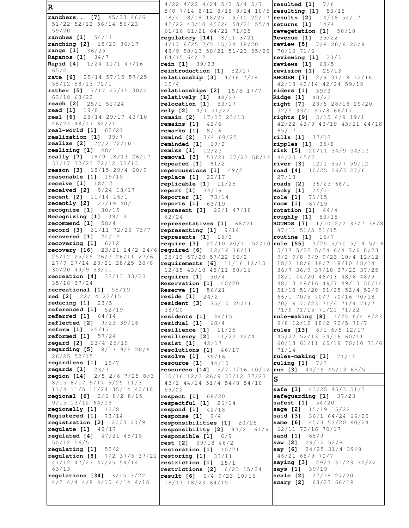**R ranchers... [7]** 45/23 46/6 51/22 52/12 56/14 56/23 59/20 **ranches [1]** 54/11 **ranching [2]** 15/23 36/17 **range [1]** 36/25 **Rapanos [1]** 34/7 **Rapid [4]** 1/24 11/1 47/16 65/2 **rate [6]** 25/14 57/15 57/25 58/12 58/13 72/1 **rather [5]** 7/17 25/15 30/2 63/18 63/22 **reach [2]** 25/1 51/24 **read [1]** 19/8 **real [6]** 28/14 29/17 43/10 46/24 48/17 62/21 **real-world [1]** 62/21 **realization [1]** 39/7 **realize [2]** 72/2 72/10 **realizing [1]** 48/1 **really [7]** 18/9 18/13 26/17 31/17 32/23 72/12 72/13 **reason [3]** 18/15 29/4 60/9 **reasonable [1]** 19/15 **receive [1]** 18/12 **received [2]** 9/24 18/17 **recent [2]** 11/14 16/1 **recently [2]** 23/19 40/1 **recognize [1]** 30/15 **Recognizing [1]** 39/13 **recommend [1]** 58/4 **record [3]** 31/11 72/20 73/7 **recovered [1]** 24/12 **recovering [1]** 6/12 **recovery [16]** 23/21 24/2 24/6 **required [6]** 12/16 16/11 25/12 25/25 26/3 26/11 27/6 27/9 27/14 28/21 28/25 30/8 30/20 49/9 53/11 **recreation [4]** 33/13 33/20 35/18 37/24 **recreational [1]** 55/19 **red [2]** 22/14 22/15 **reducing [1]** 23/5 **referenced [1]** 52/19 **referred [1]** 64/14 **reflected [2]** 9/23 39/16 **reform [1]** 25/17 **reformed [1]** 57/24 **regard [2]** 23/4 25/19 **regarding [5]** 8/17 9/5 20/6 26/25 52/15 **regardless [1]** 19/7 **regards [1]** 23/7 **region [14]** 2/5 2/6 7/25 8/3 8/15 8/17 9/17 9/25 11/3 11/4 11/5 11/24 35/14 40/18 **regional [6]** 2/6 8/2 8/15 9/15 13/12 64/19 **regionally [1]** 12/8 **Registered [1]** 73/14 **registration [2]** 20/3 20/9 **regulate [1]** 49/17 **regulated [4]** 47/21 48/15 50/12 56/5 **regulating [1]** 52/2 **regulation [8]** 7/2 37/5 37/21 47/12 47/23 47/25 54/14 63/13 **regulations [34]** 3/15 3/22 4/2 4/4 4/8 4/10 4/14 4/18

 4/22 4/22 4/24 5/2 5/4 5/7 5/8 7/14 8/12 8/18 8/24 10/5 **resulting [1]** 50/18 18/4 18/18 18/25 19/10 22/17 42/22 43/10 45/24 50/21 55/4 returns [1] 61/16 61/21 64/21 71/25 **regulatory [14]** 3/11 3/21 4/17 6/25 7/5 15/24 18/20 48/9 50/13 50/21 51/23 55/20 64/15 64/17 **rein [1]** 39/23 **reintroduction [1]** 52/17 **relationship [3]** 4/16 7/18 15/4 **relationships [2]** 15/8 17/7 **relatively [1]** 48/23 **relocation [1]** 53/17 **rely [2]** 4/1 51/22 **remain [2]** 17/15 23/13 **remains [1]** 42/6 **remarks [1]** 8/16 **remind [2]** 3/4 68/25 **reminded [1]** 69/2 **remiss [1]** 12/23 **removal [3]** 57/21 57/22 58/14 44/20 45/7 **repeated [1]** 61/2 **repercussions [1]** 49/2 **replace [1]** 22/17 **replicable [1]** 11/25 **report [1]** 34/19 **Reporter [1]** 73/14 **reports [1]** 63/19 **represent [3]** 22/1 47/18 62/24 **representatives [1]** 68/21 **representing [1]** 9/14 **represents [1]** 15/3 25/13 57/20 57/22 66/2 **requirements [6]** 11/16 12/13 12/15 43/10 48/11 50/16 **requires [1]** 50/4 **Reservation [1]** 40/20 **Reserve [1]** 56/21 **reside [1]** 24/2 **resident [3]** 35/10 35/11 38/20 **residents [1]** 34/15 **residual [1]** 68/4 **resilience [1]** 11/25 **resiliency [2]** 11/22 12/4 **resist [1]** 42/17 **resolutions [1]** 46/17 **resolve [1]** 39/16 **resource [1]** 44/10 **resources [14]** 5/7 7/16 10/12 10/16 12/2 26/9 33/12 37/23 43/2 44/14 51/4 54/8 54/10 59/22 **respect [1]** 68/20 **respectful [1]** 26/14 **respond [1]** 42/18 **response [1]** 9/4 **responsibilities [1]** 20/25 **responsibility [2]** 43/21 61/9 **responsible [1]** 6/9 **rest [2]** 39/18 46/2 **restoration [1]** 10/21 **restoring [1]** 33/11 **restriction [1]** 15/1 **restrictions [2]** 6/23 15/24 **result [6]** 6/4 9/23 10/15 18/13 18/23 64/15

**require [3]** 20/10 20/11 52/10 **rule [55]** 3/25 5/10 5/14 5/16 **resulted [1]** 7/6 **results [2]** 14/16 54/17 **returns [1]** 14/4 **revegetation [1]** 50/10 **Revenue [1]** 35/22 **review [5]** 7/8 20/6 20/9 70/10 71/6 **reviewing [1]** 20/3 **reviews [1]** 63/5 **revision [1]** 25/13 **RHODEN [7]** 2/9 31/19 32/16 42/13 42/14 42/24 59/18 **riders [1]** 59/3 **Ridge [1]** 40/20 **right [7]** 28/5 28/18 29/20 32/5 33/1 47/8 66/17 **rights [9]** 3/15 4/9 19/1 42/22 43/9 43/19 43/21 44/18 65/17 **rills [1]** 37/13 **ripples [1]** 35/8 **risk [5]** 20/11 34/9 34/13 **river [3]** 12/1 55/7 59/12 **road [4]** 10/25 26/3 27/6 27/13 **roads [2]** 36/23 68/1 **Rocky [1]** 24/11 **role [1]** 71/15 **room [1]** 67/19 **rotation [1]** 44/4 **roughly [1]** 53/15 **ROUNDS [7]** 1/10 2/2 33/7 38/8 47/11 51/5 51/15 **routine [1]** 16/7 5/17 5/22 5/24 6/4 7/6 8/23 9/2 9/8 9/9 9/23 10/4 12/12 18/2 18/6 18/7 18/10 18/14 36/7 36/9 37/18 37/22 37/25 38/1 44/20 46/13 48/6 48/9 48/13 48/16 49/7 49/13 50/14 51/18 51/20 51/25 52/4 52/9 66/1 70/5 70/7 70/16 70/18 70/19 70/23 71/4 71/4 71/7 71/9 71/15 71/21 71/22 **rule-making [8]** 3/25 6/4 8/23 9/8 12/12 18/2 70/5 71/7 **rules [13]** 6/1 6/5 12/17 45/22 52/13 54/16 60/11 60/13 61/11 65/19 70/10 71/6 71/14 **rules-making [1]** 71/14 **ruling [1]** 7/3 **run [3]** 44/19 45/13 65/5 **S safe [3]** 43/25 45/3 51/3 **safeguarding [1]** 37/23 **safest [1]** 54/20 **sage [2]** 15/19 15/22 **said [3]** 36/1 64/24 66/20 **same [6]** 45/3 53/20 60/24 62/11 70/16 70/17 **sand [1]** 68/9 **saw [2]** 29/12 52/8 **say [6]** 24/25 31/4 39/8 46/21 68/9 70/7 **saying [3]** 29/3 31/23 32/22 **says [1]** 39/19 **scale [2]** 27/18 27/20 **scary [2]** 63/23 66/19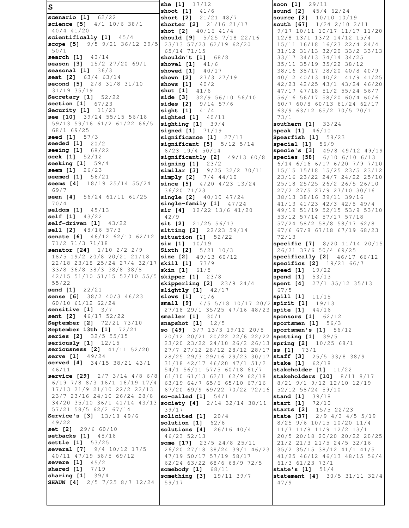**S scenario [1]** 62/22 **science [5]** 4/1 10/6 38/1 40/4 41/20 **scientifically [1]** 45/4 **scope [5]** 9/5 9/21 36/12 39/5 50/1 **search [1]** 40/14 **season [3]** 15/2 27/20 69/1 **seasonal [1]** 36/3 **seat [2]** 63/4 63/14 **second [5]** 2/8 31/8 31/10 31/19 35/19 **Secretary [1]** 52/22 **section [1]** 67/23 **Security [1]** 11/21 **see [10]** 39/24 55/15 56/18 59/13 59/16 61/2 61/22 66/5 68/1 69/25 **seed [1]** 57/3 **seeded [1]** 20/2 **seeing [1]** 68/22 **seek [1]** 52/12 **seeking [1]** 59/4 **seem [1]** 26/23 **seemed [1]** 56/21 **seems [4]** 18/19 25/14 55/24 69/7 **seen [4]** 56/24 61/11 61/25 70/4 **seldom [1]** 45/13 **self [1]** 43/22 **self-driven [1]** 43/22 **sell [2]** 48/16 57/3 **senate [6]** 46/12 62/10 62/12 71/2 71/3 71/18 **senator [24]** 1/10 2/2 2/9 18/5 19/2 20/8 20/21 21/18 22/18 23/18 25/24 27/4 32/17 33/8 36/8 38/3 38/8 38/8 42/15 51/10 51/15 52/10 55/5 **skipper [1]** 23/8 55/22 **send [1]** 22/21 **sense [6]** 38/2 40/3 46/23 60/10 61/12 62/24 **sensitive [1]** 3/7 **sent [2]** 46/17 52/22 **September [2]** 72/21 73/10 **September 13th [1]** 72/21 **series [2]** 32/5 55/15 **seriously [1]** 12/15 **seriousness [2]** 41/11 52/20 **serve [1]** 49/24 **served [4]** 34/15 38/21 43/1 46/11 **service [29]** 2/7 3/14 4/8 6/8 6/19 7/8 8/3 16/1 16/19 17/4 17/13 21/9 21/10 22/2 22/13 23/7 23/16 24/10 26/24 28/8 34/20 35/10 36/1 41/14 43/13 **society [4]** 2/14 32/14 38/11 57/21 58/5 62/2 67/14 **Service's [3]** 13/18 49/6 49/22 **set [2]** 29/6 60/10 **setbacks [1]** 48/18 **settle [1]** 53/25 **several [7]** 9/4 10/12 17/5 40/11 47/19 58/5 69/12 **severe [1]** 45/2 **shared [1]** 7/19 **sharing [1]** 39/4 **SHAUN [4]** 2/5 7/25 8/7 12/24

**she [1]** 17/12 **shoot [1]** 41/6 **short [2]** 21/21 48/7 **shorter [2]** 21/16 21/17 **shot [2]** 40/16 41/4 **should [9]** 5/25 7/18 22/16 23/13 57/23 62/19 62/20 65/14 71/15 **shouldn't [1]** 68/8 **shovel [1]** 41/6 **showed [1]** 40/17 **shown [2]** 27/3 27/19 **shows [1]** 40/2 **shut [1]** 41/6 **side [3]** 32/9 56/10 56/10 **sides [2]** 9/14 57/6 **sight [1]** 41/4 **sighted [1]** 40/11 **sighting [1]** 39/4 **signed [1]** 71/19 **significance [1]** 27/13 **significant [5]** 5/12 5/14 6/23 19/4 50/14 **significantly [2]** 49/13 60/8 **signing [1]** 23/2 **similar [3]** 9/25 32/2 70/11 **simply [2]** 7/4 44/10 **since [5]** 4/20 4/23 13/24 36/20 71/23 **single [2]** 40/10 47/24 **single-family [1]** 47/24 **sir [4]** 12/22 13/6 41/20 42/9 **sit [2]** 21/25 56/13 **sitting [2]** 22/23 59/14 **situation [1]** 52/22 **six [1]** 10/19 **Sixth [2]** 5/21 10/3 **size [2]** 49/13 60/12 **skill [1]** 73/9<br>**skin [1]** 61/5 **skin** [1] **skipperling [2]** 23/9 24/4 **slightly [1]** 42/17 **slows [1]** 71/6 **small [9]** 4/5 5/18 10/17 20/2 **spirit [1]** 19/13 27/18 29/1 35/25 47/16 48/23 **spite [1]** 44/16 **smaller [1]** 30/1 **snapshot [1]** 12/5 **so [49]** 3/7 13/3 19/12 20/8 20/12 20/21 20/22 22/6 22/22 **spotting [1]** 39/5 23/20 23/22 24/10 26/2 26/13 **spring [2]** 10/25 68/1 27/7 27/12 28/12 28/12 28/17 **ss [1]** 73/1 28/25 29/3 29/16 29/23 30/17 **staff [3]** 25/5 33/8 38/9 31/18 42/17 46/20 47/1 51/2 54/1 56/11 57/5 60/18 61/7 61/10 61/13 62/1 62/9 62/18 63/19 64/7 65/6 65/10 67/16 67/20 69/9 69/22 70/22 72/16 **so-called [1]** 54/1 39/17 **solicited [1]** 20/4 **solution [1]** 62/6 **solutions [4]** 26/16 40/4 46/23 52/13 **some [17]** 23/5 24/8 25/11 26/20 27/18 38/24 39/1 46/23 47/19 50/17 57/19 58/17 62/24 63/22 68/6 68/9 72/5 **somebody [1]** 68/11 **something [3]** 19/11 39/7 59/17

**soon [1]** 29/11 **sound [2]** 45/4 62/24 **source [2]** 10/10 10/19 **south [67]** 1/24 2/10 2/11 9/17 10/11 10/17 11/17 11/20 12/8 13/1 13/2 14/12 15/4 15/11 16/18 16/23 22/4 24/4 31/12 31/13 32/20 33/2 33/13 33/17 34/13 34/14 34/25 35/11 35/19 35/22 38/12 38/16 38/17 38/20 40/8 40/9 40/12 40/13 40/21 41/9 41/25 42/23 42/25 43/1 43/24 46/20 47/17 47/18 51/2 55/24 56/7 56/16 56/17 58/20 60/4 60/6 60/7 60/8 60/13 61/24 62/17 63/9 63/12 65/2 70/5 70/11 73/1 **southern [1]** 33/24 **speak [1]** 46/10 **Spearfish [1]** 58/23 **special [1]** 56/9 **specie's [3]** 49/8 49/12 49/19 **species [58]** 6/10 6/10 6/13 6/14 6/16 6/17 6/20 7/9 7/10 15/15 15/18 15/25 23/5 23/12 23/16 23/22 24/7 24/22 25/10 25/18 25/25 26/2 26/5 26/10 27/2 27/5 27/9 27/10 30/16 38/13 38/16 39/11 39/16 41/13 41/23 42/3 42/8 49/4 49/19 51/19 52/15 53/9 53/10 53/12 57/14 57/17 57/18 57/24 58/2 58/8 58/17 62/8 67/6 67/8 67/18 67/19 68/23 72/13 **specific [7]** 8/20 11/14 20/15 26/21 37/6 50/4 69/25 **specifically [2]** 46/17 66/12 **specifics [2]** 19/21 66/7 **speed** [1] **spend [1]** 53/13 **spent [4]** 27/1 35/12 35/13 67/5 **spill [1]** 11/15 **sponsors [1]** 62/12 **sportsmen [1]** 56/3 **sportsmen's [1]** 56/12 **stake [1]** 62/18 **stakeholder [1]** 11/22 **stakeholders [10]** 8/11 8/17 8/21 9/1 9/12 12/10 12/19 52/12 58/24 59/10 **stand [1]** 39/18 **start [1]** 72/10 **starts [2]** 15/5 22/23 **state [37]** 2/9 4/3 4/5 5/19 8/25 9/6 10/15 10/20 11/4 11/7 11/8 11/9 12/2 13/1 20/5 20/18 20/20 20/22 20/25 21/2 21/3 21/5 24/5 32/16 35/2 35/15 38/12 41/1 41/5 41/25 46/12 46/13 48/15 56/4 61/3 61/23 73/1 **state's [1]** 51/4 **statement [4]** 30/5 31/11 32/4 47/9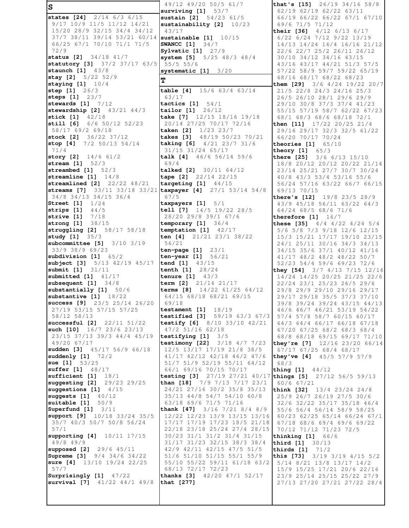**S states [24]** 2/14 6/3 6/15 9/17 10/9 11/5 11/12 14/21 15/20 28/9 32/15 34/4 34/12 37/7 38/11 39/14 53/21 60/14 **sustainable [1]** 10/15 66/25 67/1 70/10 71/1 71/5 72/9 **status [2]** 34/18 41/7 **statutory [3]** 37/2 37/17 63/5 **staunch [1]** 43/8 **stay [2]** 5/22 52/9 **staying [1]** 10/4 **step [1]** 26/3 **steps [1]** 23/7 **stewards [1]** 7/12 **stewardship [2]** 43/21 44/3 **stick [1]** 42/18 **still [6]** 6/6 50/12 52/23 58/17 69/2 69/18 **stock [2]** 36/22 37/12 **stop [4]** 7/2 50/13 54/14 71/4 **story [2]** 14/6 61/2 **stream [1]** 52/3 **streambed [1]** 52/3 **streamline [1]** 14/8 **streamlined [2]** 22/22 48/21 **streams [7]** 33/11 33/18 33/21 **taxpayer [4]** 27/1 53/14 54/8 34/8 34/13 34/15 36/4 **Street [1]** 1/24 **strips [1]** 44/5 **strive [1]** 7/18 **strong [1]** 38/15 **struggling [2]** 58/17 58/18 **study [1]** 35/3 **subcommittee [5]** 3/10 3/19 33/9 38/9 69/23 **subdivision [1]** 65/2 **subject [3]** 5/13 42/19 45/17 **submit [1]** 31/11 **submitted [1]** 41/17 **subsequent [1]** 34/8 **substantially [1]** 50/6 **substantive [1]** 18/22 **success [9]** 23/5 25/14 26/20 27/19 53/15 57/15 57/25 58/12 58/13 **successful [2]** 22/11 51/22 **such [10]** 16/7 23/6 23/13 23/15 37/13 39/3 44/4 45/19 49/20 67/17 **sudden [3]** 45/17 56/9 66/18 **suddenly [1]** 72/2 **sue [1]** 53/25 **suffer [1]** 48/17 **sufficient [1]** 18/1 **suggesting [2]** 29/23 29/25 **suggestions [1]** 4/15 **suggests [1]** 40/12 **suitable [1]** 50/9 **Superfund [1]** 3/11 **support [9]** 10/18 33/24 35/5 35/7 40/3 50/7 50/8 56/24 57/1 **supporting [4]** 10/11 17/15 49/8 49/9 **supposed [2]** 29/6 45/11 **Supreme [3]** 9/4 34/6 34/22 **sure [4]** 13/10 19/24 22/25 57/7 **Surprisingly [1]** 47/22 **survival [7]** 41/22 44/1 49/8 49/12 49/20 50/5 61/7 **surviving [1]** 53/7 **sustain [2]** 54/23 61/5 **sustainability [2]** 10/23 43/17 **SWANCC [1]** 34/7 **Sylvatic [1]** 27/9 **system [5]** 5/25 48/3 48/4 55/5 55/6 **systematic [1]** 3/20 **T table [4]** 15/6 63/4 63/14 63/17 **tactics [1]** 54/1 **tailor [1]** 26/12 **take [7]** 12/15 18/16 19/18 20/14 27/25 70/17 72/16 **taken [2]** 1/23 23/7 **takes [3]** 48/19 50/23 70/21 **taking [6]** 4/21 23/7 31/6 31/15 31/24 65/17 **talk [4]** 46/6 56/14 59/6 69/4 **talked [2]** 30/11 64/12 **tape [2]** 22/14 22/15 **targeting [1]** 44/15 67/5 **taxpayers [1]** 5/1 **tell [7]** 14/5 19/22 28/5 28/20 29/8 39/1 67/6 **temporary [1]** 36/4 **temptation [1]** 42/17 **ten [4]** 21/21 23/1 38/22 56/21 **ten-page [1]** 23/1 **ten-year [1]** 56/21 **tend [1]** 43/15 **tenth [1]** 28/24 **tenure [1]** 43/3 **term [2]** 21/16 21/17 **terms [8]** 14/22 61/25 64/12 64/15 68/18 68/21 69/15 69/18 **testament [1]** 18/19 **testified [3]** 59/19 63/3 67/3 **testify [6]** 8/10 33/10 42/21 47/2 51/16 62/18 **testifying [1]** 3/5 **testimony [22]** 3/18 4/7 7/23 12/5 13/17 17/19 21/8 38/5 41/17 42/12 42/18 46/2 47/6 51/7 51/9 52/19 55/11 64/12 66/1 69/16 70/15 70/17 **testing [3]** 27/19 27/21 40/17 **than [18]** 7/9 7/13 7/17 23/1 24/21 27/16 30/2 35/8 35/13 35/13 44/8 54/7 54/10 60/8 63/18 69/6 71/5 71/16 **thank [47]** 3/16 7/21 8/4 8/9 12/22 12/23 13/9 13/15 13/16 17/17 17/19 17/23 18/5 21/18 22/18 23/18 25/24 27/4 28/15 30/23 31/1 31/2 31/4 31/15 31/17 31/23 32/15 38/3 38/4 42/9 42/11 42/15 47/5 51/5 51/6 51/10 51/15 55/1 55/9 55/10 55/22 59/11 61/18 63/2 68/13 72/17 72/23 **thanks [3]** 42/20 47/1 52/17 **that [277] that's [15]** 26/19 34/16 58/8 62/19 62/19 62/22 63/11 66/19 66/22 66/22 67/1 67/10 69/6 71/5 71/12 **their [36]** 4/12 6/13 6/17 6/22 6/24 7/12 9/22 13/19 14/13 14/24 16/4 16/16 21/12 22/6 22/7 25/2 26/11 26/12 30/10 34/12 34/16 43/15 43/16 43/17 44/21 51/3 57/5 57/22 58/9 59/7 59/22 65/19 68/16 68/17 68/22 68/23 **them [29]** 3/6 4/24 19/22 20/7 21/5 22/8 24/3 24/16 25/3 26/5 26/10 28/1 29/6 29/9 29/10 30/8 37/3 37/4 41/23 55/15 57/19 58/7 62/22 67/23 68/1 68/3 68/6 68/18 72/1 **then [11]** 17/22 20/25 21/4 29/16 29/17 32/3 32/5 61/22 66/20 70/17 70/24 **theories [1]** 65/10 **theory [1]** 65/3 **there [25]** 3/6 6/13 15/10 18/8 20/12 20/12 20/22 21/14 23/14 25/21 27/7 30/7 30/24 40/8 43/3 53/4 53/16 55/6 56/24 57/16 63/22 66/7 66/15 69/13 70/15 **there's [12]** 19/8 23/5 28/9 43/9 45/18 56/11 63/22 64/3 64/24 68/5 68/6 71/6 **therefore [1]** 16/7 **these [35]** 4/4 4/22 4/24 5/4 5/6 5/8 7/3 9/18 12/6 12/15 15/3 15/21 17/17 19/10 23/15 24/1 25/11 30/16 34/3 34/13 34/15 35/6 37/1 40/12 41/16 41/17 48/2 48/2 48/22 50/7 52/23 54/4 59/6 69/23 72/6 **they [54]** 3/7 4/13 7/15 12/16 14/24 14/25 20/25 21/25 22/6 22/24 23/1 25/23 26/5 29/6 29/8 29/9 29/10 29/16 29/17 29/17 29/18 35/5 37/3 37/10 39/8 39/24 39/24 43/15 44/13 46/6 46/7 46/21 53/19 54/22 57/4 57/8 58/7 60/15 60/17 64/3 64/4 66/17 66/18 67/18 67/20 67/25 68/2 68/3 68/4 68/8 68/18 69/15 69/17 71/10 **they're [7]** 12/16 23/20 66/14 67/17 67/25 68/4 68/17 **they've [4]** 45/5 57/9 57/9 68/3 **thing [1]** 44/12 **things [5]** 27/12 56/5 59/13 60/6 67/21 **think [32]** 13/4 23/24 24/8 25/9 26/7 26/19 27/5 30/6 32/6 32/22 35/17 35/18 46/4 55/6 56/4 56/14 58/9 58/25 60/23 62/25 65/14 66/24 67/1 67/18 68/6 69/4 69/6 69/22 70/12 71/12 71/23 72/5 **thinking [1]** 66/6 **third [1]** 30/13 **thirds [1]** 71/2 **this [73]** 3/19 3/19 4/15 5/2 5/14 8/21 13/8 13/17 14/2 15/9 15/25 17/21 20/6 22/16 23/9 25/14 25/15 25/22 27/9 27/13 27/20 27/21 27/22 28/4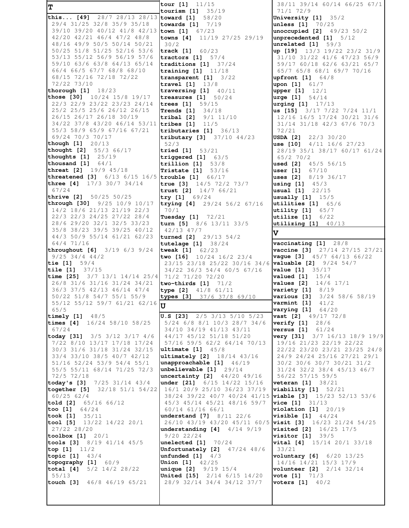T this... [49] 28/7 28/13 28/13 toward [1] 58/20 29/4 31/25 32/8 35/9 35/18 39/10 39/20 40/12 41/8 42/13 town [1] 67/23 42/20 42/21 46/4 47/2 48/8 48/16 49/9 50/5 50/14 50/21 50/25 51/8 51/25 52/16 53/6 53/13 55/12 56/9 56/19 57/6 59/10 63/6 63/8 64/13 65/14 66/4 66/5 67/7 68/8 68/10 68/15 72/16 72/18 72/22 72/22 73/10 thorough  $[1]$   $18/23$ those [30]  $10/24$  15/8 19/17 22/3 22/9 23/22 23/23 24/14 25/2 25/5 25/6 26/12 26/15 26/15 26/17 26/18 30/19 34/22 37/8 43/20 46/14 53/11 55/3 58/9 65/9 67/16 67/21 69/24 70/3 70/17 though [1] 20/13 thought [2]  $55/366/17$ thoughts  $[1]$   $25/19$ thousand  $[1]$   $64/1$ threat [2] 19/9 45/18 threatened [3]  $6/13$   $6/15$   $16/5$  trouble [1]  $66/17$ three [4] 17/3 30/7 34/14  $67/24$ thrive [2]  $50/25$   $50/25$ through [30] 9/25 10/9 10/17 14/2 18/6 21/13 21/19 22/3 22/3 22/3 24/25 27/22 28/4 28/6 29/20 32/1 32/5 33/23 35/8 38/23 39/5 39/25 40/12 44/3 50/9 55/14 61/21 62/23 64/4 71/16 throughout [6] 3/19 6/3 9/24  $9/25$  34/4 44/2 tie  $[1]$  59/4 tile [1] 37/15 time [25]  $3/7$  13/1 14/14 25/4 26/8 31/6 31/16 31/24 34/21 36/3 37/5 42/13 46/14 47/4 50/22 51/8 54/7 55/1 55/9 55/12 55/12 59/7 61/21 62/16 IJ  $65/5$ timely  $[1]$   $48/5$ times [4]  $16/24$  58/10 58/25 67/24 today [31]  $3/5$   $3/12$   $3/17$   $4/6$ 7/22 8/10 13/17 17/18 17/24 30/3 31/6 31/18 31/24 32/15 33/4 33/10 38/5 40/7 42/12 51/16 52/24 53/9 54/4 55/1 55/5 55/11 68/14 71/25 72/3 72/5 72/18 today's [3] 7/25 31/14 43/4 together [5] 32/18 51/1 54/22  $60/2562/4$ told [2] 65/16 66/12 too  $[1]$   $64/24$ **took**  $[1]$   $35/11$ tool [5] 13/22 14/22 20/1 27/22 28/20 toolbox [1]  $20/1$ tools [3] 8/19 41/14 45/5  $top [1]$  $11/2$ topic  $[1]$  43/4 topography [1] 60/9 **total** [4]  $5/2$   $14/2$   $28/22$  $55/13$ touch [3]  $46/8$   $46/19$   $65/21$ 

tour  $[1]$   $11/15$ tourism [1] 35/19 towards  $[1]$   $7/19$ towns [4] 11/19 27/25 29/19  $30/2$ track [1] 60/23 tractors  $[1]$  57/4 traditions  $[1]$  37/24 training  $[1]$   $11/18$ transparent [1] 3/22 travel [1]  $13/8$ traversing  $[1]$   $40/11$ treasures  $[1]$  50/24 trees  $[1] 59/15$ Trends [1] 34/18 tribal [2] 9/1 11/10 tribes  $[1]$   $11/5$ tributaries [1] 36/13 tributary [3] 37/10 44/23  $52/3$ tried [1] 53/21 triggered [1] 63/5 trillion  $[1]$  53/8 Tristate  $[1]$  53/16 true [3] 14/5 72/2 73/7 trust [2] 14/7 66/21 try [1]  $69/24$ trying [4] 29/24 56/2 67/16  $70/1$ Tuesday [1] 72/21 turn [5] 8/6 13/11 33/5  $42/13$   $47/7$ turned [2] 29/13 54/2 tutelage [1] 38/24 tweak [1] 62/23 two [16]  $10/24$  16/2 23/4 23/15 23/18 25/22 30/16 34/6 34/22 36/3 54/4 60/5 67/16 71/2 71/20 72/20 two-thirds  $[1]$   $71/2$ type [2] 41/8 61/11 types [3] 37/6 37/8 69/10 **U.S [23]** 2/5 3/13 5/10 5/23 5/24 6/8 8/1 10/3 28/7 34/6 34/10 34/19 41/13 43/11 44/17 45/12 51/18 51/20 57/16 59/5 62/2 64/14 70/13 ultimate  $[1]$  45/8 ultimately [2] 18/14 43/16 unapproachable [1] 46/19 unbelievable  $[1]$  29/14 uncertainty [2] 44/20 49/16 under  $[21]$  6/15 14/22 15/16 16/1 20/9 25/10 36/23 37/19 45/3 45/14 45/21 48/16 59/7 60/14 61/16 66/1 understand [7] 8/11 22/6 26/10 43/19 43/20 45/11 60/5 understanding [4] 4/14 9/19 9/20 22/24 unelected  $[1]$  70/24 Unfortunately [2] 47/24 48/6 unfunded  $[1]$   $4/3$ **Union [1]** 42/25 **unique [2]** 9/19 15/4 **United [15]** 2/14 6/15 14/20 28/9 32/14 34/4 34/12 37/7

38/11 39/14 60/14 66/25 67/1 71/1 72/9 University  $[1]$  35/2 unless [1] 70/25 unoccupied [2] 49/23 50/2 unprecedented [1] 5/12 unrelated [1] 59/3 up [19] 13/3 19/22 23/2 31/9 31/10 31/22 41/6 47/23 56/9 59/17 60/18 62/6 63/21 65/7 65/7 65/8 68/1 69/7 70/16 upfront [1] 64/8 upon [1] 61/7 upper [1] 12/1  $$  $urging [1] 17/13$ us [15] 3/17 7/22 7/24 11/1 12/16 16/5 17/24 30/21 31/6 31/14 31/18 42/3 67/6 70/3  $72/21$ **USDA [2]** 22/3 30/20 use [10]  $4/11$  16/6 27/23 28/19 35/1 38/17 60/17 61/24  $65/2$  70/2 used [2] 45/5 56/15 user  $[1]$   $67/10$ uses [2] 8/19 36/17 **using [1]**  $45/3$ usual [1] 22/15 usually [1] 15/5 utilities [1] 65/6 utility [1] 65/7 **utilize**  $[1]$   $6/22$ utilizing  $[1]$  40/13  $\mathbf{v}$ vaccinating [1] 28/8 **vaccine [3]** 27/14 27/15 27/21 vague [3] 45/7 64/13 66/22 valuable [2] 9/24 54/7 **value** [1] 35/17 valued  $[11 \t15/4]$ values [2] 14/6 17/1 variety  $[1]$  8/19 various [3] 3/24 58/6 58/19 varmint [1]  $41/2$ varying [1] 64/20 vast [2] 49/17 72/8 verify  $[1]$  28/6 **versus**  $[1]$   $61/24$ very [31] 3/7 16/13 18/9 19/9 19/16 21/23 22/19 22/22 22/22 23/20 23/21 23/25 24/8 24/9 24/24 25/16 27/21 29/1 30/2 30/6 30/7 30/21 31/2 31/24 32/2 38/4 45/13 46/7 56/22 57/15 59/5 veteran [1] 38/21  $v$ iability [1]  $52/21$ 38/24 39/22 40/7 40/24 41/15 viable [3] 15/23 52/13 53/6  $vice [1] 31/13$  $violation [1] 20/19$ **visible [1]**  $44/24$ **visit [3]**  $16/23$   $21/24$   $54/25$ **visited** [2] 16/25 17/5  $39/5$ visitor [1] vital [4] 15/14 20/1 33/18  $33/21$ voluntary [6] 6/20 13/25 14/16 14/21 15/3 17/9 **volunteer** [2] 2/14 32/14 vote [1] 71/3 voters  $[11 40/2]$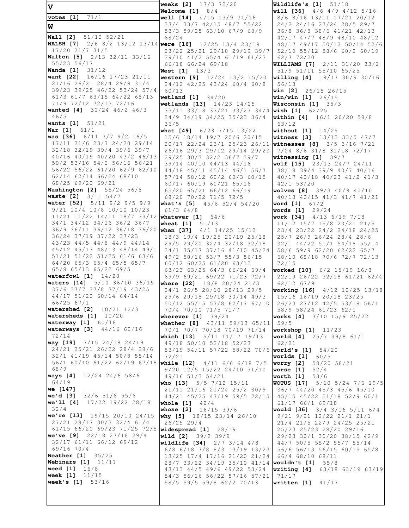**weeks [2]** 17/3 72/20 V Welcome  $[1]$   $8/4$ votes [1]  $71/1$ well  $[14]$   $4/15$   $13/9$   $31/16$ 33/4 33/7 42/15 48/7 55/22 58/3 59/25 63/10 67/9 68/9 **Wall** [2] 51/12 52/21 68/24 **WALSH** [7] 2/6 8/2 13/12 13/14 were [16] 12/25 13/4 23/19 17/20 21/7 31/5 23/22 25/21 29/18 29/19 39/7 Walton [5] 2/13 32/11 33/16 39/10 41/2 55/4 61/19 61/23 55/23 56/17 66/18 66/24 69/18 Wanda [1]  $31/12$ West [1] 13/3 want [22] 16/16 17/23 21/11 western [9] 12/24 13/2 15/20 21/16 26/21 28/4 29/9 31/4 24/12 42/25 43/24 60/4 60/8 39/23 39/25 46/22 53/24 57/4  $60/13$ 61/3 61/7 63/15 64/22 68/13 wetland  $[1]$   $34/20$ 71/9 72/12 72/13 72/16 wetlands [13] 14/23 14/25 wanted [4] 30/24 46/2 46/3 33/11 33/18 33/21 33/23 34/4  $46/5$ 34/9 34/19 34/25 35/23 36/4 **wants** [1]  $51/21$  $36/5$ what [49]  $6/23$  7/15 13/22 **War** [1]  $61/1$ was [36] 6/11 7/7 9/2 16/5 15/6 18/14 19/7 20/6 20/15 17/11 21/6 23/7 24/20 29/14 20/17 22/24 23/1 25/23 26/11 32/18 32/19 39/4 39/6 39/7 26/16 29/3 29/12 29/14 29/23 40/16 40/19 40/20 43/2 46/13 29/25 30/3 32/2 36/7 39/7 50/2 53/16 54/2 56/16 56/21 39/14 40/10 44/13 44/16 56/22 56/22 61/20 62/9 62/10 44/18 45/11 45/14 46/1 56/7 62/14 62/14 66/24 68/10 57/14 58/12 60/2 60/3 60/15 68/25 69/20 69/21 60/17 60/19 60/21 65/16 Washington [2] 55/24 56/8 65/20 65/21 66/12 66/19 waste [2] 3/11 54/7 68/20 70/22 71/5 72/5 water [52] 5/11 9/2 9/5 9/9 what's  $[5]$ 45/6 52/4 54/20 9/21 10/4 10/8 10/10 10/23  $61/3$  64/8 11/21 11/22 14/11 18/7 33/12 whatever [1] 64/6 34/1 34/12 34/16 36/2 36/7 wheat  $[1] 51/13$ 36/9 36/11 36/12 36/18 36/20 when [37] 4/1 14/25 15/12 36/24 37/19 37/22 37/23 18/3 19/4 19/25 20/19 25/18 43/23 44/5 44/8 44/9 44/14 29/5 29/20 32/4 32/18 32/18 45/12 45/13 48/13 48/14 49/1 34/1 35/17 37/16 41/10 45/24 51/21 51/22 51/25 61/6 63/6 49/2 50/16 53/7 55/3 56/15 64/20 65/3 65/4 65/5 65/7 60/12 60/25 61/20 63/12 65/8 65/13 65/22 69/5 63/23 63/25 64/3 66/24 69/4 waterfowl  $[1]$   $14/20$ 69/9 69/21 69/22 71/23 72/7 waters [14] 5/10 36/10 36/15 where [22] 18/8 20/24 21/3 37/6 37/7 37/8 37/19 43/25 24/1 26/5 28/10 28/13 29/5 44/17 51/20 60/14 64/14 29/6 29/18 29/18 30/14 49/3 66/25 67/1 50/12 55/15 57/8 62/17 67/10 watershed [2] 10/21 12/3 70/4 70/10 71/5 71/7 watersheds [1] 10/20 wherever [1] 39/24 waterway [1] 60/18 whether [8] 43/11 59/13 65/11 **waterways** [3] 44/16 60/16 70/1 70/7 70/18 70/19 71/14 72/14 which [13] 5/11 11/17 19/13 **way [19]** 7/15 24/18 24/19 49/18 50/10 52/18 52/23 24/21 25/21 26/22 28/4 28/6 53/19 54/11 57/22 58/22 70/6 32/1 41/19 45/14 50/8 55/14 72/21 56/1 60/10 61/22 62/19 67/18 while  $[12]$   $4/11$   $6/6$   $6/18$   $7/5$ 68/9 9/20 12/5 15/22 24/10 31/10 ways [4] 12/24 24/6 58/6 49/16 51/3 54/21  $64/19$ who [13] 5/5 7/12 15/11 21/11 21/16 21/24 25/2 30/9 **we** [147] we'd [3] 32/6 51/8 55/6 44/21 45/25 47/19 59/5 72/15 we'll [4] 17/22 19/22 28/18 whole  $[1]$   $42/4$  $32/4$ whose [2] 16/15 39/6 we're [13]  $19/15$  20/10 24/15 why [5] 18/15 23/14 26/10 27/21 28/17 30/3 32/4 61/4  $26/25$  29/4 61/15 66/20 69/23 71/25 72/5 widespread [1]  $28/19$ wild  $[2]$   $39/2$   $39/9$ we've [9]  $22/18$  27/18 29/4 32/17 61/11 66/12 69/12 wildlife [34] 2/7 3/14 4/8 69/16 70/4 6/8 6/18 7/8 8/3 13/19 13/23 **Weather [1]** 35/25 13/25 17/4 17/16 21/20 21/24 Webinars  $[1]$   $11/11$ weed [1] 16/8 43/13 44/5 49/6 49/22 53/24 week [1] 11/15 54/3 56/16 56/22 57/16 57/21 **week's [1]**  $53/16$ 58/5 59/5 59/8 62/2 70/13

Wildlife's  $[1]$   $51/18$ will [36]  $4/6$   $4/9$   $4/12$   $5/16$ 8/6 8/16 13/11 17/21 20/12 24/2 24/16 27/24 28/5 29/7 36/8 36/8 38/6 41/21 42/13 42/17 47/7 48/9 48/10 48/12 48/17 49/17 50/12 50/14 52/6 52/10 55/12 58/6 60/2 60/19  $62/7$  72/20 **WILLIAMS** [7] 2/11 31/20 33/2 51/9 51/11 55/10 65/25 willing [4] 19/17 30/9 30/16  $56/13$ win [2] 26/15 26/15  $win/win$  [1]  $26/15$ Wisconsin  $[1]$  35/3 **wish [1]**  $62/25$ **within [4]** 16/1 20/20 58/8 63/12 without  $[1]$   $14/25$ witness [3] 13/12 33/5 47/7 **witnesses [8]**  $3/5$   $3/16$   $7/21$ 7/24 8/6 31/8 31/18 72/17 witnessing [1] 39/7 wolf [15] 23/13 24/7 24/11 38/18 39/4 39/9 40/7 40/16 40/17 40/18 40/23 41/2 41/3 42/1 53/20 wolves [8] 39/3 40/9 40/10 40/13 40/15 41/3 41/7 41/21 **word [1]** 67/2 words [1] 29/24 work [34] 4/13 6/19 7/18 11/12 15/7 15/8 20/21 21/5 23/4 23/22 24/2 24/18 24/25 25/7 26/9 26/24 28/4 28/6 32/1 44/22 51/1 54/18 55/14 58/6 59/9 62/20 62/22 65/7 68/10 68/18 70/6 72/7 72/13  $72/15$ worked [10] 6/2 15/19 16/3 22/19 26/22 32/18 61/21 62/4 62/12 67/9 working [16] 4/12 12/25 13/18 15/16 16/19 20/18 23/25 26/23 27/12 42/5 53/18 56/1 58/9 58/24 61/23 62/1 works [4] 3/10 15/9 25/22  $59/5$ **workshop**  $[1]$   $11/23$ world [4] 25/7 39/8 61/1 62/21 world's  $[1] 54/20$ worlds  $[1]$  60/5 worry [2] 58/20 58/21 worse [1]  $52/4$ worth [1]  $53/6$ WOTUS [17] 5/10 5/24 7/6 19/5 36/7 44/20 45/3 45/6 45/10 45/15 45/22 51/18 52/9 60/1  $61/17$  66/1 69/18 would [36] 3/4 3/16 5/11 6/4 9/21 9/21 12/22 21/1 21/1 21/4 21/5 22/9 24/25 25/21 25/23 25/23 28/20 29/16 29/23 30/1 30/20 38/15 42/9 44/7 50/5 55/2 55/7 55/14 56/6 56/13 56/15 60/15 65/8 66/4 68/10 68/11 28/7 33/22 34/19 35/10 41/14 wouldn't [1] 55/8 writing [4] 63/18 63/19 63/19 71/17 written  $[1]$   $41/17$